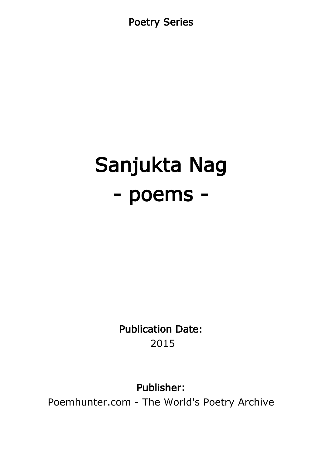Poetry Series

# Sanjukta Nag - poems -

Publication Date: 2015

Publisher:

Poemhunter.com - The World's Poetry Archive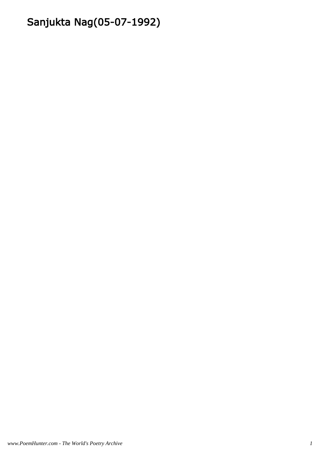## Sanjukta Nag(05-07-1992)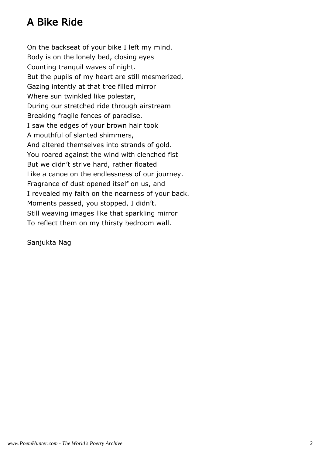#### A Bike Ride

On the backseat of your bike I left my mind. Body is on the lonely bed, closing eyes Counting tranquil waves of night. But the pupils of my heart are still mesmerized, Gazing intently at that tree filled mirror Where sun twinkled like polestar, During our stretched ride through airstream Breaking fragile fences of paradise. I saw the edges of your brown hair took A mouthful of slanted shimmers, And altered themselves into strands of gold. You roared against the wind with clenched fist But we didn't strive hard, rather floated Like a canoe on the endlessness of our journey. Fragrance of dust opened itself on us, and I revealed my faith on the nearness of your back. Moments passed, you stopped, I didn't. Still weaving images like that sparkling mirror To reflect them on my thirsty bedroom wall.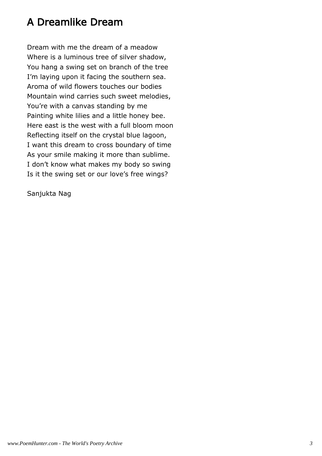#### A Dreamlike Dream

Dream with me the dream of a meadow Where is a luminous tree of silver shadow, You hang a swing set on branch of the tree I'm laying upon it facing the southern sea. Aroma of wild flowers touches our bodies Mountain wind carries such sweet melodies, You're with a canvas standing by me Painting white lilies and a little honey bee. Here east is the west with a full bloom moon Reflecting itself on the crystal blue lagoon, I want this dream to cross boundary of time As your smile making it more than sublime. I don't know what makes my body so swing Is it the swing set or our love's free wings?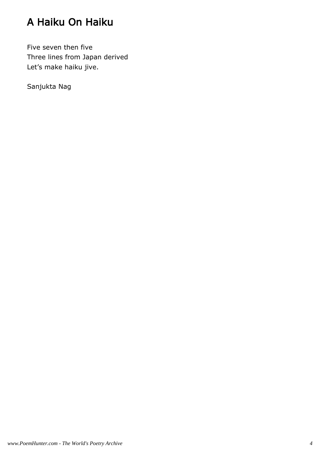## A Haiku On Haiku

Five seven then five Three lines from Japan derived Let's make haiku jive.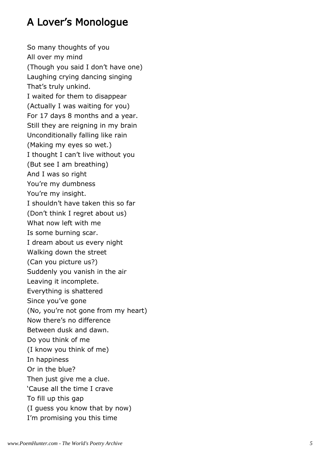#### A Lover's Monologue

So many thoughts of you All over my mind (Though you said I don't have one) Laughing crying dancing singing That's truly unkind. I waited for them to disappear (Actually I was waiting for you) For 17 days 8 months and a year. Still they are reigning in my brain Unconditionally falling like rain (Making my eyes so wet.) I thought I can't live without you (But see I am breathing) And I was so right You're my dumbness You're my insight. I shouldn't have taken this so far (Don't think I regret about us) What now left with me Is some burning scar. I dream about us every night Walking down the street (Can you picture us?) Suddenly you vanish in the air Leaving it incomplete. Everything is shattered Since you've gone (No, you're not gone from my heart) Now there's no difference Between dusk and dawn. Do you think of me (I know you think of me) In happiness Or in the blue? Then just give me a clue. 'Cause all the time I crave To fill up this gap (I guess you know that by now) I'm promising you this time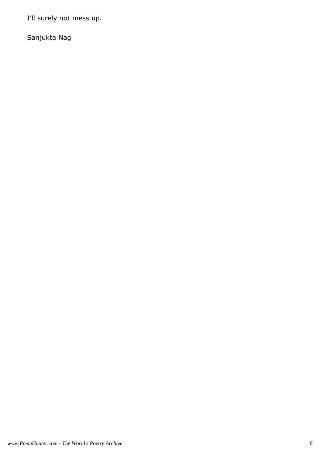I'll surely not mess up.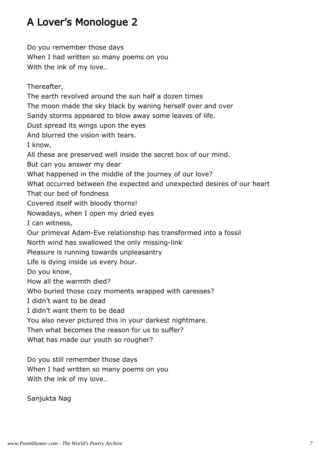## A Lover's Monologue 2

Do you remember those days When I had written so many poems on you With the ink of my love…

Thereafter, The earth revolved around the sun half a dozen times The moon made the sky black by waning herself over and over Sandy storms appeared to blow away some leaves of life. Dust spread its wings upon the eyes And blurred the vision with tears. I know, All these are preserved well inside the secret box of our mind. But can you answer my dear What happened in the middle of the journey of our love? What occurred between the expected and unexpected desires of our heart That our bed of fondness Covered itself with bloody thorns! Nowadays, when I open my dried eyes I can witness, Our primeval Adam-Eve relationship has transformed into a fossil North wind has swallowed the only missing-link Pleasure is running towards unpleasantry Life is dying inside us every hour. Do you know, How all the warmth died? Who buried those cozy moments wrapped with caresses? I didn't want to be dead I didn't want them to be dead You also never pictured this in your darkest nightmare. Then what becomes the reason for us to suffer? What has made our youth so rougher?

Do you still remember those days When I had written so many poems on you With the ink of my love…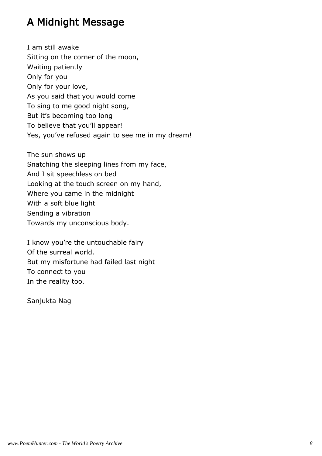#### A Midnight Message

I am still awake Sitting on the corner of the moon, Waiting patiently Only for you Only for your love, As you said that you would come To sing to me good night song, But it's becoming too long To believe that you'll appear! Yes, you've refused again to see me in my dream!

The sun shows up Snatching the sleeping lines from my face, And I sit speechless on bed Looking at the touch screen on my hand, Where you came in the midnight With a soft blue light Sending a vibration Towards my unconscious body.

I know you're the untouchable fairy Of the surreal world. But my misfortune had failed last night To connect to you In the reality too.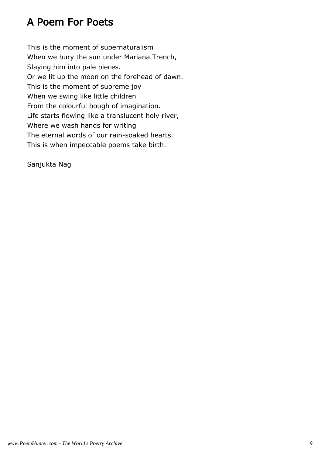#### A Poem For Poets

This is the moment of supernaturalism When we bury the sun under Mariana Trench, Slaying him into pale pieces. Or we lit up the moon on the forehead of dawn. This is the moment of supreme joy When we swing like little children From the colourful bough of imagination. Life starts flowing like a translucent holy river, Where we wash hands for writing The eternal words of our rain-soaked hearts. This is when impeccable poems take birth.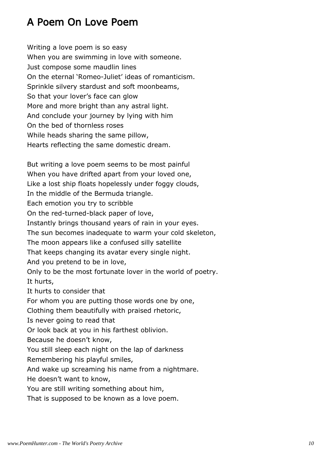#### A Poem On Love Poem

Writing a love poem is so easy When you are swimming in love with someone. Just compose some maudlin lines On the eternal 'Romeo-Juliet' ideas of romanticism. Sprinkle silvery stardust and soft moonbeams, So that your lover's face can glow More and more bright than any astral light. And conclude your journey by lying with him On the bed of thornless roses While heads sharing the same pillow, Hearts reflecting the same domestic dream.

But writing a love poem seems to be most painful When you have drifted apart from your loved one, Like a lost ship floats hopelessly under foggy clouds, In the middle of the Bermuda triangle. Each emotion you try to scribble On the red-turned-black paper of love, Instantly brings thousand years of rain in your eyes. The sun becomes inadequate to warm your cold skeleton, The moon appears like a confused silly satellite That keeps changing its avatar every single night. And you pretend to be in love, Only to be the most fortunate lover in the world of poetry. It hurts, It hurts to consider that For whom you are putting those words one by one, Clothing them beautifully with praised rhetoric, Is never going to read that Or look back at you in his farthest oblivion. Because he doesn't know, You still sleep each night on the lap of darkness Remembering his playful smiles, And wake up screaming his name from a nightmare. He doesn't want to know, You are still writing something about him, That is supposed to be known as a love poem.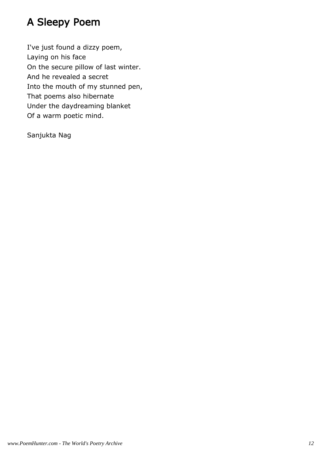## A Sleepy Poem

I've just found a dizzy poem, Laying on his face On the secure pillow of last winter. And he revealed a secret Into the mouth of my stunned pen, That poems also hibernate Under the daydreaming blanket Of a warm poetic mind.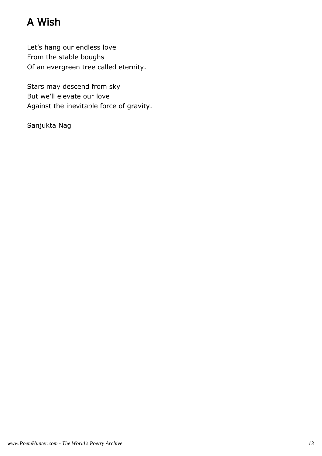## A Wish

Let's hang our endless love From the stable boughs Of an evergreen tree called eternity.

Stars may descend from sky But we'll elevate our love Against the inevitable force of gravity.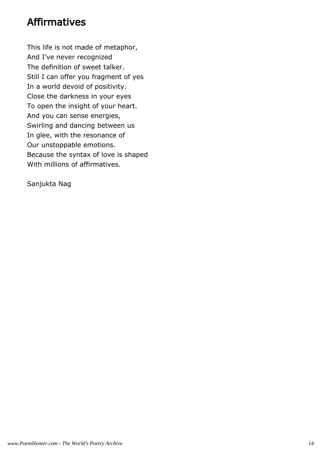#### Affirmatives

This life is not made of metaphor, And I've never recognized The definition of sweet talker. Still I can offer you fragment of yes In a world devoid of positivity. Close the darkness in your eyes To open the insight of your heart. And you can sense energies, Swirling and dancing between us In glee, with the resonance of Our unstoppable emotions. Because the syntax of love is shaped With millions of affirmatives.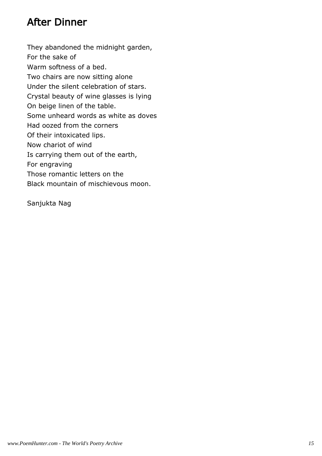#### After Dinner

They abandoned the midnight garden, For the sake of Warm softness of a bed. Two chairs are now sitting alone Under the silent celebration of stars. Crystal beauty of wine glasses is lying On beige linen of the table. Some unheard words as white as doves Had oozed from the corners Of their intoxicated lips. Now chariot of wind Is carrying them out of the earth, For engraving Those romantic letters on the Black mountain of mischievous moon.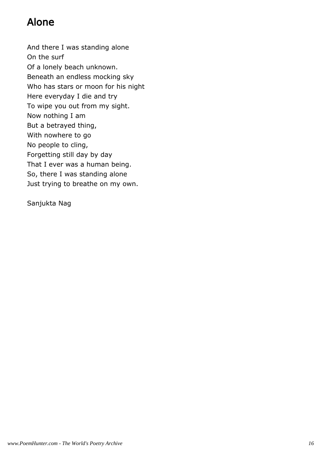#### Alone

And there I was standing alone On the surf Of a lonely beach unknown. Beneath an endless mocking sky Who has stars or moon for his night Here everyday I die and try To wipe you out from my sight. Now nothing I am But a betrayed thing, With nowhere to go No people to cling, Forgetting still day by day That I ever was a human being. So, there I was standing alone Just trying to breathe on my own.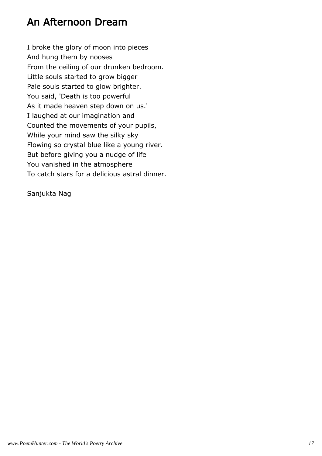#### An Afternoon Dream

I broke the glory of moon into pieces And hung them by nooses From the ceiling of our drunken bedroom. Little souls started to grow bigger Pale souls started to glow brighter. You said, 'Death is too powerful As it made heaven step down on us.' I laughed at our imagination and Counted the movements of your pupils, While your mind saw the silky sky Flowing so crystal blue like a young river. But before giving you a nudge of life You vanished in the atmosphere To catch stars for a delicious astral dinner.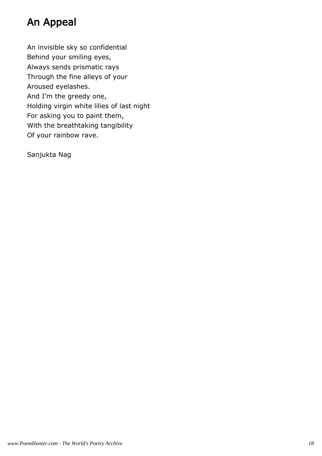#### An Appeal

An invisible sky so confidential Behind your smiling eyes, Always sends prismatic rays Through the fine alleys of your Aroused eyelashes. And I'm the greedy one, Holding virgin white lilies of last night For asking you to paint them, With the breathtaking tangibility Of your rainbow rave.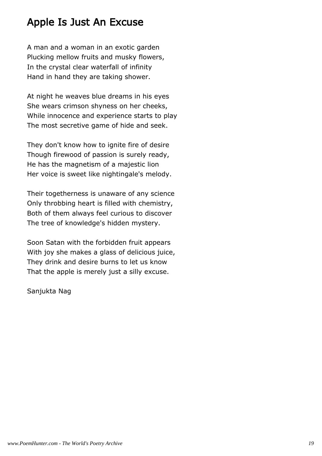#### Apple Is Just An Excuse

A man and a woman in an exotic garden Plucking mellow fruits and musky flowers, In the crystal clear waterfall of infinity Hand in hand they are taking shower.

At night he weaves blue dreams in his eyes She wears crimson shyness on her cheeks, While innocence and experience starts to play The most secretive game of hide and seek.

They don't know how to ignite fire of desire Though firewood of passion is surely ready, He has the magnetism of a majestic lion Her voice is sweet like nightingale's melody.

Their togetherness is unaware of any science Only throbbing heart is filled with chemistry, Both of them always feel curious to discover The tree of knowledge's hidden mystery.

Soon Satan with the forbidden fruit appears With joy she makes a glass of delicious juice, They drink and desire burns to let us know That the apple is merely just a silly excuse.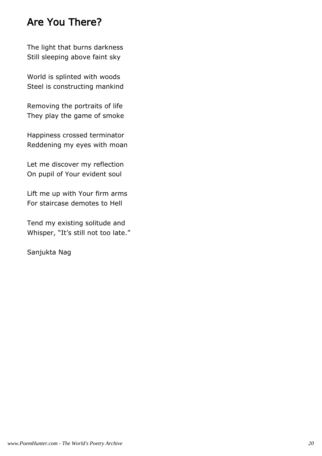#### Are You There?

The light that burns darkness Still sleeping above faint sky

World is splinted with woods Steel is constructing mankind

Removing the portraits of life They play the game of smoke

Happiness crossed terminator Reddening my eyes with moan

Let me discover my reflection On pupil of Your evident soul

Lift me up with Your firm arms For staircase demotes to Hell

Tend my existing solitude and Whisper, "It's still not too late."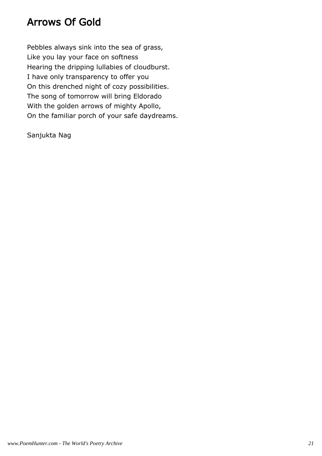#### Arrows Of Gold

Pebbles always sink into the sea of grass, Like you lay your face on softness Hearing the dripping lullabies of cloudburst. I have only transparency to offer you On this drenched night of cozy possibilities. The song of tomorrow will bring Eldorado With the golden arrows of mighty Apollo, On the familiar porch of your safe daydreams.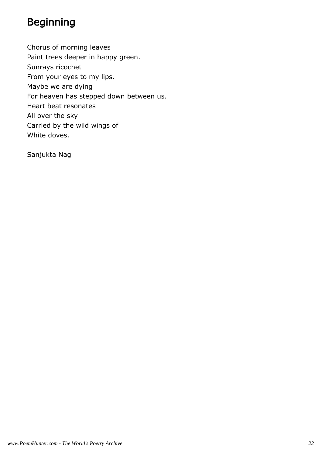## Beginning

Chorus of morning leaves Paint trees deeper in happy green. Sunrays ricochet From your eyes to my lips. Maybe we are dying For heaven has stepped down between us. Heart beat resonates All over the sky Carried by the wild wings of White doves.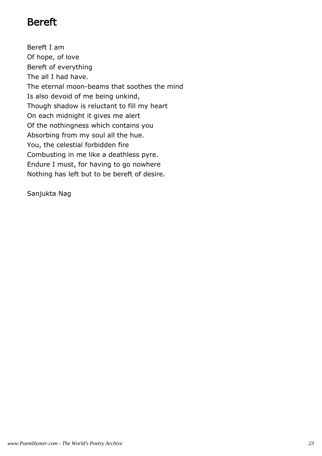#### Bereft

Bereft I am Of hope, of love Bereft of everything The all I had have. The eternal moon-beams that soothes the mind Is also devoid of me being unkind, Though shadow is reluctant to fill my heart On each midnight it gives me alert Of the nothingness which contains you Absorbing from my soul all the hue. You, the celestial forbidden fire Combusting in me like a deathless pyre. Endure I must, for having to go nowhere Nothing has left but to be bereft of desire.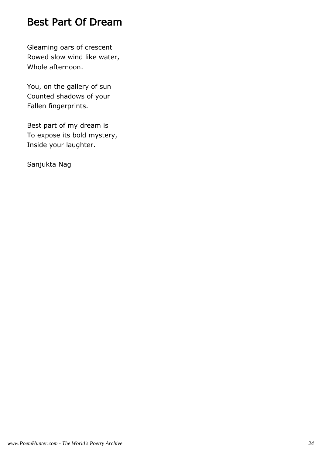#### Best Part Of Dream

Gleaming oars of crescent Rowed slow wind like water, Whole afternoon.

You, on the gallery of sun Counted shadows of your Fallen fingerprints.

Best part of my dream is To expose its bold mystery, Inside your laughter.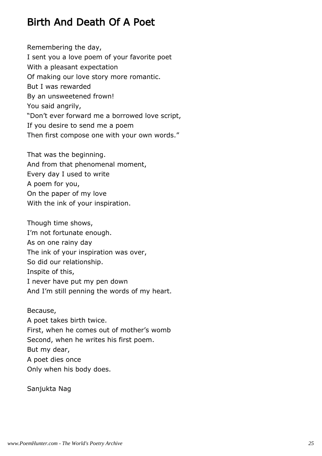#### Birth And Death Of A Poet

Remembering the day, I sent you a love poem of your favorite poet With a pleasant expectation Of making our love story more romantic. But I was rewarded By an unsweetened frown! You said angrily, "Don't ever forward me a borrowed love script, If you desire to send me a poem Then first compose one with your own words."

That was the beginning. And from that phenomenal moment, Every day I used to write A poem for you, On the paper of my love With the ink of your inspiration.

Though time shows, I'm not fortunate enough. As on one rainy day The ink of your inspiration was over, So did our relationship. Inspite of this, I never have put my pen down And I'm still penning the words of my heart.

Because, A poet takes birth twice. First, when he comes out of mother's womb Second, when he writes his first poem. But my dear, A poet dies once Only when his body does.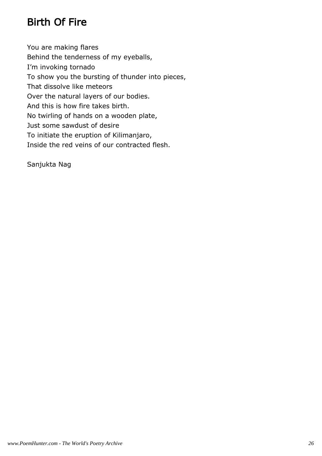## Birth Of Fire

You are making flares Behind the tenderness of my eyeballs, I'm invoking tornado To show you the bursting of thunder into pieces, That dissolve like meteors Over the natural layers of our bodies. And this is how fire takes birth. No twirling of hands on a wooden plate, Just some sawdust of desire To initiate the eruption of Kilimanjaro, Inside the red veins of our contracted flesh.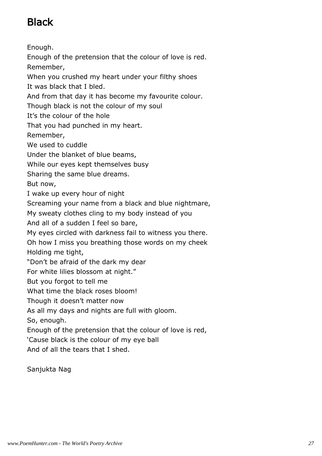## Black

Enough. Enough of the pretension that the colour of love is red. Remember, When you crushed my heart under your filthy shoes It was black that I bled. And from that day it has become my favourite colour. Though black is not the colour of my soul It's the colour of the hole That you had punched in my heart. Remember, We used to cuddle Under the blanket of blue beams, While our eyes kept themselves busy Sharing the same blue dreams. But now, I wake up every hour of night Screaming your name from a black and blue nightmare, My sweaty clothes cling to my body instead of you And all of a sudden I feel so bare, My eyes circled with darkness fail to witness you there. Oh how I miss you breathing those words on my cheek Holding me tight, "Don't be afraid of the dark my dear For white lilies blossom at night." But you forgot to tell me What time the black roses bloom! Though it doesn't matter now As all my days and nights are full with gloom. So, enough. Enough of the pretension that the colour of love is red, 'Cause black is the colour of my eye ball

And of all the tears that I shed.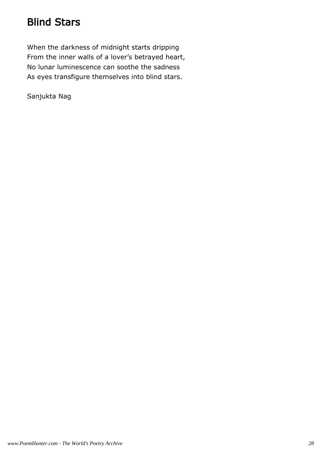## Blind Stars

When the darkness of midnight starts dripping From the inner walls of a lover's betrayed heart, No lunar luminescence can soothe the sadness As eyes transfigure themselves into blind stars.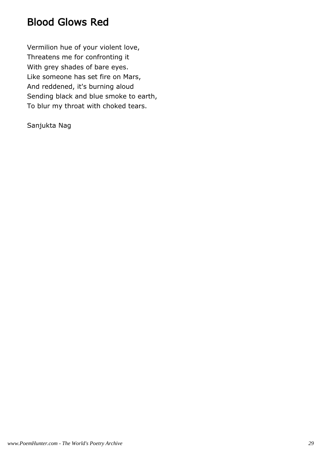#### Blood Glows Red

Vermilion hue of your violent love, Threatens me for confronting it With grey shades of bare eyes. Like someone has set fire on Mars, And reddened, it's burning aloud Sending black and blue smoke to earth, To blur my throat with choked tears.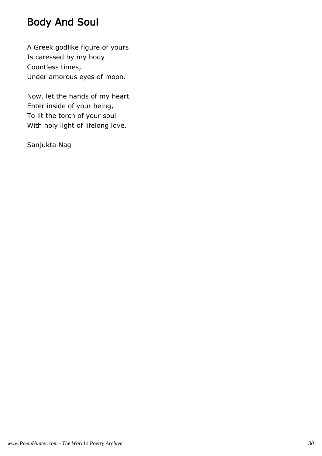#### Body And Soul

A Greek godlike figure of yours Is caressed by my body Countless times, Under amorous eyes of moon.

Now, let the hands of my heart Enter inside of your being, To lit the torch of your soul With holy light of lifelong love.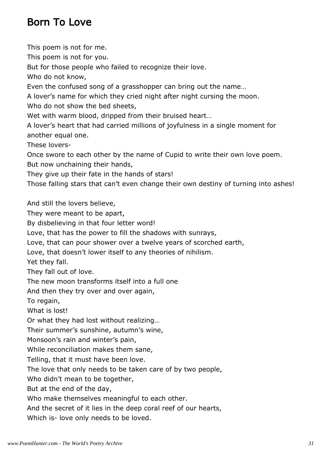#### Born To Love

This poem is not for me. This poem is not for you. But for those people who failed to recognize their love. Who do not know, Even the confused song of a grasshopper can bring out the name… A lover's name for which they cried night after night cursing the moon. Who do not show the bed sheets, Wet with warm blood, dripped from their bruised heart… A lover's heart that had carried millions of joyfulness in a single moment for another equal one. These lovers-Once swore to each other by the name of Cupid to write their own love poem. But now unchaining their hands, They give up their fate in the hands of stars! Those falling stars that can't even change their own destiny of turning into ashes! And still the lovers believe, They were meant to be apart, By disbelieving in that four letter word! Love, that has the power to fill the shadows with sunrays, Love, that can pour shower over a twelve years of scorched earth, Love, that doesn't lower itself to any theories of nihilism. Yet they fall. They fall out of love. The new moon transforms itself into a full one And then they try over and over again, To regain, What is lost! Or what they had lost without realizing… Their summer's sunshine, autumn's wine, Monsoon's rain and winter's pain, While reconciliation makes them sane, Telling, that it must have been love. The love that only needs to be taken care of by two people, Who didn't mean to be together, But at the end of the day, Who make themselves meaningful to each other. And the secret of it lies in the deep coral reef of our hearts, Which is- love only needs to be loved.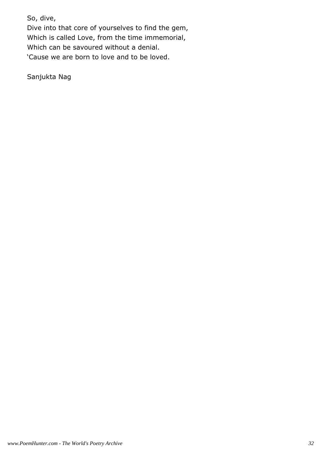So, dive,

Dive into that core of yourselves to find the gem, Which is called Love, from the time immemorial, Which can be savoured without a denial. 'Cause we are born to love and to be loved.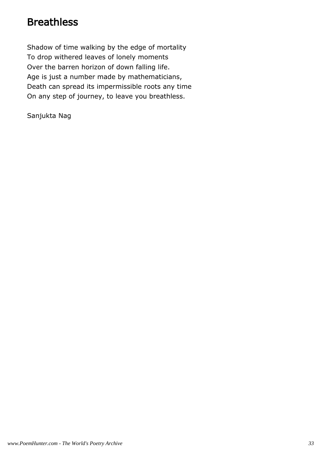#### **Breathless**

Shadow of time walking by the edge of mortality To drop withered leaves of lonely moments Over the barren horizon of down falling life. Age is just a number made by mathematicians, Death can spread its impermissible roots any time On any step of journey, to leave you breathless.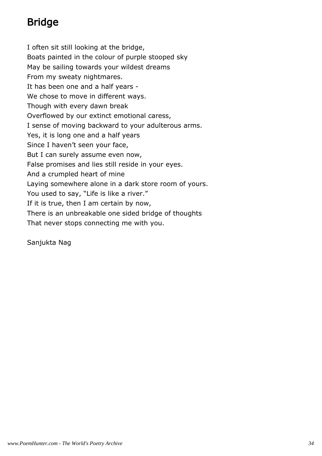## Bridge

I often sit still looking at the bridge, Boats painted in the colour of purple stooped sky May be sailing towards your wildest dreams From my sweaty nightmares. It has been one and a half years - We chose to move in different ways. Though with every dawn break Overflowed by our extinct emotional caress, I sense of moving backward to your adulterous arms. Yes, it is long one and a half years Since I haven't seen your face, But I can surely assume even now, False promises and lies still reside in your eyes. And a crumpled heart of mine Laying somewhere alone in a dark store room of yours. You used to say, "Life is like a river." If it is true, then I am certain by now, There is an unbreakable one sided bridge of thoughts That never stops connecting me with you.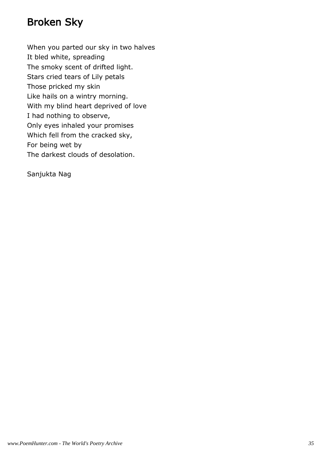#### Broken Sky

When you parted our sky in two halves It bled white, spreading The smoky scent of drifted light. Stars cried tears of Lily petals Those pricked my skin Like hails on a wintry morning. With my blind heart deprived of love I had nothing to observe, Only eyes inhaled your promises Which fell from the cracked sky, For being wet by The darkest clouds of desolation.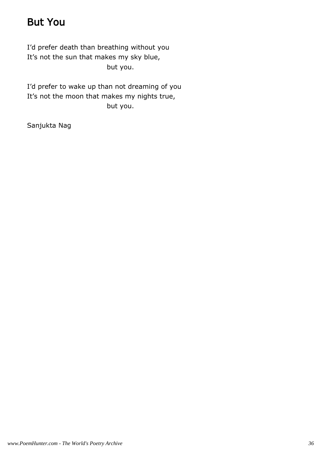# But You

I'd prefer death than breathing without you It's not the sun that makes my sky blue, but you.

I'd prefer to wake up than not dreaming of you It's not the moon that makes my nights true, but you.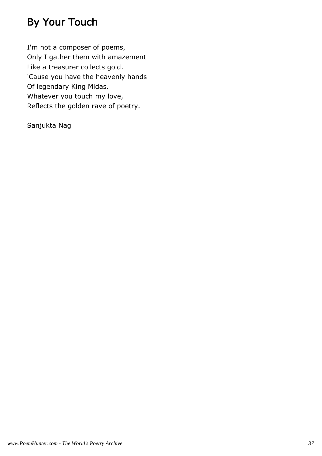# By Your Touch

I'm not a composer of poems, Only I gather them with amazement Like a treasurer collects gold. 'Cause you have the heavenly hands Of legendary King Midas. Whatever you touch my love, Reflects the golden rave of poetry.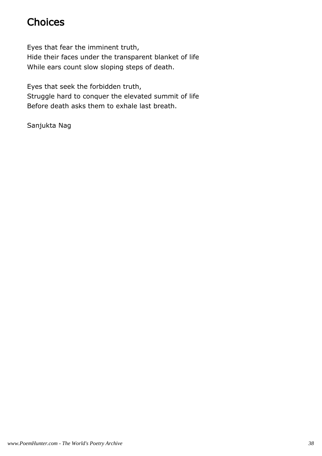# **Choices**

Eyes that fear the imminent truth, Hide their faces under the transparent blanket of life While ears count slow sloping steps of death.

Eyes that seek the forbidden truth, Struggle hard to conquer the elevated summit of life Before death asks them to exhale last breath.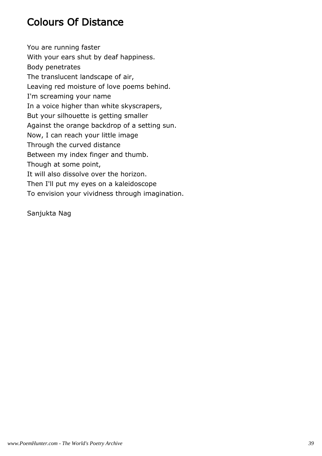# Colours Of Distance

You are running faster With your ears shut by deaf happiness. Body penetrates The translucent landscape of air, Leaving red moisture of love poems behind. I'm screaming your name In a voice higher than white skyscrapers, But your silhouette is getting smaller Against the orange backdrop of a setting sun. Now, I can reach your little image Through the curved distance Between my index finger and thumb. Though at some point, It will also dissolve over the horizon. Then I'll put my eyes on a kaleidoscope To envision your vividness through imagination.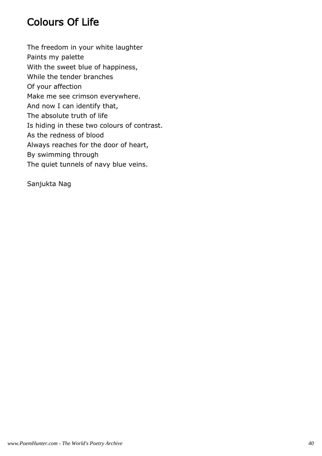# Colours Of Life

The freedom in your white laughter Paints my palette With the sweet blue of happiness, While the tender branches Of your affection Make me see crimson everywhere. And now I can identify that, The absolute truth of life Is hiding in these two colours of contrast. As the redness of blood Always reaches for the door of heart, By swimming through The quiet tunnels of navy blue veins.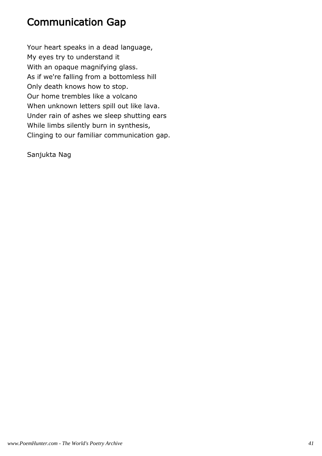### Communication Gap

Your heart speaks in a dead language, My eyes try to understand it With an opaque magnifying glass. As if we're falling from a bottomless hill Only death knows how to stop. Our home trembles like a volcano When unknown letters spill out like lava. Under rain of ashes we sleep shutting ears While limbs silently burn in synthesis, Clinging to our familiar communication gap.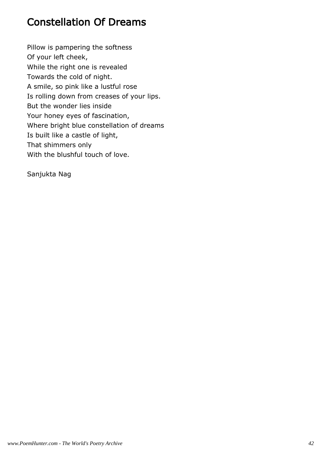# Constellation Of Dreams

Pillow is pampering the softness Of your left cheek, While the right one is revealed Towards the cold of night. A smile, so pink like a lustful rose Is rolling down from creases of your lips. But the wonder lies inside Your honey eyes of fascination, Where bright blue constellation of dreams Is built like a castle of light, That shimmers only With the blushful touch of love.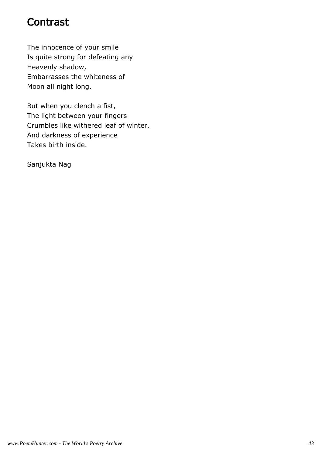# **Contrast**

The innocence of your smile Is quite strong for defeating any Heavenly shadow, Embarrasses the whiteness of Moon all night long.

But when you clench a fist, The light between your fingers Crumbles like withered leaf of winter, And darkness of experience Takes birth inside.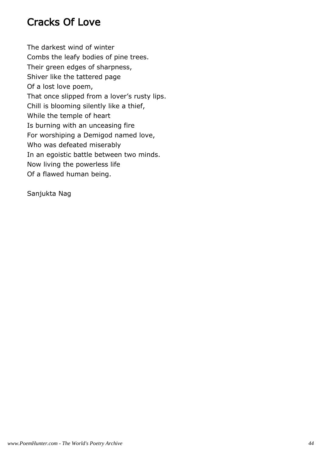# Cracks Of Love

The darkest wind of winter Combs the leafy bodies of pine trees. Their green edges of sharpness, Shiver like the tattered page Of a lost love poem, That once slipped from a lover's rusty lips. Chill is blooming silently like a thief, While the temple of heart Is burning with an unceasing fire For worshiping a Demigod named love, Who was defeated miserably In an egoistic battle between two minds. Now living the powerless life Of a flawed human being.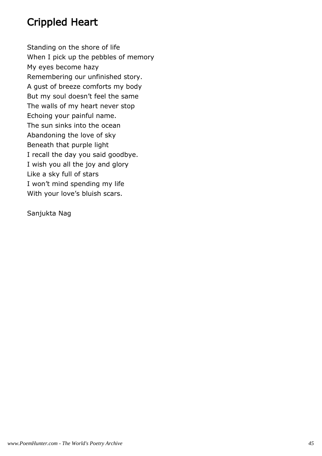# Crippled Heart

Standing on the shore of life When I pick up the pebbles of memory My eyes become hazy Remembering our unfinished story. A gust of breeze comforts my body But my soul doesn't feel the same The walls of my heart never stop Echoing your painful name. The sun sinks into the ocean Abandoning the love of sky Beneath that purple light I recall the day you said goodbye. I wish you all the joy and glory Like a sky full of stars I won't mind spending my life With your love's bluish scars.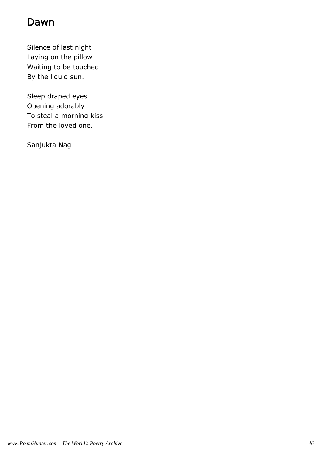### Dawn

Silence of last night Laying on the pillow Waiting to be touched By the liquid sun.

Sleep draped eyes Opening adorably To steal a morning kiss From the loved one.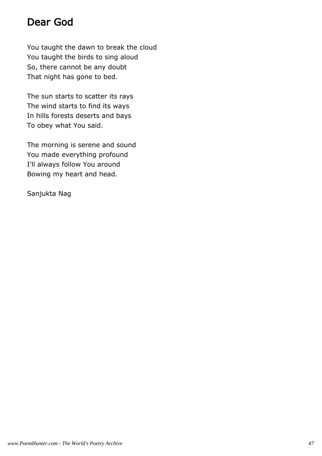### Dear God

You taught the dawn to break the cloud You taught the birds to sing aloud So, there cannot be any doubt That night has gone to bed.

The sun starts to scatter its rays The wind starts to find its ways In hills forests deserts and bays To obey what You said.

The morning is serene and sound You made everything profound I'll always follow You around Bowing my heart and head.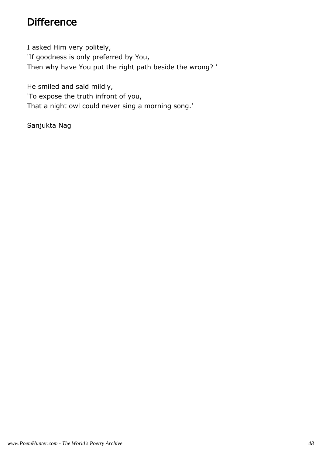### **Difference**

I asked Him very politely, 'If goodness is only preferred by You, Then why have You put the right path beside the wrong? '

He smiled and said mildly, 'To expose the truth infront of you, That a night owl could never sing a morning song.'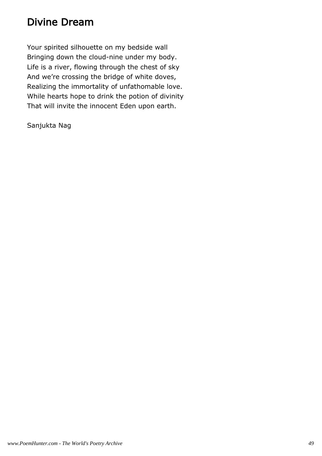# Divine Dream

Your spirited silhouette on my bedside wall Bringing down the cloud-nine under my body. Life is a river, flowing through the chest of sky And we're crossing the bridge of white doves, Realizing the immortality of unfathomable love. While hearts hope to drink the potion of divinity That will invite the innocent Eden upon earth.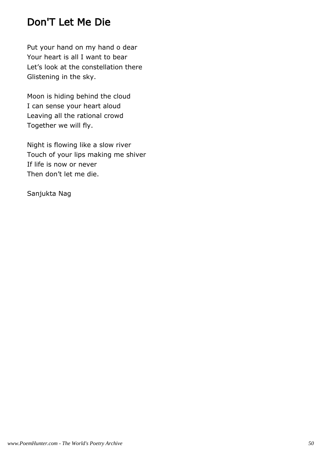# Don'T Let Me Die

Put your hand on my hand o dear Your heart is all I want to bear Let's look at the constellation there Glistening in the sky.

Moon is hiding behind the cloud I can sense your heart aloud Leaving all the rational crowd Together we will fly.

Night is flowing like a slow river Touch of your lips making me shiver If life is now or never Then don't let me die.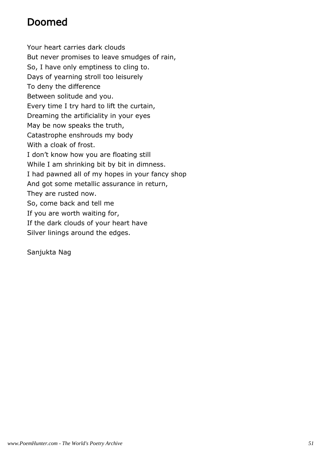# Doomed

Your heart carries dark clouds But never promises to leave smudges of rain, So, I have only emptiness to cling to. Days of yearning stroll too leisurely To deny the difference Between solitude and you. Every time I try hard to lift the curtain, Dreaming the artificiality in your eyes May be now speaks the truth, Catastrophe enshrouds my body With a cloak of frost. I don't know how you are floating still While I am shrinking bit by bit in dimness. I had pawned all of my hopes in your fancy shop And got some metallic assurance in return, They are rusted now. So, come back and tell me If you are worth waiting for, If the dark clouds of your heart have Silver linings around the edges.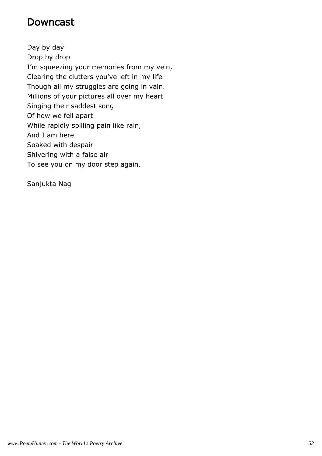### Downcast

Day by day Drop by drop I'm squeezing your memories from my vein, Clearing the clutters you've left in my life Though all my struggles are going in vain. Millions of your pictures all over my heart Singing their saddest song Of how we fell apart While rapidly spilling pain like rain, And I am here Soaked with despair Shivering with a false air To see you on my door step again.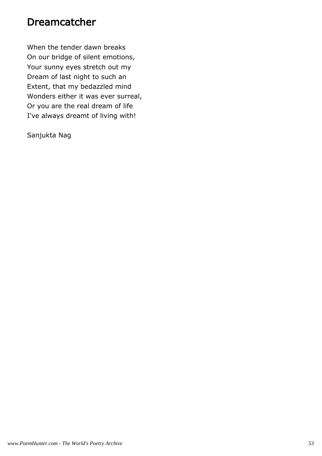### Dreamcatcher

When the tender dawn breaks On our bridge of silent emotions, Your sunny eyes stretch out my Dream of last night to such an Extent, that my bedazzled mind Wonders either it was ever surreal, Or you are the real dream of life I've always dreamt of living with!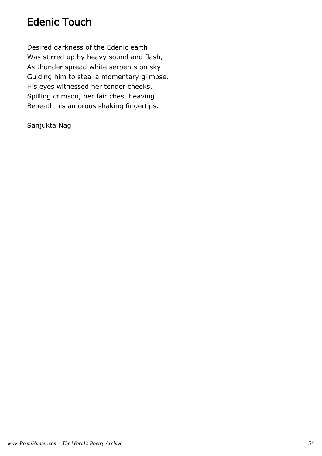### Edenic Touch

Desired darkness of the Edenic earth Was stirred up by heavy sound and flash, As thunder spread white serpents on sky Guiding him to steal a momentary glimpse. His eyes witnessed her tender cheeks, Spilling crimson, her fair chest heaving Beneath his amorous shaking fingertips.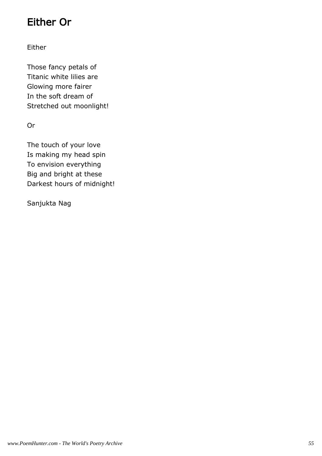# Either Or

#### Either

Those fancy petals of Titanic white lilies are Glowing more fairer In the soft dream of Stretched out moonlight!

Or

The touch of your love Is making my head spin To envision everything Big and bright at these Darkest hours of midnight!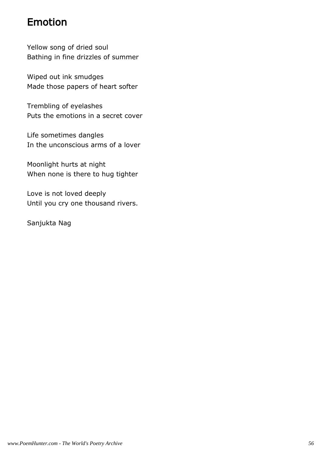# Emotion

Yellow song of dried soul Bathing in fine drizzles of summer

Wiped out ink smudges Made those papers of heart softer

Trembling of eyelashes Puts the emotions in a secret cover

Life sometimes dangles In the unconscious arms of a lover

Moonlight hurts at night When none is there to hug tighter

Love is not loved deeply Until you cry one thousand rivers.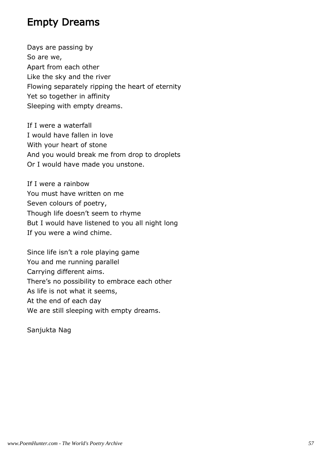### Empty Dreams

Days are passing by So are we, Apart from each other Like the sky and the river Flowing separately ripping the heart of eternity Yet so together in affinity Sleeping with empty dreams.

If I were a waterfall I would have fallen in love With your heart of stone And you would break me from drop to droplets Or I would have made you unstone.

If I were a rainbow You must have written on me Seven colours of poetry, Though life doesn't seem to rhyme But I would have listened to you all night long If you were a wind chime.

Since life isn't a role playing game You and me running parallel Carrying different aims. There's no possibility to embrace each other As life is not what it seems, At the end of each day We are still sleeping with empty dreams.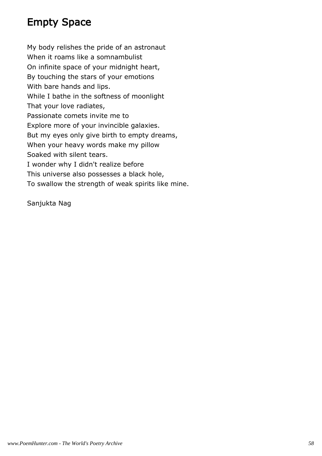# Empty Space

My body relishes the pride of an astronaut When it roams like a somnambulist On infinite space of your midnight heart, By touching the stars of your emotions With bare hands and lips. While I bathe in the softness of moonlight That your love radiates, Passionate comets invite me to Explore more of your invincible galaxies. But my eyes only give birth to empty dreams, When your heavy words make my pillow Soaked with silent tears. I wonder why I didn't realize before This universe also possesses a black hole, To swallow the strength of weak spirits like mine.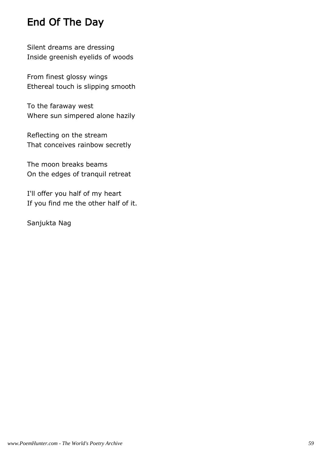# End Of The Day

Silent dreams are dressing Inside greenish eyelids of woods

From finest glossy wings Ethereal touch is slipping smooth

To the faraway west Where sun simpered alone hazily

Reflecting on the stream That conceives rainbow secretly

The moon breaks beams On the edges of tranquil retreat

I'll offer you half of my heart If you find me the other half of it.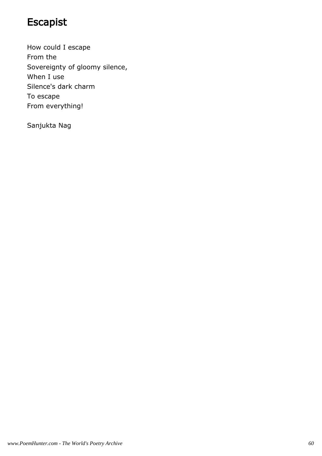# Escapist

How could I escape From the Sovereignty of gloomy silence, When I use Silence's dark charm To escape From everything!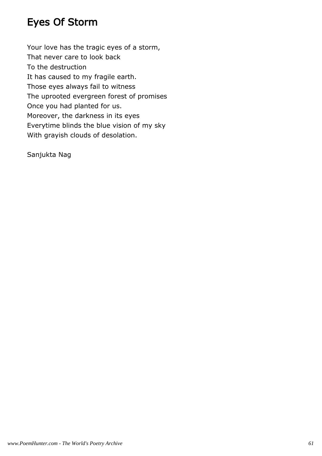# Eyes Of Storm

Your love has the tragic eyes of a storm, That never care to look back To the destruction It has caused to my fragile earth. Those eyes always fail to witness The uprooted evergreen forest of promises Once you had planted for us. Moreover, the darkness in its eyes Everytime blinds the blue vision of my sky With grayish clouds of desolation.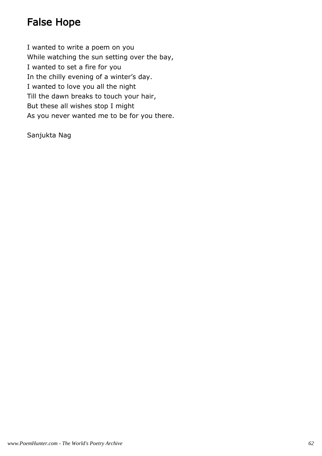# False Hope

I wanted to write a poem on you While watching the sun setting over the bay, I wanted to set a fire for you In the chilly evening of a winter's day. I wanted to love you all the night Till the dawn breaks to touch your hair, But these all wishes stop I might As you never wanted me to be for you there.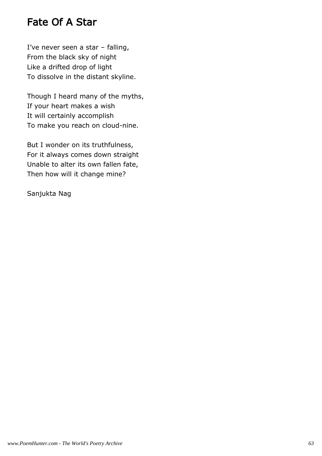### Fate Of A Star

I've never seen a star – falling, From the black sky of night Like a drifted drop of light To dissolve in the distant skyline.

Though I heard many of the myths, If your heart makes a wish It will certainly accomplish To make you reach on cloud-nine.

But I wonder on its truthfulness, For it always comes down straight Unable to alter its own fallen fate, Then how will it change mine?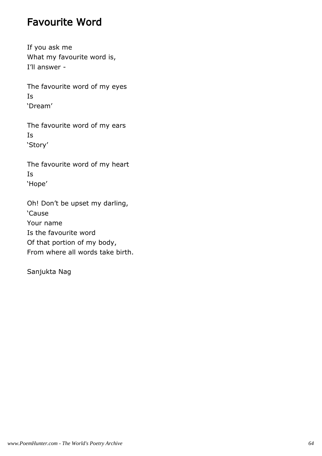### Favourite Word

If you ask me What my favourite word is, I'll answer -

The favourite word of my eyes Is 'Dream'

The favourite word of my ears Is 'Story'

The favourite word of my heart Is 'Hope'

Oh! Don't be upset my darling, 'Cause Your name Is the favourite word Of that portion of my body, From where all words take birth.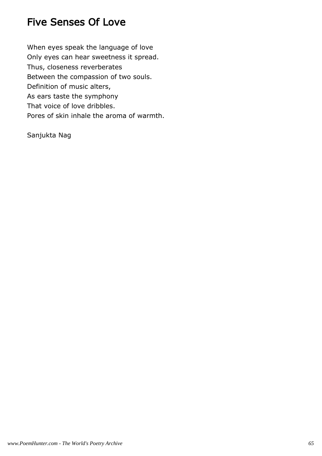### Five Senses Of Love

When eyes speak the language of love Only eyes can hear sweetness it spread. Thus, closeness reverberates Between the compassion of two souls. Definition of music alters, As ears taste the symphony That voice of love dribbles. Pores of skin inhale the aroma of warmth.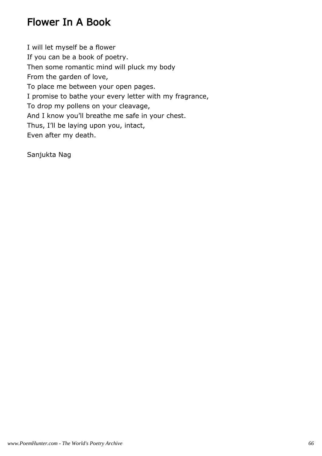### Flower In A Book

I will let myself be a flower If you can be a book of poetry. Then some romantic mind will pluck my body From the garden of love, To place me between your open pages. I promise to bathe your every letter with my fragrance, To drop my pollens on your cleavage, And I know you'll breathe me safe in your chest. Thus, I'll be laying upon you, intact, Even after my death.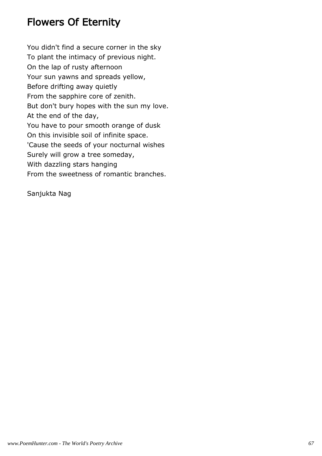### Flowers Of Eternity

You didn't find a secure corner in the sky To plant the intimacy of previous night. On the lap of rusty afternoon Your sun yawns and spreads yellow, Before drifting away quietly From the sapphire core of zenith. But don't bury hopes with the sun my love. At the end of the day, You have to pour smooth orange of dusk On this invisible soil of infinite space. 'Cause the seeds of your nocturnal wishes Surely will grow a tree someday, With dazzling stars hanging From the sweetness of romantic branches.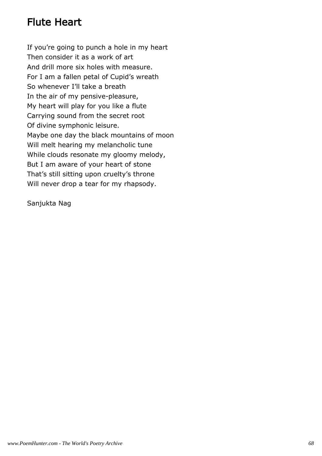# Flute Heart

If you're going to punch a hole in my heart Then consider it as a work of art And drill more six holes with measure. For I am a fallen petal of Cupid's wreath So whenever I'll take a breath In the air of my pensive-pleasure, My heart will play for you like a flute Carrying sound from the secret root Of divine symphonic leisure. Maybe one day the black mountains of moon Will melt hearing my melancholic tune While clouds resonate my gloomy melody, But I am aware of your heart of stone That's still sitting upon cruelty's throne Will never drop a tear for my rhapsody.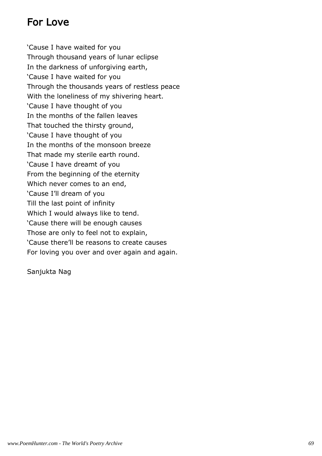# For Love

'Cause I have waited for you Through thousand years of lunar eclipse In the darkness of unforgiving earth, 'Cause I have waited for you Through the thousands years of restless peace With the loneliness of my shivering heart. 'Cause I have thought of you In the months of the fallen leaves That touched the thirsty ground, 'Cause I have thought of you In the months of the monsoon breeze That made my sterile earth round. 'Cause I have dreamt of you From the beginning of the eternity Which never comes to an end, 'Cause I'll dream of you Till the last point of infinity Which I would always like to tend. 'Cause there will be enough causes Those are only to feel not to explain, 'Cause there'll be reasons to create causes For loving you over and over again and again.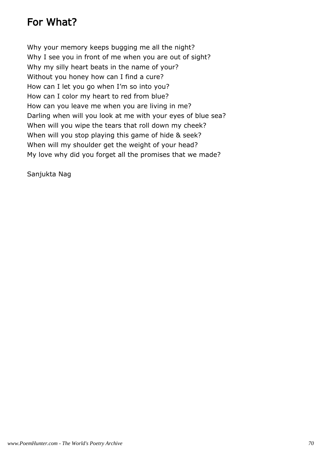# For What?

Why your memory keeps bugging me all the night? Why I see you in front of me when you are out of sight? Why my silly heart beats in the name of your? Without you honey how can I find a cure? How can I let you go when I'm so into you? How can I color my heart to red from blue? How can you leave me when you are living in me? Darling when will you look at me with your eyes of blue sea? When will you wipe the tears that roll down my cheek? When will you stop playing this game of hide & seek? When will my shoulder get the weight of your head? My love why did you forget all the promises that we made?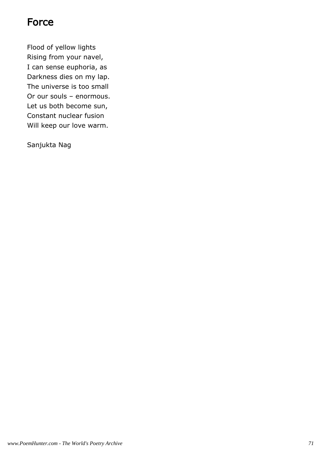### **Force**

Flood of yellow lights Rising from your navel, I can sense euphoria, as Darkness dies on my lap. The universe is too small Or our souls – enormous. Let us both become sun, Constant nuclear fusion Will keep our love warm.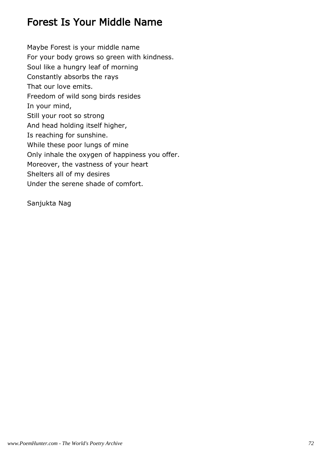#### Forest Is Your Middle Name

Maybe Forest is your middle name For your body grows so green with kindness. Soul like a hungry leaf of morning Constantly absorbs the rays That our love emits. Freedom of wild song birds resides In your mind, Still your root so strong And head holding itself higher, Is reaching for sunshine. While these poor lungs of mine Only inhale the oxygen of happiness you offer. Moreover, the vastness of your heart Shelters all of my desires Under the serene shade of comfort.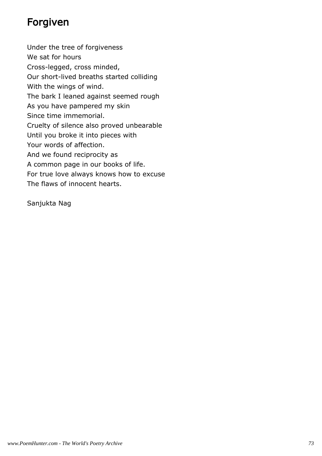## Forgiven

Under the tree of forgiveness We sat for hours Cross-legged, cross minded, Our short-lived breaths started colliding With the wings of wind. The bark I leaned against seemed rough As you have pampered my skin Since time immemorial. Cruelty of silence also proved unbearable Until you broke it into pieces with Your words of affection. And we found reciprocity as A common page in our books of life. For true love always knows how to excuse The flaws of innocent hearts.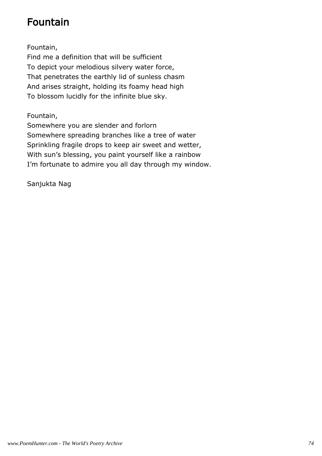# Fountain

Fountain,

Find me a definition that will be sufficient To depict your melodious silvery water force, That penetrates the earthly lid of sunless chasm And arises straight, holding its foamy head high To blossom lucidly for the infinite blue sky.

Fountain,

Somewhere you are slender and forlorn Somewhere spreading branches like a tree of water Sprinkling fragile drops to keep air sweet and wetter, With sun's blessing, you paint yourself like a rainbow I'm fortunate to admire you all day through my window.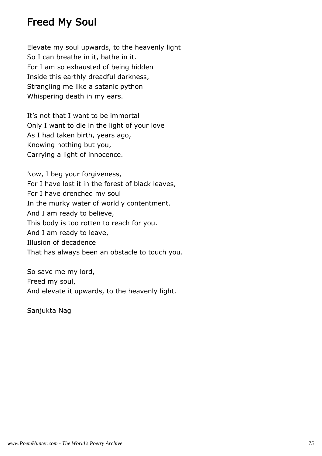#### Freed My Soul

Elevate my soul upwards, to the heavenly light So I can breathe in it, bathe in it. For I am so exhausted of being hidden Inside this earthly dreadful darkness, Strangling me like a satanic python Whispering death in my ears.

It's not that I want to be immortal Only I want to die in the light of your love As I had taken birth, years ago, Knowing nothing but you, Carrying a light of innocence.

Now, I beg your forgiveness, For I have lost it in the forest of black leaves, For I have drenched my soul In the murky water of worldly contentment. And I am ready to believe, This body is too rotten to reach for you. And I am ready to leave, Illusion of decadence That has always been an obstacle to touch you.

So save me my lord, Freed my soul, And elevate it upwards, to the heavenly light.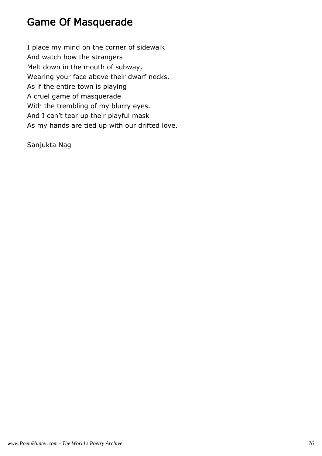#### Game Of Masquerade

I place my mind on the corner of sidewalk And watch how the strangers Melt down in the mouth of subway, Wearing your face above their dwarf necks. As if the entire town is playing A cruel game of masquerade With the trembling of my blurry eyes. And I can't tear up their playful mask As my hands are tied up with our drifted love.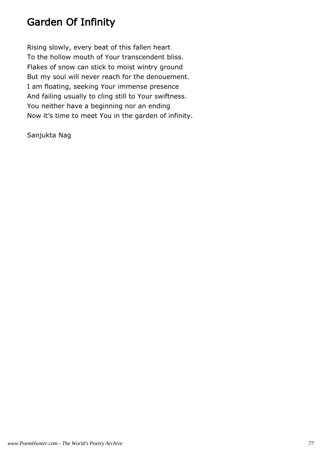#### Garden Of Infinity

Rising slowly, every beat of this fallen heart To the hollow mouth of Your transcendent bliss. Flakes of snow can stick to moist wintry ground But my soul will never reach for the denouement. I am floating, seeking Your immense presence And failing usually to cling still to Your swiftness. You neither have a beginning nor an ending Now it's time to meet You in the garden of infinity.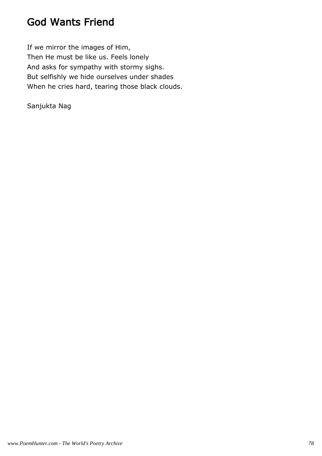#### God Wants Friend

If we mirror the images of Him, Then He must be like us. Feels lonely And asks for sympathy with stormy sighs. But selfishly we hide ourselves under shades When he cries hard, tearing those black clouds.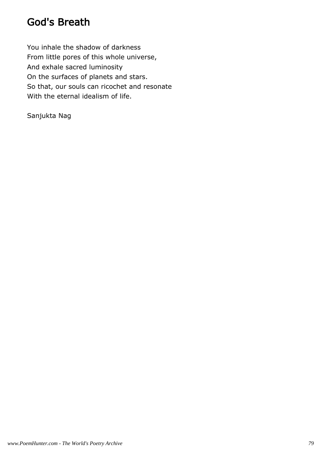#### God's Breath

You inhale the shadow of darkness From little pores of this whole universe, And exhale sacred luminosity On the surfaces of planets and stars. So that, our souls can ricochet and resonate With the eternal idealism of life.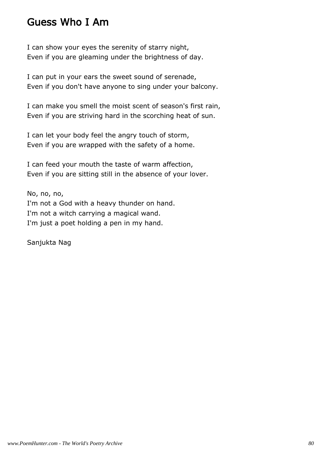#### Guess Who I Am

I can show your eyes the serenity of starry night, Even if you are gleaming under the brightness of day.

I can put in your ears the sweet sound of serenade, Even if you don't have anyone to sing under your balcony.

I can make you smell the moist scent of season's first rain, Even if you are striving hard in the scorching heat of sun.

I can let your body feel the angry touch of storm, Even if you are wrapped with the safety of a home.

I can feed your mouth the taste of warm affection, Even if you are sitting still in the absence of your lover.

No, no, no, I'm not a God with a heavy thunder on hand. I'm not a witch carrying a magical wand. I'm just a poet holding a pen in my hand.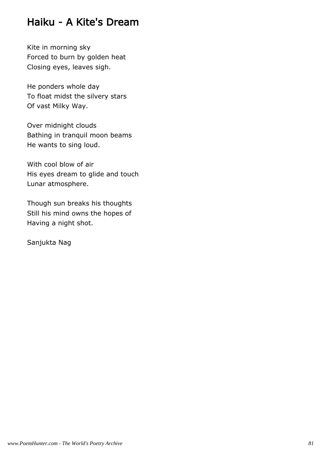#### Haiku - A Kite's Dream

Kite in morning sky Forced to burn by golden heat Closing eyes, leaves sigh.

He ponders whole day To float midst the silvery stars Of vast Milky Way.

Over midnight clouds Bathing in tranquil moon beams He wants to sing loud.

With cool blow of air His eyes dream to glide and touch Lunar atmosphere.

Though sun breaks his thoughts Still his mind owns the hopes of Having a night shot.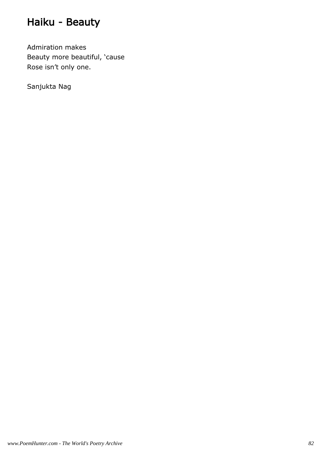# Haiku - Beauty

Admiration makes Beauty more beautiful, 'cause Rose isn't only one.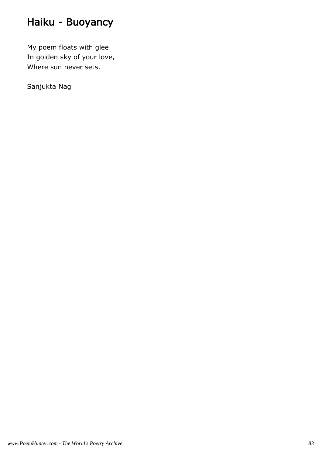# Haiku - Buoyancy

My poem floats with glee In golden sky of your love, Where sun never sets.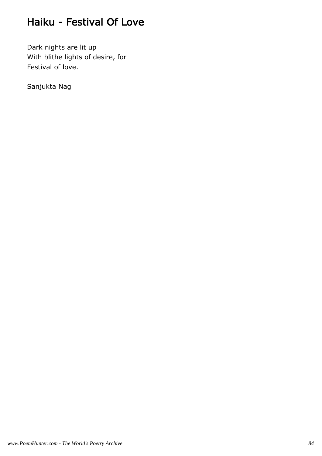### Haiku - Festival Of Love

Dark nights are lit up With blithe lights of desire, for Festival of love.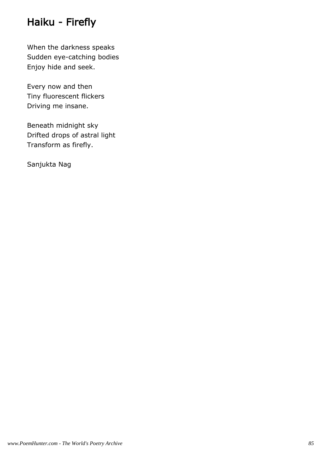# Haiku - Firefly

When the darkness speaks Sudden eye-catching bodies Enjoy hide and seek.

Every now and then Tiny fluorescent flickers Driving me insane.

Beneath midnight sky Drifted drops of astral light Transform as firefly.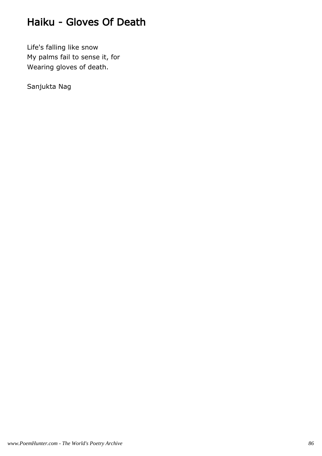## Haiku - Gloves Of Death

Life's falling like snow My palms fail to sense it, for Wearing gloves of death.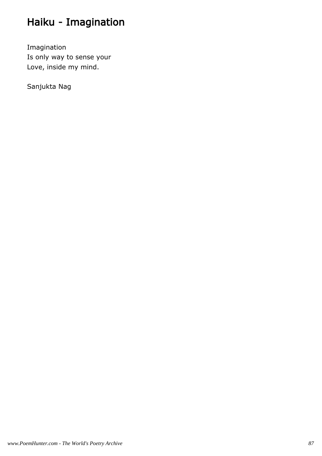# Haiku - Imagination

Imagination Is only way to sense your Love, inside my mind.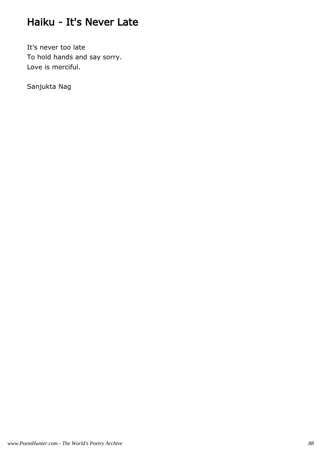## Haiku - It's Never Late

It's never too late To hold hands and say sorry. Love is merciful.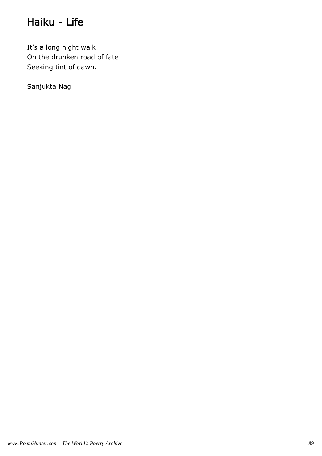## Haiku - Life

It's a long night walk On the drunken road of fate Seeking tint of dawn.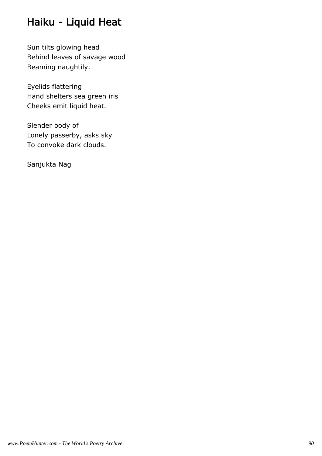# Haiku - Liquid Heat

Sun tilts glowing head Behind leaves of savage wood Beaming naughtily.

Eyelids flattering Hand shelters sea green iris Cheeks emit liquid heat.

Slender body of Lonely passerby, asks sky To convoke dark clouds.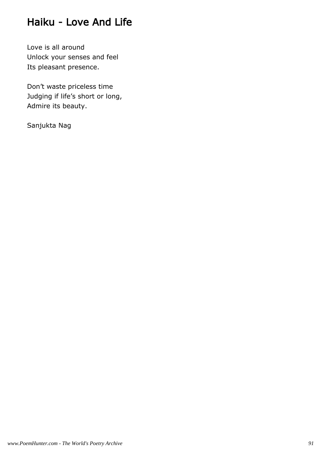#### Haiku - Love And Life

Love is all around Unlock your senses and feel Its pleasant presence.

Don't waste priceless time Judging if life's short or long, Admire its beauty.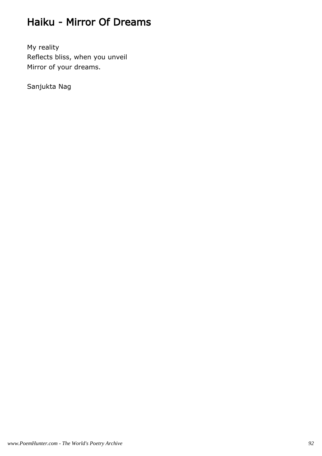### Haiku - Mirror Of Dreams

My reality Reflects bliss, when you unveil Mirror of your dreams.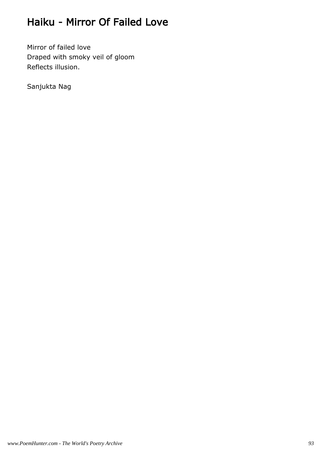# Haiku - Mirror Of Failed Love

Mirror of failed love Draped with smoky veil of gloom Reflects illusion.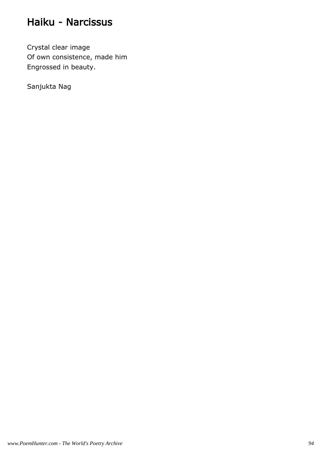#### Haiku - Narcissus

Crystal clear image Of own consistence, made him Engrossed in beauty.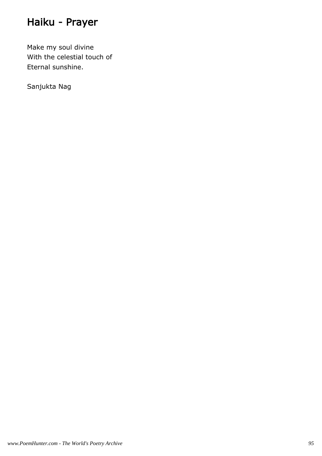# Haiku - Prayer

Make my soul divine With the celestial touch of Eternal sunshine.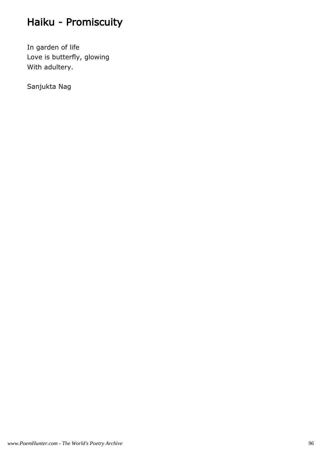# Haiku - Promiscuity

In garden of life Love is butterfly, glowing With adultery.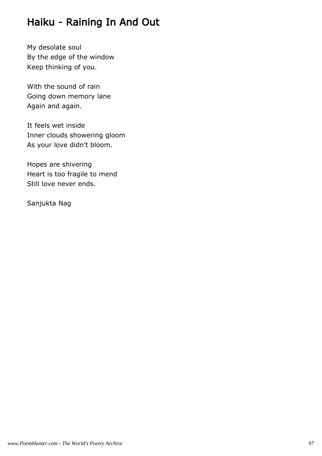## Haiku - Raining In And Out

My desolate soul By the edge of the window Keep thinking of you.

With the sound of rain Going down memory lane Again and again.

It feels wet inside Inner clouds showering gloom As your love didn't bloom.

Hopes are shivering Heart is too fragile to mend Still love never ends.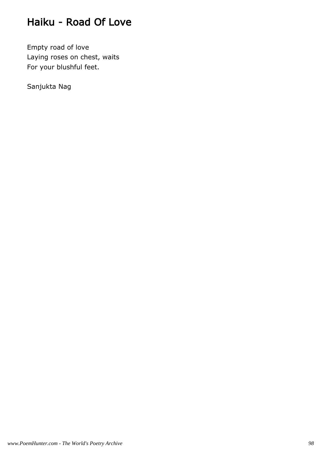## Haiku - Road Of Love

Empty road of love Laying roses on chest, waits For your blushful feet.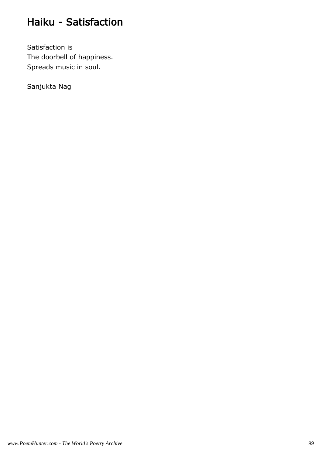## Haiku - Satisfaction

Satisfaction is The doorbell of happiness. Spreads music in soul.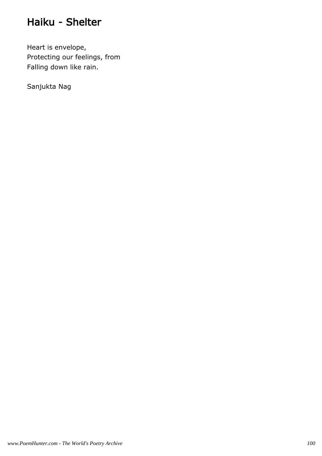#### Haiku - Shelter

Heart is envelope, Protecting our feelings, from Falling down like rain.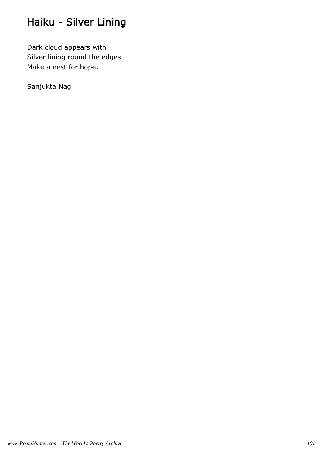# Haiku - Silver Lining

Dark cloud appears with Silver lining round the edges. Make a nest for hope.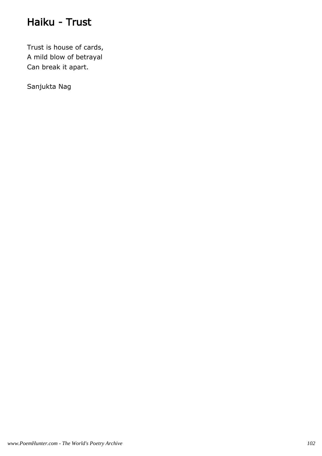## Haiku - Trust

Trust is house of cards, A mild blow of betrayal Can break it apart.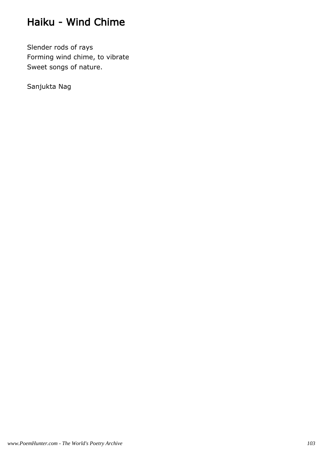# Haiku - Wind Chime

Slender rods of rays Forming wind chime, to vibrate Sweet songs of nature.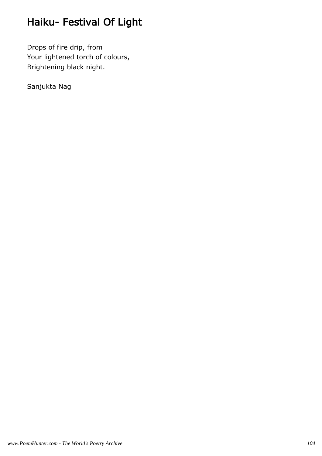# Haiku- Festival Of Light

Drops of fire drip, from Your lightened torch of colours, Brightening black night.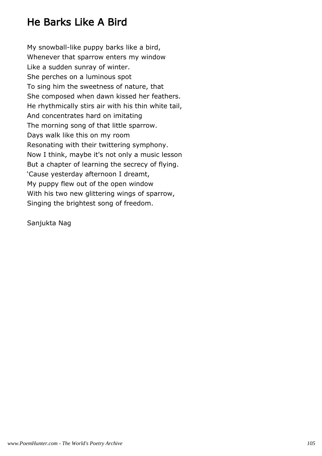## He Barks Like A Bird

My snowball-like puppy barks like a bird, Whenever that sparrow enters my window Like a sudden sunray of winter. She perches on a luminous spot To sing him the sweetness of nature, that She composed when dawn kissed her feathers. He rhythmically stirs air with his thin white tail, And concentrates hard on imitating The morning song of that little sparrow. Days walk like this on my room Resonating with their twittering symphony. Now I think, maybe it's not only a music lesson But a chapter of learning the secrecy of flying. 'Cause yesterday afternoon I dreamt, My puppy flew out of the open window With his two new glittering wings of sparrow, Singing the brightest song of freedom.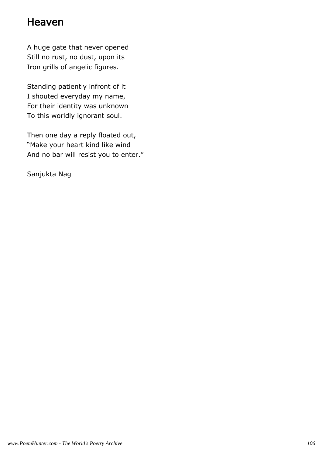#### Heaven

A huge gate that never opened Still no rust, no dust, upon its Iron grills of angelic figures.

Standing patiently infront of it I shouted everyday my name, For their identity was unknown To this worldly ignorant soul.

Then one day a reply floated out, "Make your heart kind like wind And no bar will resist you to enter."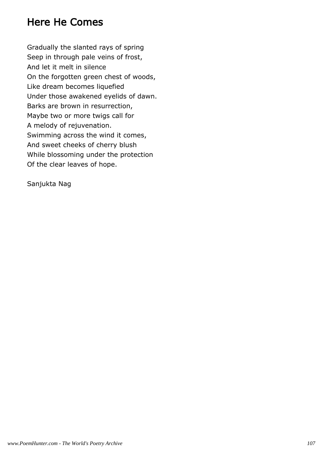#### Here He Comes

Gradually the slanted rays of spring Seep in through pale veins of frost, And let it melt in silence On the forgotten green chest of woods, Like dream becomes liquefied Under those awakened eyelids of dawn. Barks are brown in resurrection, Maybe two or more twigs call for A melody of rejuvenation. Swimming across the wind it comes, And sweet cheeks of cherry blush While blossoming under the protection Of the clear leaves of hope.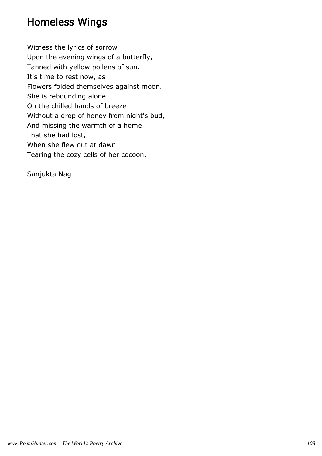### Homeless Wings

Witness the lyrics of sorrow Upon the evening wings of a butterfly, Tanned with yellow pollens of sun. It's time to rest now, as Flowers folded themselves against moon. She is rebounding alone On the chilled hands of breeze Without a drop of honey from night's bud, And missing the warmth of a home That she had lost, When she flew out at dawn Tearing the cozy cells of her cocoon.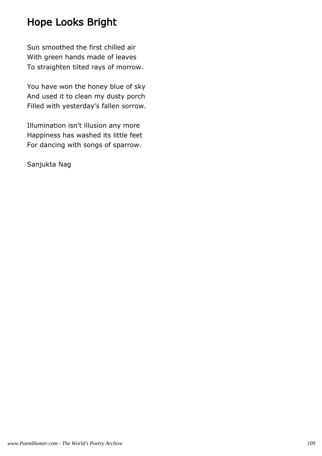## Hope Looks Bright

Sun smoothed the first chilled air With green hands made of leaves To straighten tilted rays of morrow.

You have won the honey blue of sky And used it to clean my dusty porch Filled with yesterday's fallen sorrow.

Illumination isn't illusion any more Happiness has washed its little feet For dancing with songs of sparrow.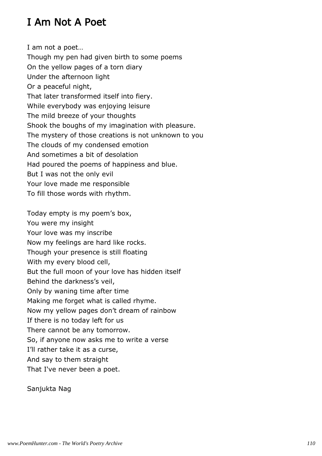## I Am Not A Poet

I am not a poet…

Though my pen had given birth to some poems On the yellow pages of a torn diary Under the afternoon light Or a peaceful night, That later transformed itself into fiery. While everybody was enjoying leisure The mild breeze of your thoughts Shook the boughs of my imagination with pleasure. The mystery of those creations is not unknown to you The clouds of my condensed emotion And sometimes a bit of desolation Had poured the poems of happiness and blue. But I was not the only evil Your love made me responsible To fill those words with rhythm.

Today empty is my poem's box, You were my insight Your love was my inscribe Now my feelings are hard like rocks. Though your presence is still floating With my every blood cell, But the full moon of your love has hidden itself Behind the darkness's veil, Only by waning time after time Making me forget what is called rhyme. Now my yellow pages don't dream of rainbow If there is no today left for us There cannot be any tomorrow. So, if anyone now asks me to write a verse I'll rather take it as a curse, And say to them straight That I've never been a poet.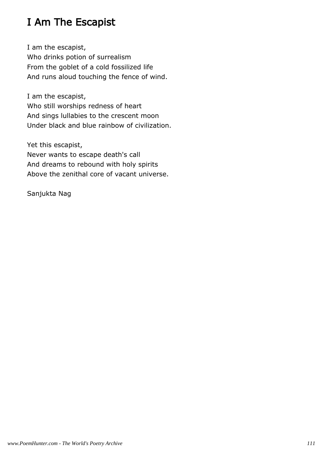## I Am The Escapist

I am the escapist, Who drinks potion of surrealism From the goblet of a cold fossilized life And runs aloud touching the fence of wind.

I am the escapist, Who still worships redness of heart And sings lullabies to the crescent moon Under black and blue rainbow of civilization.

Yet this escapist, Never wants to escape death's call And dreams to rebound with holy spirits Above the zenithal core of vacant universe.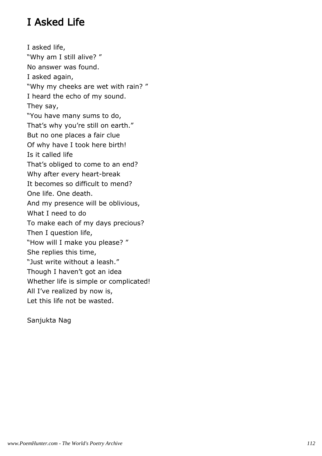## I Asked Life

I asked life, "Why am I still alive? " No answer was found. I asked again, "Why my cheeks are wet with rain? " I heard the echo of my sound. They say, "You have many sums to do, That's why you're still on earth." But no one places a fair clue Of why have I took here birth! Is it called life That's obliged to come to an end? Why after every heart-break It becomes so difficult to mend? One life. One death. And my presence will be oblivious, What I need to do To make each of my days precious? Then I question life, "How will I make you please? " She replies this time, "Just write without a leash." Though I haven't got an idea Whether life is simple or complicated! All I've realized by now is, Let this life not be wasted.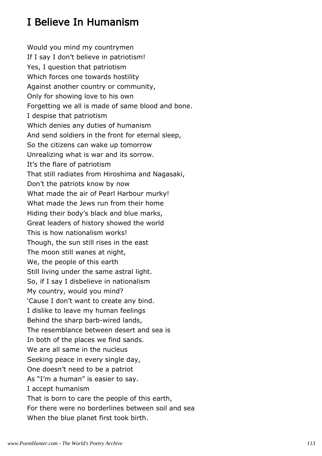## I Believe In Humanism

Would you mind my countrymen If I say I don't believe in patriotism! Yes, I question that patriotism Which forces one towards hostility Against another country or community, Only for showing love to his own Forgetting we all is made of same blood and bone. I despise that patriotism Which denies any duties of humanism And send soldiers in the front for eternal sleep, So the citizens can wake up tomorrow Unrealizing what is war and its sorrow. It's the flare of patriotism That still radiates from Hiroshima and Nagasaki, Don't the patriots know by now What made the air of Pearl Harbour murky! What made the Jews run from their home Hiding their body's black and blue marks, Great leaders of history showed the world This is how nationalism works! Though, the sun still rises in the east The moon still wanes at night, We, the people of this earth Still living under the same astral light. So, if I say I disbelieve in nationalism My country, would you mind? 'Cause I don't want to create any bind. I dislike to leave my human feelings Behind the sharp barb-wired lands, The resemblance between desert and sea is In both of the places we find sands. We are all same in the nucleus Seeking peace in every single day, One doesn't need to be a patriot As "I'm a human" is easier to say. I accept humanism That is born to care the people of this earth, For there were no borderlines between soil and sea When the blue planet first took birth.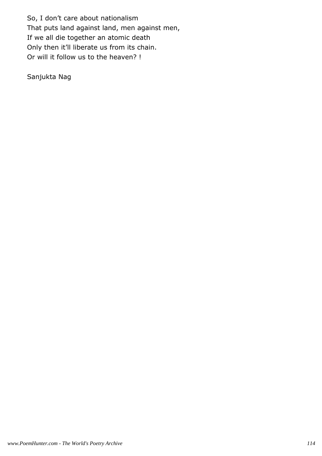So, I don't care about nationalism That puts land against land, men against men, If we all die together an atomic death Only then it'll liberate us from its chain. Or will it follow us to the heaven? !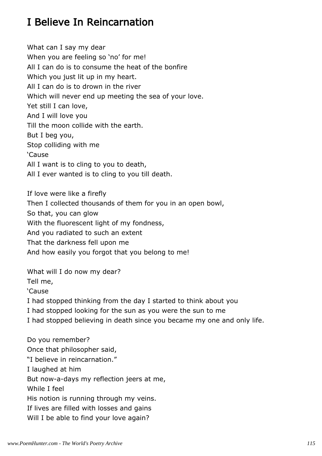## I Believe In Reincarnation

What can I say my dear When you are feeling so 'no' for me! All I can do is to consume the heat of the bonfire Which you just lit up in my heart. All I can do is to drown in the river Which will never end up meeting the sea of your love. Yet still I can love, And I will love you Till the moon collide with the earth. But I beg you, Stop colliding with me 'Cause All I want is to cling to you to death, All I ever wanted is to cling to you till death.

If love were like a firefly Then I collected thousands of them for you in an open bowl, So that, you can glow With the fluorescent light of my fondness, And you radiated to such an extent That the darkness fell upon me And how easily you forgot that you belong to me!

What will I do now my dear?

Tell me,

'Cause

I had stopped thinking from the day I started to think about you

I had stopped looking for the sun as you were the sun to me

I had stopped believing in death since you became my one and only life.

Do you remember? Once that philosopher said, "I believe in reincarnation." I laughed at him But now-a-days my reflection jeers at me, While I feel His notion is running through my veins. If lives are filled with losses and gains Will I be able to find your love again?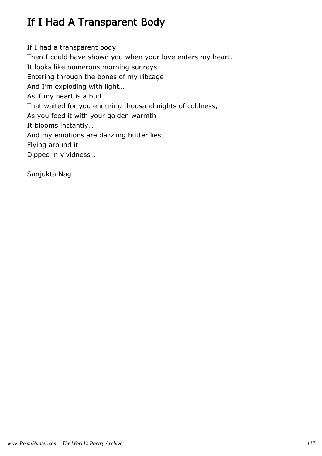# If I Had A Transparent Body

If I had a transparent body Then I could have shown you when your love enters my heart, It looks like numerous morning sunrays Entering through the bones of my ribcage And I'm exploding with light… As if my heart is a bud That waited for you enduring thousand nights of coldness, As you feed it with your golden warmth It blooms instantly… And my emotions are dazzling butterflies Flying around it Dipped in vividness…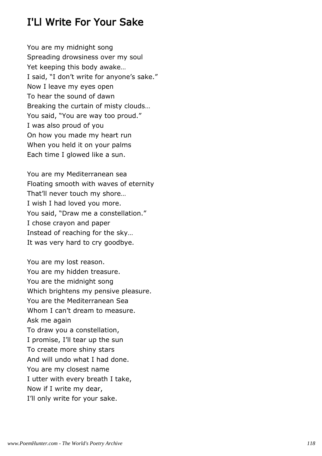#### I'Ll Write For Your Sake

You are my midnight song Spreading drowsiness over my soul Yet keeping this body awake… I said, "I don't write for anyone's sake." Now I leave my eyes open To hear the sound of dawn Breaking the curtain of misty clouds… You said, "You are way too proud." I was also proud of you On how you made my heart run When you held it on your palms Each time I glowed like a sun.

You are my Mediterranean sea Floating smooth with waves of eternity That'll never touch my shore… I wish I had loved you more. You said, "Draw me a constellation." I chose crayon and paper Instead of reaching for the sky… It was very hard to cry goodbye.

You are my lost reason. You are my hidden treasure. You are the midnight song Which brightens my pensive pleasure. You are the Mediterranean Sea Whom I can't dream to measure. Ask me again To draw you a constellation, I promise, I'll tear up the sun To create more shiny stars And will undo what I had done. You are my closest name I utter with every breath I take, Now if I write my dear, I'll only write for your sake.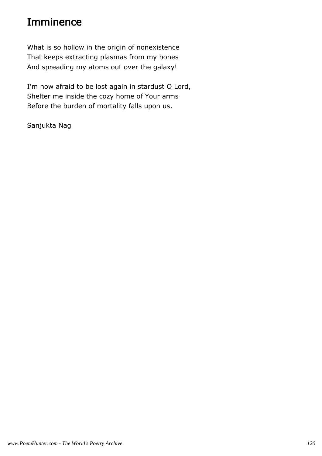#### Imminence

What is so hollow in the origin of nonexistence That keeps extracting plasmas from my bones And spreading my atoms out over the galaxy!

I'm now afraid to be lost again in stardust O Lord, Shelter me inside the cozy home of Your arms Before the burden of mortality falls upon us.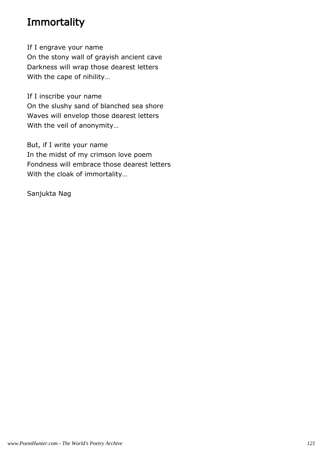### **Immortality**

If I engrave your name On the stony wall of grayish ancient cave Darkness will wrap those dearest letters With the cape of nihility…

If I inscribe your name On the slushy sand of blanched sea shore Waves will envelop those dearest letters With the veil of anonymity…

But, if I write your name In the midst of my crimson love poem Fondness will embrace those dearest letters With the cloak of immortality…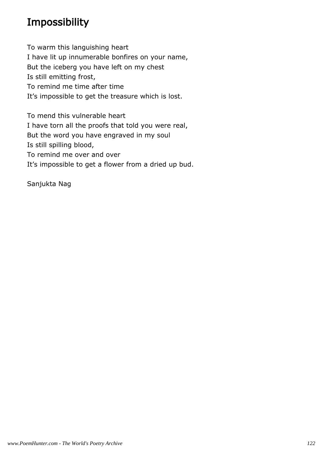## Impossibility

To warm this languishing heart I have lit up innumerable bonfires on your name, But the iceberg you have left on my chest Is still emitting frost, To remind me time after time It's impossible to get the treasure which is lost.

To mend this vulnerable heart I have torn all the proofs that told you were real, But the word you have engraved in my soul Is still spilling blood, To remind me over and over It's impossible to get a flower from a dried up bud.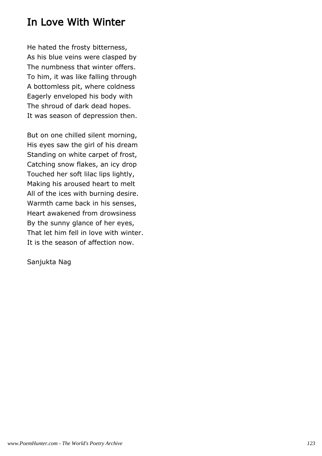#### In Love With Winter

He hated the frosty bitterness, As his blue veins were clasped by The numbness that winter offers. To him, it was like falling through A bottomless pit, where coldness Eagerly enveloped his body with The shroud of dark dead hopes. It was season of depression then.

But on one chilled silent morning, His eyes saw the girl of his dream Standing on white carpet of frost, Catching snow flakes, an icy drop Touched her soft lilac lips lightly, Making his aroused heart to melt All of the ices with burning desire. Warmth came back in his senses, Heart awakened from drowsiness By the sunny glance of her eyes, That let him fell in love with winter. It is the season of affection now.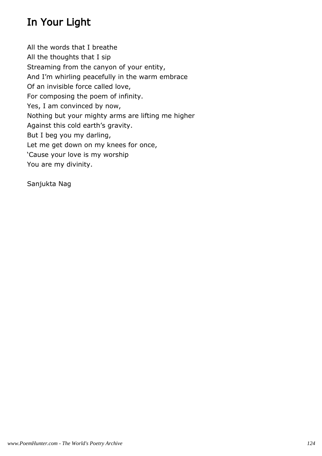# In Your Light

All the words that I breathe All the thoughts that I sip Streaming from the canyon of your entity, And I'm whirling peacefully in the warm embrace Of an invisible force called love, For composing the poem of infinity. Yes, I am convinced by now, Nothing but your mighty arms are lifting me higher Against this cold earth's gravity. But I beg you my darling, Let me get down on my knees for once, 'Cause your love is my worship You are my divinity.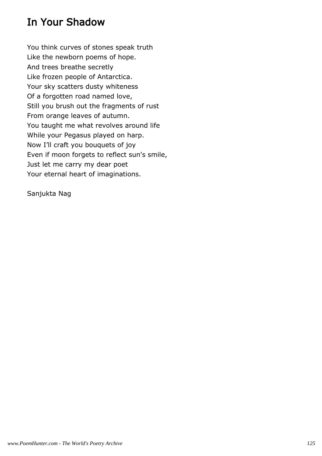### In Your Shadow

You think curves of stones speak truth Like the newborn poems of hope. And trees breathe secretly Like frozen people of Antarctica. Your sky scatters dusty whiteness Of a forgotten road named love, Still you brush out the fragments of rust From orange leaves of autumn. You taught me what revolves around life While your Pegasus played on harp. Now I'll craft you bouquets of joy Even if moon forgets to reflect sun's smile, Just let me carry my dear poet Your eternal heart of imaginations.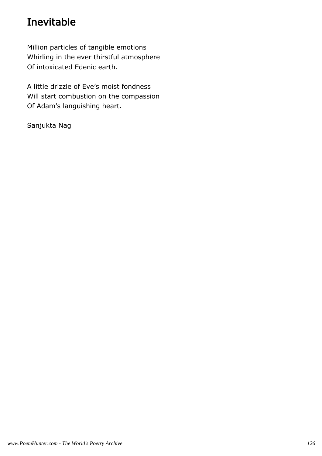## Inevitable

Million particles of tangible emotions Whirling in the ever thirstful atmosphere Of intoxicated Edenic earth.

A little drizzle of Eve's moist fondness Will start combustion on the compassion Of Adam's languishing heart.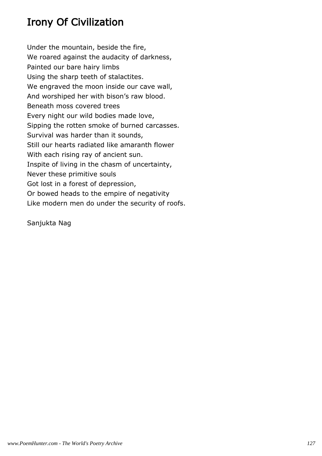# Irony Of Civilization

Under the mountain, beside the fire, We roared against the audacity of darkness, Painted our bare hairy limbs Using the sharp teeth of stalactites. We engraved the moon inside our cave wall, And worshiped her with bison's raw blood. Beneath moss covered trees Every night our wild bodies made love, Sipping the rotten smoke of burned carcasses. Survival was harder than it sounds, Still our hearts radiated like amaranth flower With each rising ray of ancient sun. Inspite of living in the chasm of uncertainty, Never these primitive souls Got lost in a forest of depression, Or bowed heads to the empire of negativity Like modern men do under the security of roofs.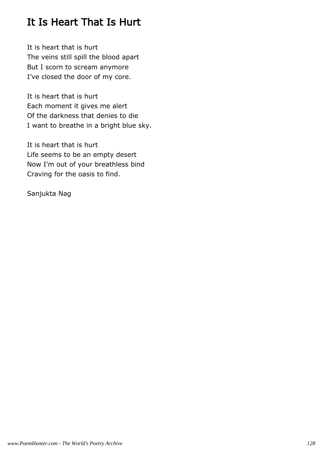## It Is Heart That Is Hurt

It is heart that is hurt The veins still spill the blood apart But I scorn to scream anymore I've closed the door of my core.

It is heart that is hurt Each moment it gives me alert Of the darkness that denies to die I want to breathe in a bright blue sky.

It is heart that is hurt Life seems to be an empty desert Now I'm out of your breathless bind Craving for the oasis to find.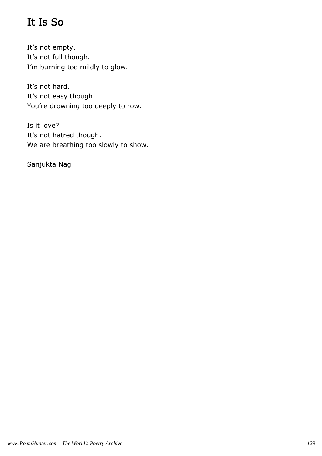# It Is So

It's not empty. It's not full though. I'm burning too mildly to glow.

It's not hard. It's not easy though. You're drowning too deeply to row.

Is it love? It's not hatred though. We are breathing too slowly to show.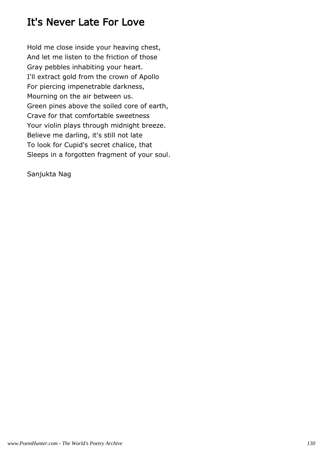### It's Never Late For Love

Hold me close inside your heaving chest, And let me listen to the friction of those Gray pebbles inhabiting your heart. I'll extract gold from the crown of Apollo For piercing impenetrable darkness, Mourning on the air between us. Green pines above the soiled core of earth, Crave for that comfortable sweetness Your violin plays through midnight breeze. Believe me darling, it's still not late To look for Cupid's secret chalice, that Sleeps in a forgotten fragment of your soul.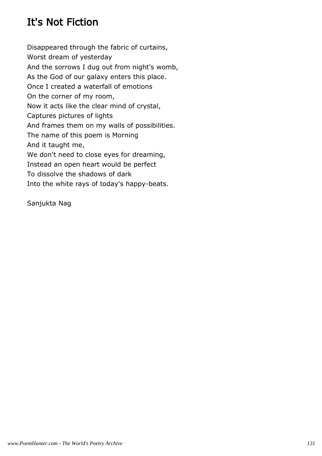# It's Not Fiction

Disappeared through the fabric of curtains, Worst dream of yesterday And the sorrows I dug out from night's womb, As the God of our galaxy enters this place. Once I created a waterfall of emotions On the corner of my room, Now it acts like the clear mind of crystal, Captures pictures of lights And frames them on my walls of possibilities. The name of this poem is Morning And it taught me, We don't need to close eyes for dreaming, Instead an open heart would be perfect To dissolve the shadows of dark Into the white rays of today's happy-beats.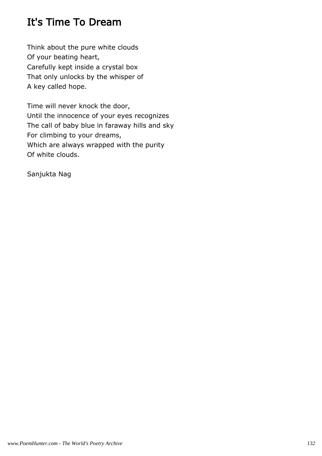## It's Time To Dream

Think about the pure white clouds Of your beating heart, Carefully kept inside a crystal box That only unlocks by the whisper of A key called hope.

Time will never knock the door, Until the innocence of your eyes recognizes The call of baby blue in faraway hills and sky For climbing to your dreams, Which are always wrapped with the purity Of white clouds.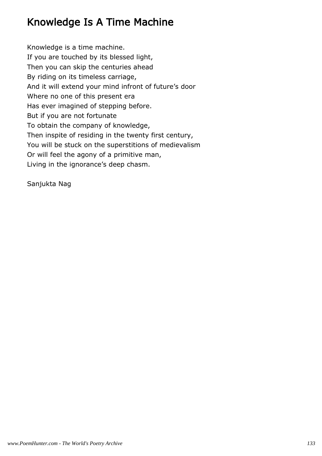### Knowledge Is A Time Machine

Knowledge is a time machine. If you are touched by its blessed light, Then you can skip the centuries ahead By riding on its timeless carriage, And it will extend your mind infront of future's door Where no one of this present era Has ever imagined of stepping before. But if you are not fortunate To obtain the company of knowledge, Then inspite of residing in the twenty first century, You will be stuck on the superstitions of medievalism Or will feel the agony of a primitive man, Living in the ignorance's deep chasm.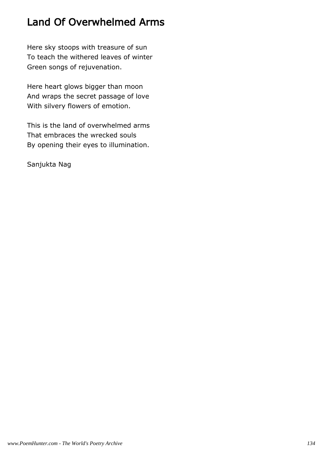## Land Of Overwhelmed Arms

Here sky stoops with treasure of sun To teach the withered leaves of winter Green songs of rejuvenation.

Here heart glows bigger than moon And wraps the secret passage of love With silvery flowers of emotion.

This is the land of overwhelmed arms That embraces the wrecked souls By opening their eyes to illumination.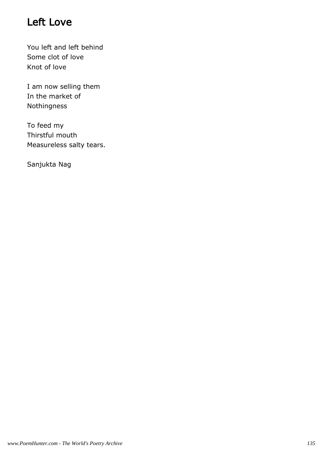## Left Love

You left and left behind Some clot of love Knot of love

I am now selling them In the market of Nothingness

To feed my Thirstful mouth Measureless salty tears.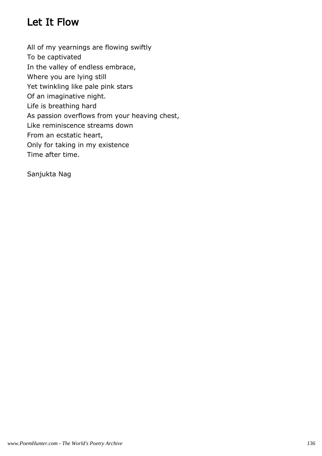#### Let It Flow

All of my yearnings are flowing swiftly To be captivated In the valley of endless embrace, Where you are lying still Yet twinkling like pale pink stars Of an imaginative night. Life is breathing hard As passion overflows from your heaving chest, Like reminiscence streams down From an ecstatic heart, Only for taking in my existence Time after time.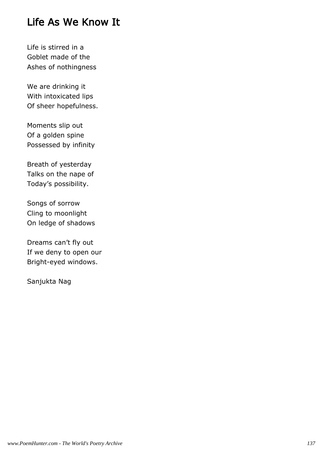#### Life As We Know It

Life is stirred in a Goblet made of the Ashes of nothingness

We are drinking it With intoxicated lips Of sheer hopefulness.

Moments slip out Of a golden spine Possessed by infinity

Breath of yesterday Talks on the nape of Today's possibility.

Songs of sorrow Cling to moonlight On ledge of shadows

Dreams can't fly out If we deny to open our Bright-eyed windows.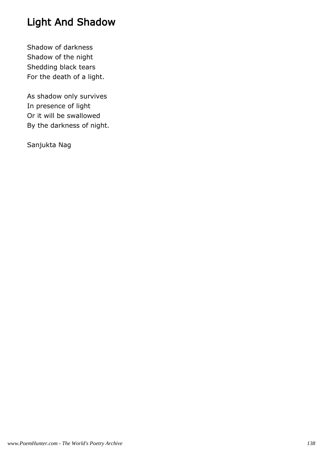# Light And Shadow

Shadow of darkness Shadow of the night Shedding black tears For the death of a light.

As shadow only survives In presence of light Or it will be swallowed By the darkness of night.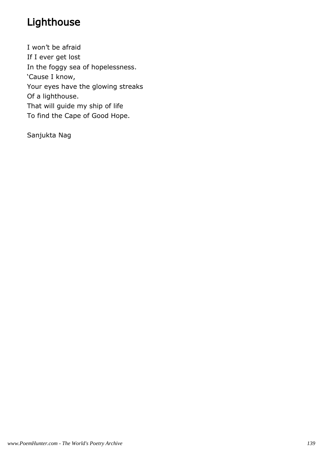# Lighthouse

I won't be afraid If I ever get lost In the foggy sea of hopelessness. 'Cause I know, Your eyes have the glowing streaks Of a lighthouse. That will guide my ship of life To find the Cape of Good Hope.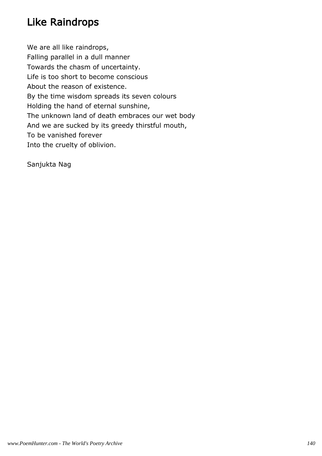## Like Raindrops

We are all like raindrops, Falling parallel in a dull manner Towards the chasm of uncertainty. Life is too short to become conscious About the reason of existence. By the time wisdom spreads its seven colours Holding the hand of eternal sunshine, The unknown land of death embraces our wet body And we are sucked by its greedy thirstful mouth, To be vanished forever Into the cruelty of oblivion.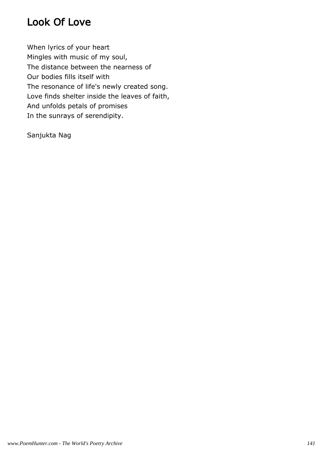## Look Of Love

When lyrics of your heart Mingles with music of my soul, The distance between the nearness of Our bodies fills itself with The resonance of life's newly created song. Love finds shelter inside the leaves of faith, And unfolds petals of promises In the sunrays of serendipity.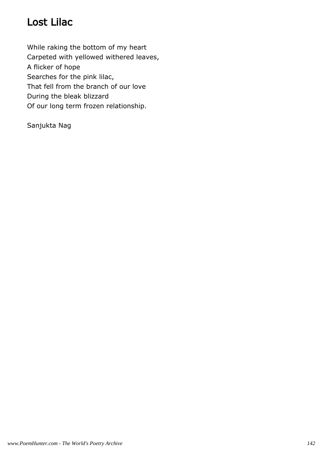## Lost Lilac

While raking the bottom of my heart Carpeted with yellowed withered leaves, A flicker of hope Searches for the pink lilac, That fell from the branch of our love During the bleak blizzard Of our long term frozen relationship.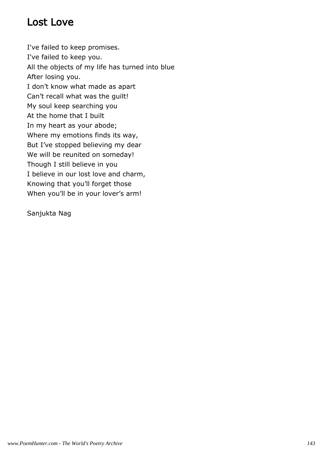#### Lost Love

I've failed to keep promises. I've failed to keep you. All the objects of my life has turned into blue After losing you. I don't know what made as apart Can't recall what was the guilt! My soul keep searching you At the home that I built In my heart as your abode; Where my emotions finds its way, But I've stopped believing my dear We will be reunited on someday! Though I still believe in you I believe in our lost love and charm, Knowing that you'll forget those When you'll be in your lover's arm!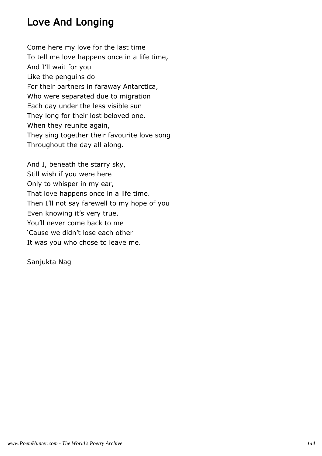# Love And Longing

Come here my love for the last time To tell me love happens once in a life time, And I'll wait for you Like the penguins do For their partners in faraway Antarctica, Who were separated due to migration Each day under the less visible sun They long for their lost beloved one. When they reunite again, They sing together their favourite love song Throughout the day all along.

And I, beneath the starry sky, Still wish if you were here Only to whisper in my ear, That love happens once in a life time. Then I'll not say farewell to my hope of you Even knowing it's very true, You'll never come back to me 'Cause we didn't lose each other It was you who chose to leave me.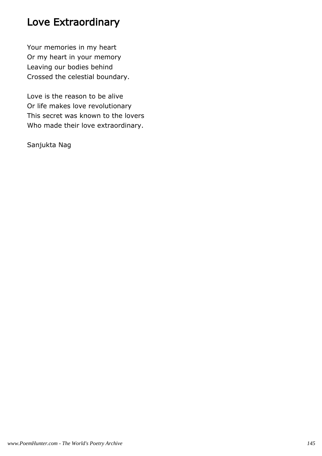### Love Extraordinary

Your memories in my heart Or my heart in your memory Leaving our bodies behind Crossed the celestial boundary.

Love is the reason to be alive Or life makes love revolutionary This secret was known to the lovers Who made their love extraordinary.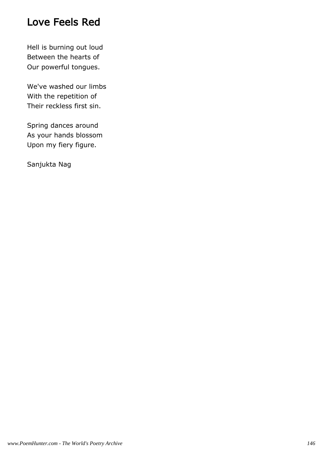### Love Feels Red

Hell is burning out loud Between the hearts of Our powerful tongues.

We've washed our limbs With the repetition of Their reckless first sin.

Spring dances around As your hands blossom Upon my fiery figure.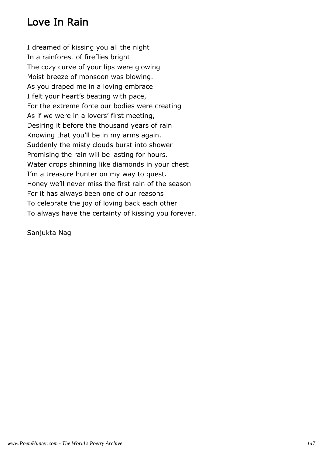# Love In Rain

I dreamed of kissing you all the night In a rainforest of fireflies bright The cozy curve of your lips were glowing Moist breeze of monsoon was blowing. As you draped me in a loving embrace I felt your heart's beating with pace, For the extreme force our bodies were creating As if we were in a lovers' first meeting, Desiring it before the thousand years of rain Knowing that you'll be in my arms again. Suddenly the misty clouds burst into shower Promising the rain will be lasting for hours. Water drops shinning like diamonds in your chest I'm a treasure hunter on my way to quest. Honey we'll never miss the first rain of the season For it has always been one of our reasons To celebrate the joy of loving back each other To always have the certainty of kissing you forever.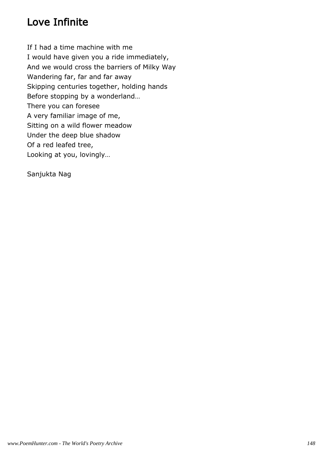# Love Infinite

If I had a time machine with me I would have given you a ride immediately, And we would cross the barriers of Milky Way Wandering far, far and far away Skipping centuries together, holding hands Before stopping by a wonderland… There you can foresee A very familiar image of me, Sitting on a wild flower meadow Under the deep blue shadow Of a red leafed tree, Looking at you, lovingly…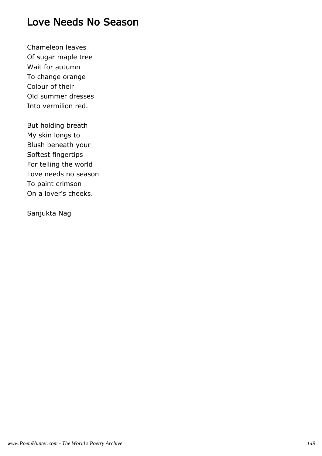### Love Needs No Season

Chameleon leaves Of sugar maple tree Wait for autumn To change orange Colour of their Old summer dresses Into vermilion red.

But holding breath My skin longs to Blush beneath your Softest fingertips For telling the world Love needs no season To paint crimson On a lover's cheeks.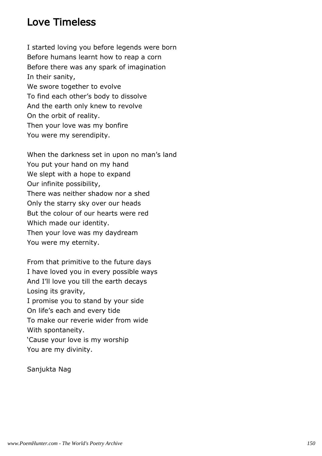### Love Timeless

I started loving you before legends were born Before humans learnt how to reap a corn Before there was any spark of imagination In their sanity, We swore together to evolve To find each other's body to dissolve And the earth only knew to revolve On the orbit of reality. Then your love was my bonfire You were my serendipity.

When the darkness set in upon no man's land You put your hand on my hand We slept with a hope to expand Our infinite possibility, There was neither shadow nor a shed Only the starry sky over our heads But the colour of our hearts were red Which made our identity. Then your love was my daydream You were my eternity.

From that primitive to the future days I have loved you in every possible ways And I'll love you till the earth decays Losing its gravity, I promise you to stand by your side On life's each and every tide To make our reverie wider from wide With spontaneity. 'Cause your love is my worship You are my divinity.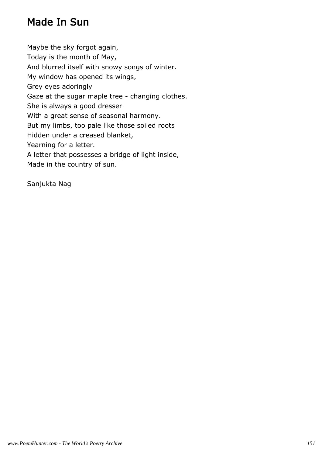## Made In Sun

Maybe the sky forgot again, Today is the month of May, And blurred itself with snowy songs of winter. My window has opened its wings, Grey eyes adoringly Gaze at the sugar maple tree - changing clothes. She is always a good dresser With a great sense of seasonal harmony. But my limbs, too pale like those soiled roots Hidden under a creased blanket, Yearning for a letter. A letter that possesses a bridge of light inside, Made in the country of sun.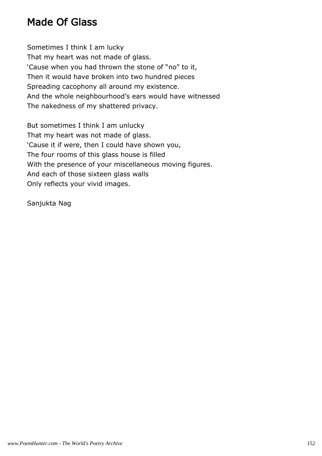### Made Of Glass

Sometimes I think I am lucky That my heart was not made of glass. 'Cause when you had thrown the stone of "no" to it, Then it would have broken into two hundred pieces Spreading cacophony all around my existence. And the whole neighbourhood's ears would have witnessed The nakedness of my shattered privacy.

But sometimes I think I am unlucky That my heart was not made of glass. 'Cause it if were, then I could have shown you, The four rooms of this glass house is filled With the presence of your miscellaneous moving figures. And each of those sixteen glass walls Only reflects your vivid images.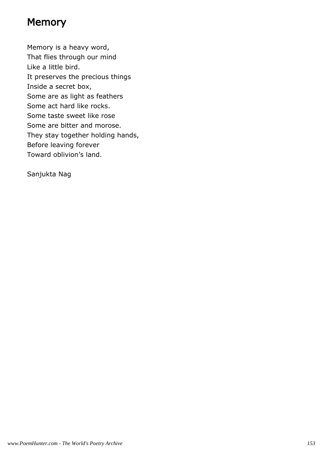# **Memory**

Memory is a heavy word, That flies through our mind Like a little bird. It preserves the precious things Inside a secret box, Some are as light as feathers Some act hard like rocks. Some taste sweet like rose Some are bitter and morose. They stay together holding hands, Before leaving forever Toward oblivion's land.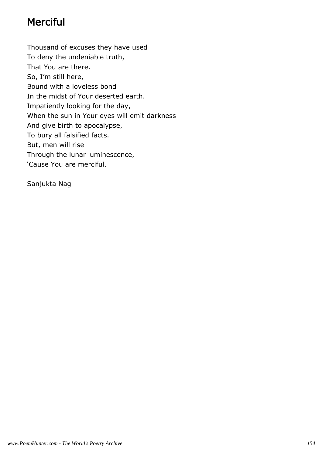# **Merciful**

Thousand of excuses they have used To deny the undeniable truth, That You are there. So, I'm still here, Bound with a loveless bond In the midst of Your deserted earth. Impatiently looking for the day, When the sun in Your eyes will emit darkness And give birth to apocalypse, To bury all falsified facts. But, men will rise Through the lunar luminescence, 'Cause You are merciful.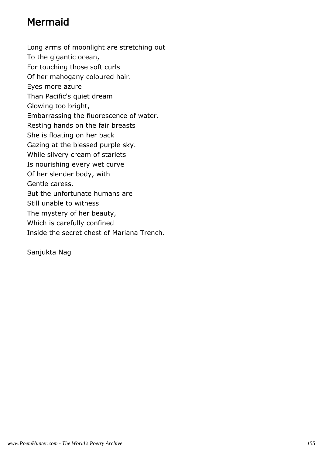# Mermaid

Long arms of moonlight are stretching out To the gigantic ocean, For touching those soft curls Of her mahogany coloured hair. Eyes more azure Than Pacific's quiet dream Glowing too bright, Embarrassing the fluorescence of water. Resting hands on the fair breasts She is floating on her back Gazing at the blessed purple sky. While silvery cream of starlets Is nourishing every wet curve Of her slender body, with Gentle caress. But the unfortunate humans are Still unable to witness The mystery of her beauty, Which is carefully confined Inside the secret chest of Mariana Trench.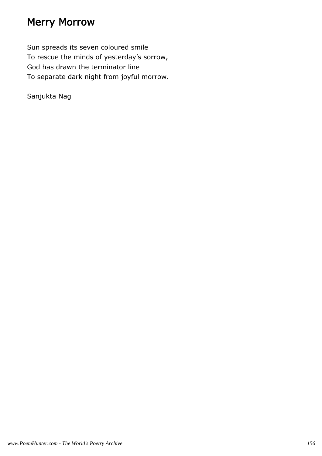### Merry Morrow

Sun spreads its seven coloured smile To rescue the minds of yesterday's sorrow, God has drawn the terminator line To separate dark night from joyful morrow.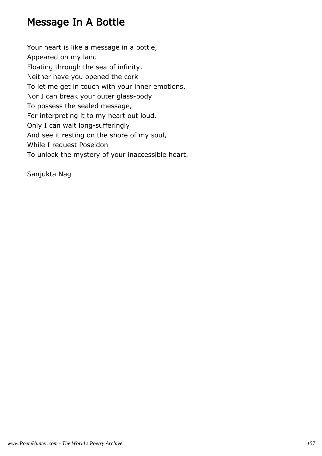## Message In A Bottle

Your heart is like a message in a bottle, Appeared on my land Floating through the sea of infinity. Neither have you opened the cork To let me get in touch with your inner emotions, Nor I can break your outer glass-body To possess the sealed message, For interpreting it to my heart out loud. Only I can wait long-sufferingly And see it resting on the shore of my soul, While I request Poseidon To unlock the mystery of your inaccessible heart.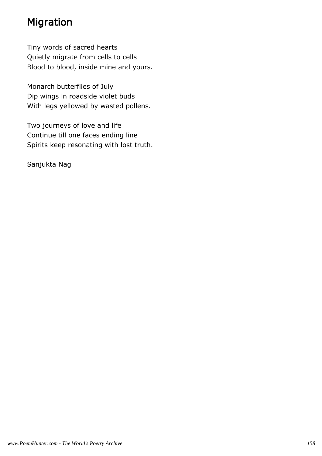# Migration

Tiny words of sacred hearts Quietly migrate from cells to cells Blood to blood, inside mine and yours.

Monarch butterflies of July Dip wings in roadside violet buds With legs yellowed by wasted pollens.

Two journeys of love and life Continue till one faces ending line Spirits keep resonating with lost truth.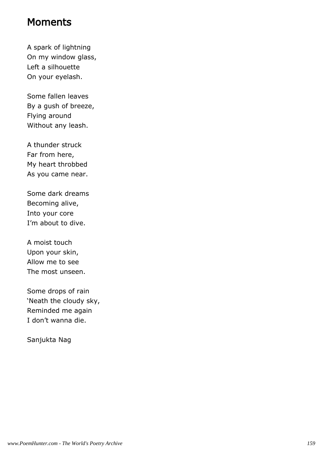#### Moments

A spark of lightning On my window glass, Left a silhouette On your eyelash.

Some fallen leaves By a gush of breeze, Flying around Without any leash.

A thunder struck Far from here, My heart throbbed As you came near.

Some dark dreams Becoming alive, Into your core I'm about to dive.

A moist touch Upon your skin, Allow me to see The most unseen.

Some drops of rain 'Neath the cloudy sky, Reminded me again I don't wanna die.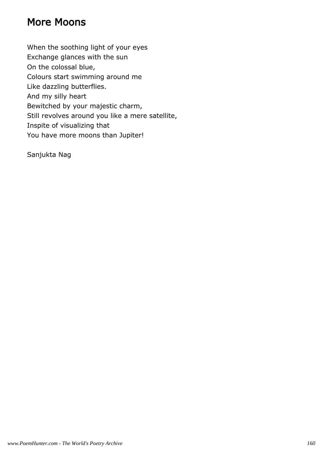### More Moons

When the soothing light of your eyes Exchange glances with the sun On the colossal blue, Colours start swimming around me Like dazzling butterflies. And my silly heart Bewitched by your majestic charm, Still revolves around you like a mere satellite, Inspite of visualizing that You have more moons than Jupiter!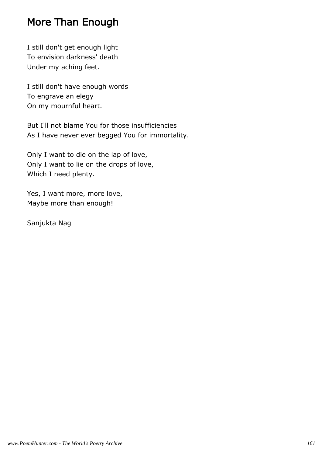### More Than Enough

I still don't get enough light To envision darkness' death Under my aching feet.

I still don't have enough words To engrave an elegy On my mournful heart.

But I'll not blame You for those insufficiencies As I have never ever begged You for immortality.

Only I want to die on the lap of love, Only I want to lie on the drops of love, Which I need plenty.

Yes, I want more, more love, Maybe more than enough!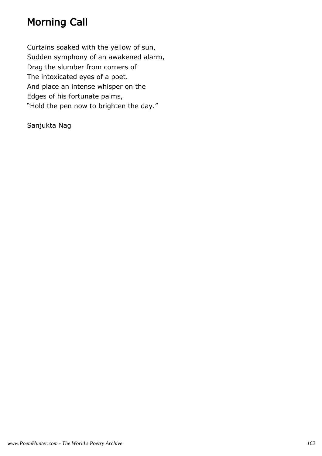# Morning Call

Curtains soaked with the yellow of sun, Sudden symphony of an awakened alarm, Drag the slumber from corners of The intoxicated eyes of a poet. And place an intense whisper on the Edges of his fortunate palms, "Hold the pen now to brighten the day."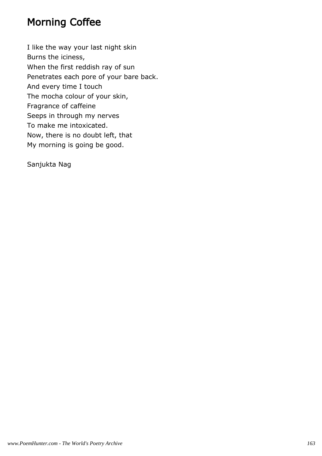### Morning Coffee

I like the way your last night skin Burns the iciness, When the first reddish ray of sun Penetrates each pore of your bare back. And every time I touch The mocha colour of your skin, Fragrance of caffeine Seeps in through my nerves To make me intoxicated. Now, there is no doubt left, that My morning is going be good.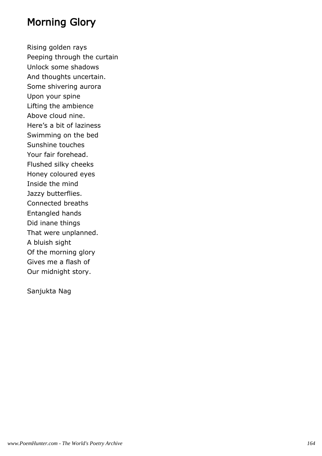### Morning Glory

Rising golden rays Peeping through the curtain Unlock some shadows And thoughts uncertain. Some shivering aurora Upon your spine Lifting the ambience Above cloud nine. Here's a bit of laziness Swimming on the bed Sunshine touches Your fair forehead. Flushed silky cheeks Honey coloured eyes Inside the mind Jazzy butterflies. Connected breaths Entangled hands Did inane things That were unplanned. A bluish sight Of the morning glory Gives me a flash of Our midnight story.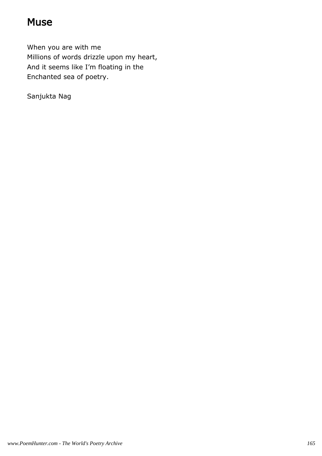### **Muse**

When you are with me Millions of words drizzle upon my heart, And it seems like I'm floating in the Enchanted sea of poetry.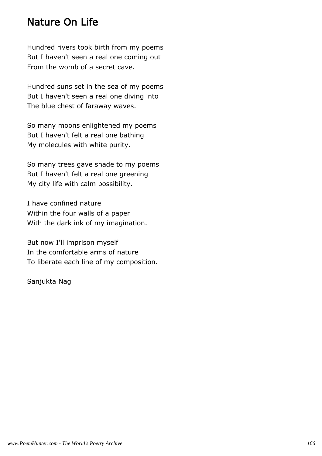#### Nature On Life

Hundred rivers took birth from my poems But I haven't seen a real one coming out From the womb of a secret cave.

Hundred suns set in the sea of my poems But I haven't seen a real one diving into The blue chest of faraway waves.

So many moons enlightened my poems But I haven't felt a real one bathing My molecules with white purity.

So many trees gave shade to my poems But I haven't felt a real one greening My city life with calm possibility.

I have confined nature Within the four walls of a paper With the dark ink of my imagination.

But now I'll imprison myself In the comfortable arms of nature To liberate each line of my composition.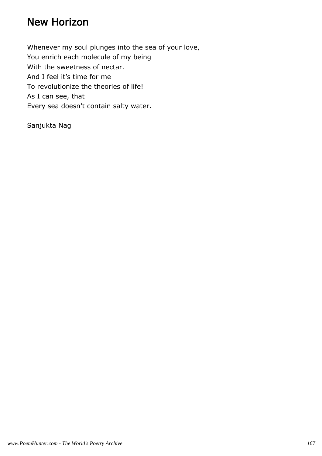### New Horizon

Whenever my soul plunges into the sea of your love, You enrich each molecule of my being With the sweetness of nectar. And I feel it's time for me To revolutionize the theories of life! As I can see, that Every sea doesn't contain salty water.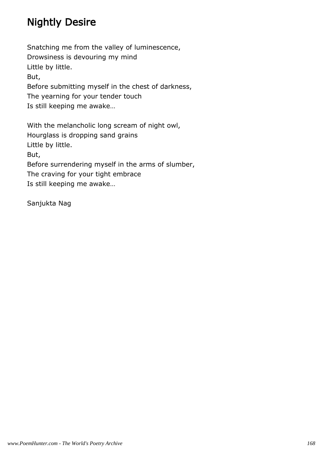# Nightly Desire

Snatching me from the valley of luminescence, Drowsiness is devouring my mind Little by little. But, Before submitting myself in the chest of darkness, The yearning for your tender touch Is still keeping me awake…

With the melancholic long scream of night owl, Hourglass is dropping sand grains Little by little. But, Before surrendering myself in the arms of slumber, The craving for your tight embrace Is still keeping me awake…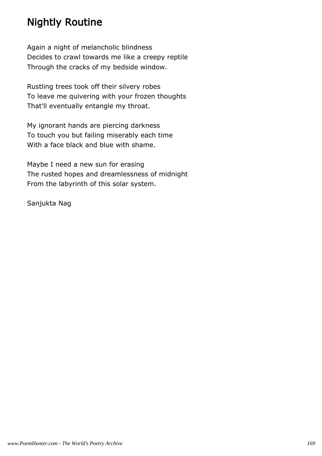## Nightly Routine

Again a night of melancholic blindness Decides to crawl towards me like a creepy reptile Through the cracks of my bedside window.

Rustling trees took off their silvery robes To leave me quivering with your frozen thoughts That'll eventually entangle my throat.

My ignorant hands are piercing darkness To touch you but failing miserably each time With a face black and blue with shame.

Maybe I need a new sun for erasing The rusted hopes and dreamlessness of midnight From the labyrinth of this solar system.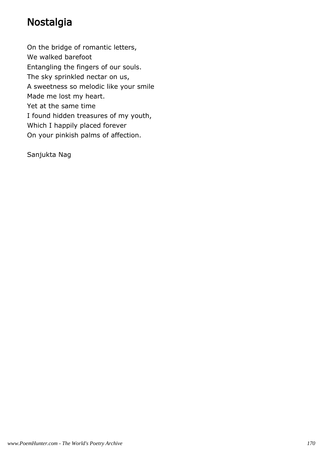# Nostalgia

On the bridge of romantic letters, We walked barefoot Entangling the fingers of our souls. The sky sprinkled nectar on us, A sweetness so melodic like your smile Made me lost my heart. Yet at the same time I found hidden treasures of my youth, Which I happily placed forever On your pinkish palms of affection.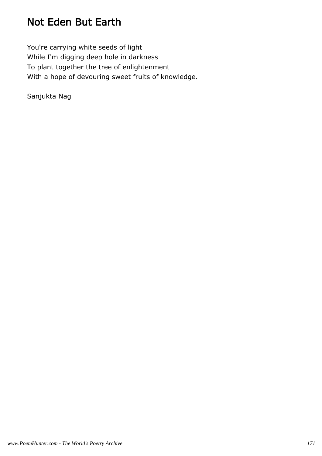## Not Eden But Earth

You're carrying white seeds of light While I'm digging deep hole in darkness To plant together the tree of enlightenment With a hope of devouring sweet fruits of knowledge.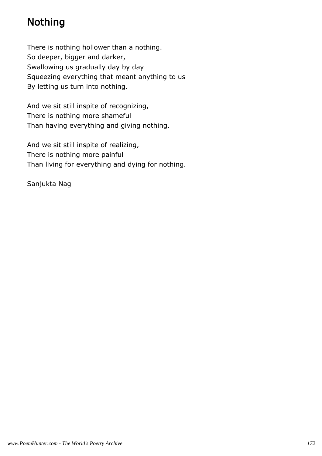# Nothing

There is nothing hollower than a nothing. So deeper, bigger and darker, Swallowing us gradually day by day Squeezing everything that meant anything to us By letting us turn into nothing.

And we sit still inspite of recognizing, There is nothing more shameful Than having everything and giving nothing.

And we sit still inspite of realizing, There is nothing more painful Than living for everything and dying for nothing.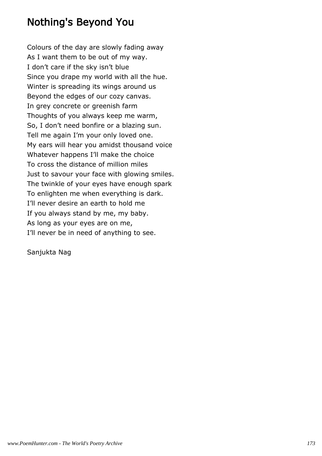### Nothing's Beyond You

Colours of the day are slowly fading away As I want them to be out of my way. I don't care if the sky isn't blue Since you drape my world with all the hue. Winter is spreading its wings around us Beyond the edges of our cozy canvas. In grey concrete or greenish farm Thoughts of you always keep me warm, So, I don't need bonfire or a blazing sun. Tell me again I'm your only loved one. My ears will hear you amidst thousand voice Whatever happens I'll make the choice To cross the distance of million miles Just to savour your face with glowing smiles. The twinkle of your eyes have enough spark To enlighten me when everything is dark. I'll never desire an earth to hold me If you always stand by me, my baby. As long as your eyes are on me, I'll never be in need of anything to see.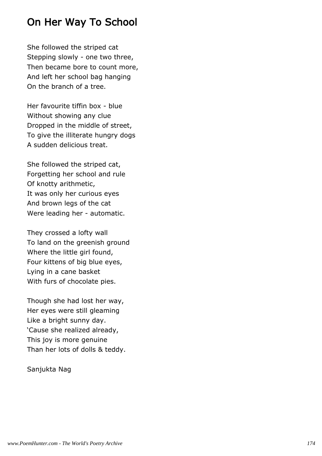# On Her Way To School

She followed the striped cat Stepping slowly - one two three, Then became bore to count more, And left her school bag hanging On the branch of a tree.

Her favourite tiffin box - blue Without showing any clue Dropped in the middle of street, To give the illiterate hungry dogs A sudden delicious treat.

She followed the striped cat, Forgetting her school and rule Of knotty arithmetic, It was only her curious eyes And brown legs of the cat Were leading her - automatic.

They crossed a lofty wall To land on the greenish ground Where the little girl found, Four kittens of big blue eyes, Lying in a cane basket With furs of chocolate pies.

Though she had lost her way, Her eyes were still gleaming Like a bright sunny day. 'Cause she realized already, This joy is more genuine Than her lots of dolls & teddy.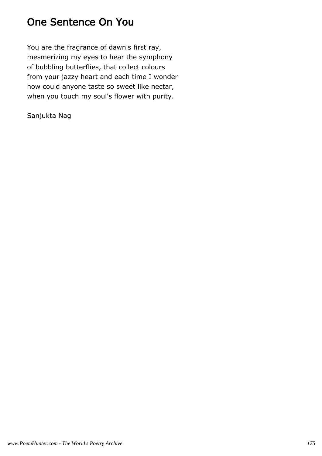## One Sentence On You

You are the fragrance of dawn's first ray, mesmerizing my eyes to hear the symphony of bubbling butterflies, that collect colours from your jazzy heart and each time I wonder how could anyone taste so sweet like nectar, when you touch my soul's flower with purity.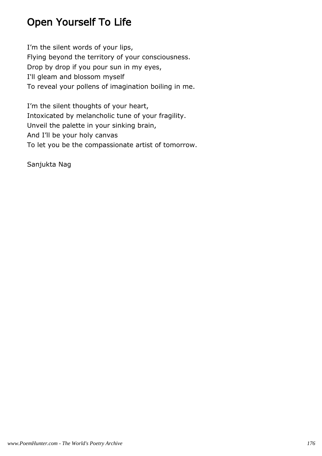# Open Yourself To Life

I'm the silent words of your lips, Flying beyond the territory of your consciousness. Drop by drop if you pour sun in my eyes, I'll gleam and blossom myself To reveal your pollens of imagination boiling in me.

I'm the silent thoughts of your heart, Intoxicated by melancholic tune of your fragility. Unveil the palette in your sinking brain, And I'll be your holy canvas To let you be the compassionate artist of tomorrow.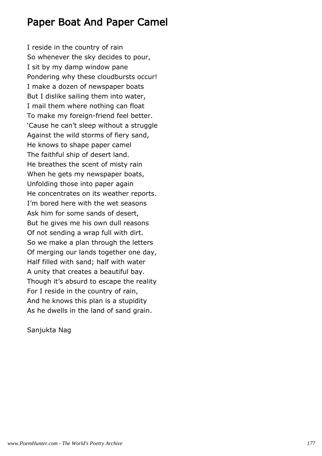#### Paper Boat And Paper Camel

I reside in the country of rain So whenever the sky decides to pour, I sit by my damp window pane Pondering why these cloudbursts occur! I make a dozen of newspaper boats But I dislike sailing them into water, I mail them where nothing can float To make my foreign-friend feel better. 'Cause he can't sleep without a struggle Against the wild storms of fiery sand, He knows to shape paper camel The faithful ship of desert land. He breathes the scent of misty rain When he gets my newspaper boats, Unfolding those into paper again He concentrates on its weather reports. I'm bored here with the wet seasons Ask him for some sands of desert, But he gives me his own dull reasons Of not sending a wrap full with dirt. So we make a plan through the letters Of merging our lands together one day, Half filled with sand; half with water A unity that creates a beautiful bay. Though it's absurd to escape the reality For I reside in the country of rain, And he knows this plan is a stupidity As he dwells in the land of sand grain.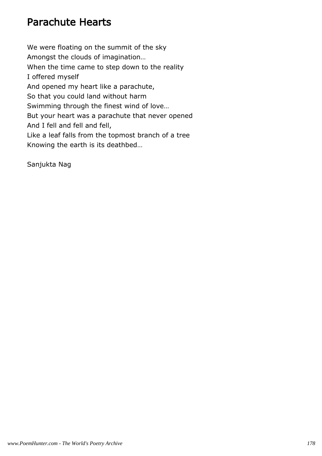# Parachute Hearts

We were floating on the summit of the sky Amongst the clouds of imagination… When the time came to step down to the reality I offered myself And opened my heart like a parachute, So that you could land without harm Swimming through the finest wind of love… But your heart was a parachute that never opened And I fell and fell and fell, Like a leaf falls from the topmost branch of a tree Knowing the earth is its deathbed…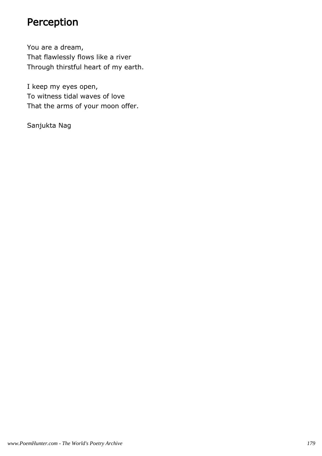# Perception

You are a dream, That flawlessly flows like a river Through thirstful heart of my earth.

I keep my eyes open, To witness tidal waves of love That the arms of your moon offer.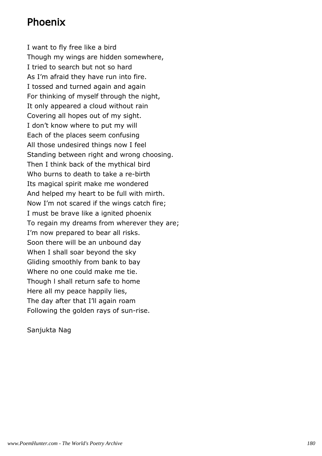#### Phoenix

I want to fly free like a bird Though my wings are hidden somewhere, I tried to search but not so hard As I'm afraid they have run into fire. I tossed and turned again and again For thinking of myself through the night, It only appeared a cloud without rain Covering all hopes out of my sight. I don't know where to put my will Each of the places seem confusing All those undesired things now I feel Standing between right and wrong choosing. Then I think back of the mythical bird Who burns to death to take a re-birth Its magical spirit make me wondered And helped my heart to be full with mirth. Now I'm not scared if the wings catch fire; I must be brave like a ignited phoenix To regain my dreams from wherever they are; I'm now prepared to bear all risks. Soon there will be an unbound day When I shall soar beyond the sky Gliding smoothly from bank to bay Where no one could make me tie. Though l shall return safe to home Here all my peace happily lies, The day after that I'll again roam Following the golden rays of sun-rise.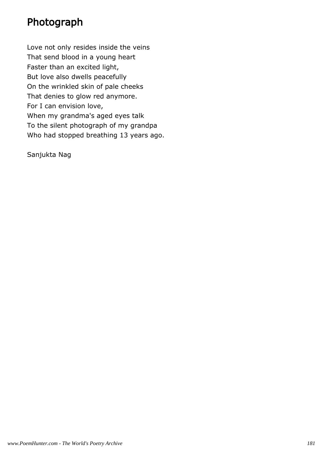### Photograph

Love not only resides inside the veins That send blood in a young heart Faster than an excited light, But love also dwells peacefully On the wrinkled skin of pale cheeks That denies to glow red anymore. For I can envision love, When my grandma's aged eyes talk To the silent photograph of my grandpa Who had stopped breathing 13 years ago.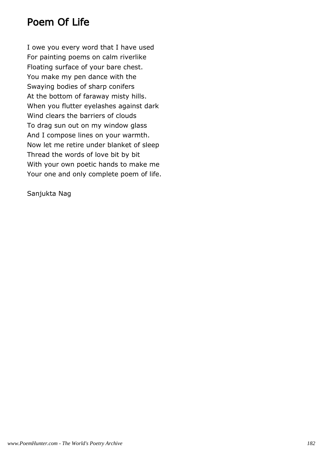### Poem Of Life

I owe you every word that I have used For painting poems on calm riverlike Floating surface of your bare chest. You make my pen dance with the Swaying bodies of sharp conifers At the bottom of faraway misty hills. When you flutter eyelashes against dark Wind clears the barriers of clouds To drag sun out on my window glass And I compose lines on your warmth. Now let me retire under blanket of sleep Thread the words of love bit by bit With your own poetic hands to make me Your one and only complete poem of life.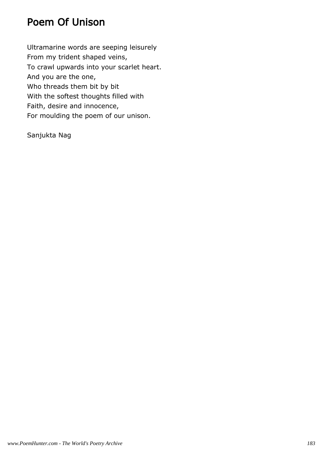### Poem Of Unison

Ultramarine words are seeping leisurely From my trident shaped veins, To crawl upwards into your scarlet heart. And you are the one, Who threads them bit by bit With the softest thoughts filled with Faith, desire and innocence, For moulding the poem of our unison.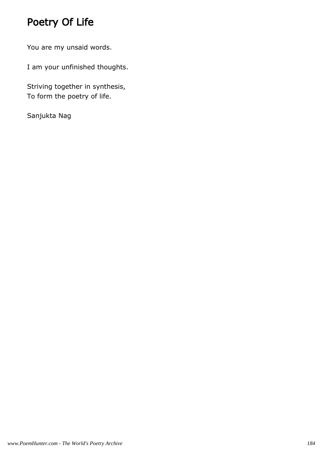# Poetry Of Life

You are my unsaid words.

I am your unfinished thoughts.

Striving together in synthesis, To form the poetry of life.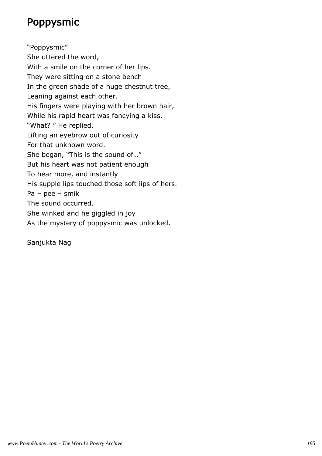## Poppysmic

"Poppysmic" She uttered the word, With a smile on the corner of her lips. They were sitting on a stone bench In the green shade of a huge chestnut tree, Leaning against each other. His fingers were playing with her brown hair, While his rapid heart was fancying a kiss. "What? " He replied, Lifting an eyebrow out of curiosity For that unknown word. She began, "This is the sound of…" But his heart was not patient enough To hear more, and instantly His supple lips touched those soft lips of hers. Pa – pee – smik The sound occurred. She winked and he giggled in joy As the mystery of poppysmic was unlocked.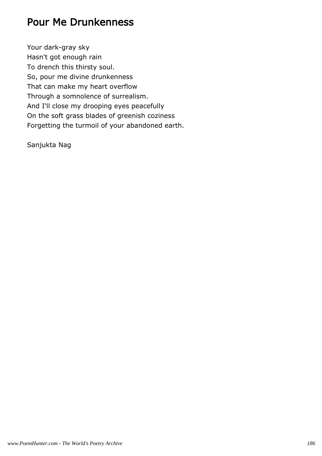#### Pour Me Drunkenness

Your dark-gray sky Hasn't got enough rain To drench this thirsty soul. So, pour me divine drunkenness That can make my heart overflow Through a somnolence of surrealism. And I'll close my drooping eyes peacefully On the soft grass blades of greenish coziness Forgetting the turmoil of your abandoned earth.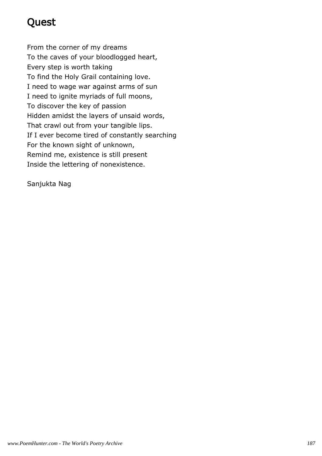# Quest

From the corner of my dreams To the caves of your bloodlogged heart, Every step is worth taking To find the Holy Grail containing love. I need to wage war against arms of sun I need to ignite myriads of full moons, To discover the key of passion Hidden amidst the layers of unsaid words, That crawl out from your tangible lips. If I ever become tired of constantly searching For the known sight of unknown, Remind me, existence is still present Inside the lettering of nonexistence.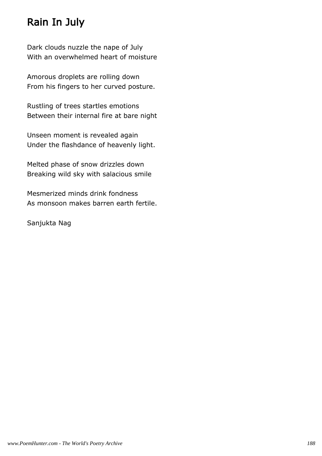## Rain In July

Dark clouds nuzzle the nape of July With an overwhelmed heart of moisture

Amorous droplets are rolling down From his fingers to her curved posture.

Rustling of trees startles emotions Between their internal fire at bare night

Unseen moment is revealed again Under the flashdance of heavenly light.

Melted phase of snow drizzles down Breaking wild sky with salacious smile

Mesmerized minds drink fondness As monsoon makes barren earth fertile.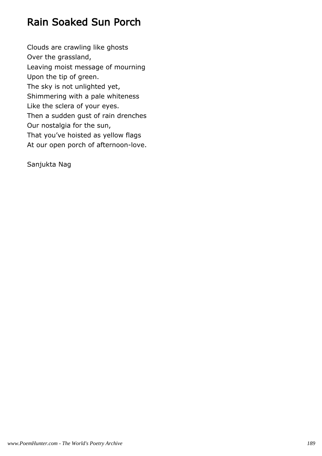### Rain Soaked Sun Porch

Clouds are crawling like ghosts Over the grassland, Leaving moist message of mourning Upon the tip of green. The sky is not unlighted yet, Shimmering with a pale whiteness Like the sclera of your eyes. Then a sudden gust of rain drenches Our nostalgia for the sun, That you've hoisted as yellow flags At our open porch of afternoon-love.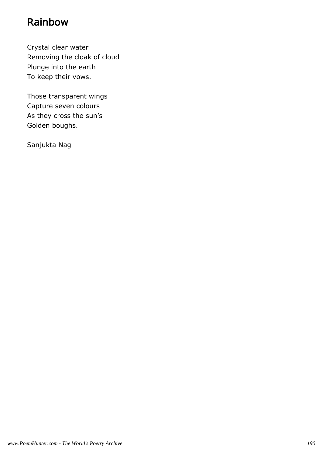### Rainbow

Crystal clear water Removing the cloak of cloud Plunge into the earth To keep their vows.

Those transparent wings Capture seven colours As they cross the sun's Golden boughs.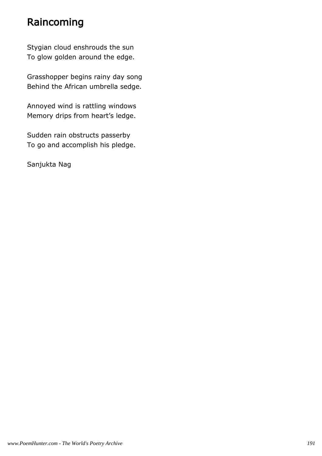### Raincoming

Stygian cloud enshrouds the sun To glow golden around the edge.

Grasshopper begins rainy day song Behind the African umbrella sedge.

Annoyed wind is rattling windows Memory drips from heart's ledge.

Sudden rain obstructs passerby To go and accomplish his pledge.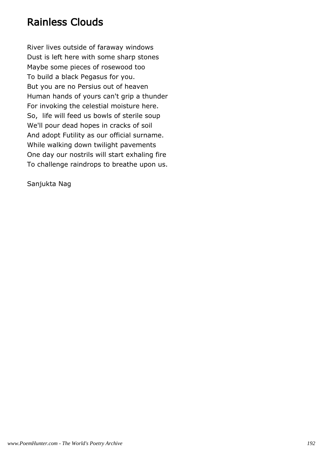#### Rainless Clouds

River lives outside of faraway windows Dust is left here with some sharp stones Maybe some pieces of rosewood too To build a black Pegasus for you. But you are no Persius out of heaven Human hands of yours can't grip a thunder For invoking the celestial moisture here. So, life will feed us bowls of sterile soup We'll pour dead hopes in cracks of soil And adopt Futility as our official surname. While walking down twilight pavements One day our nostrils will start exhaling fire To challenge raindrops to breathe upon us.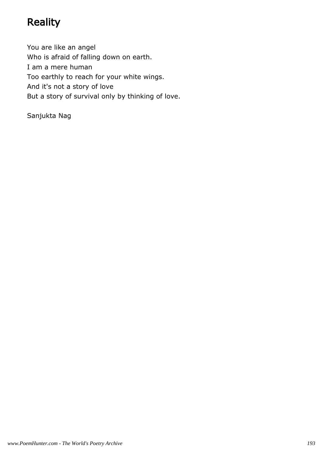# **Reality**

You are like an angel Who is afraid of falling down on earth. I am a mere human Too earthly to reach for your white wings. And it's not a story of love But a story of survival only by thinking of love.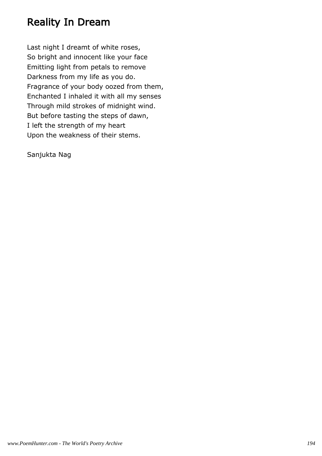### Reality In Dream

Last night I dreamt of white roses, So bright and innocent like your face Emitting light from petals to remove Darkness from my life as you do. Fragrance of your body oozed from them, Enchanted I inhaled it with all my senses Through mild strokes of midnight wind. But before tasting the steps of dawn, I left the strength of my heart Upon the weakness of their stems.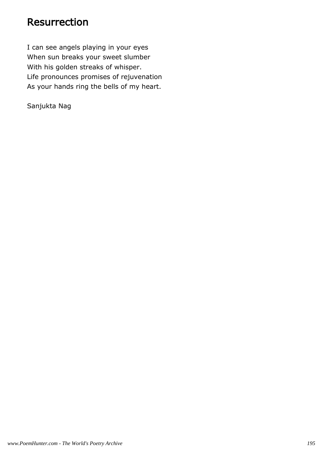#### Resurrection

I can see angels playing in your eyes When sun breaks your sweet slumber With his golden streaks of whisper. Life pronounces promises of rejuvenation As your hands ring the bells of my heart.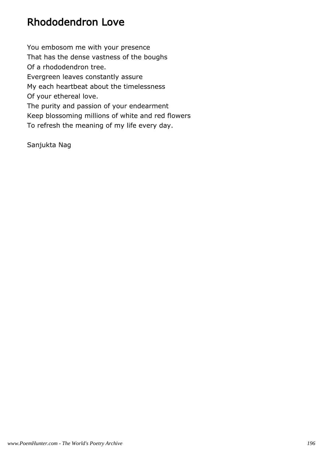## Rhododendron Love

You embosom me with your presence That has the dense vastness of the boughs Of a rhododendron tree. Evergreen leaves constantly assure My each heartbeat about the timelessness Of your ethereal love. The purity and passion of your endearment Keep blossoming millions of white and red flowers To refresh the meaning of my life every day.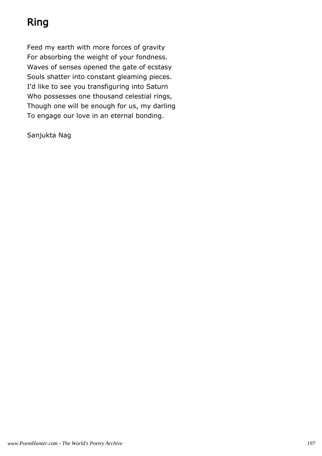# Ring

Feed my earth with more forces of gravity For absorbing the weight of your fondness. Waves of senses opened the gate of ecstasy Souls shatter into constant gleaming pieces. I'd like to see you transfiguring into Saturn Who possesses one thousand celestial rings, Though one will be enough for us, my darling To engage our love in an eternal bonding.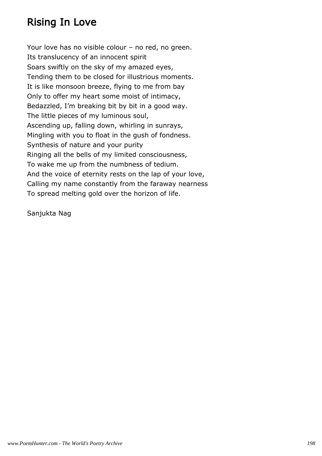## Rising In Love

Your love has no visible colour – no red, no green. Its translucency of an innocent spirit Soars swiftly on the sky of my amazed eyes, Tending them to be closed for illustrious moments. It is like monsoon breeze, flying to me from bay Only to offer my heart some moist of intimacy, Bedazzled, I'm breaking bit by bit in a good way. The little pieces of my luminous soul, Ascending up, falling down, whirling in sunrays, Mingling with you to float in the gush of fondness. Synthesis of nature and your purity Ringing all the bells of my limited consciousness, To wake me up from the numbness of tedium. And the voice of eternity rests on the lap of your love, Calling my name constantly from the faraway nearness To spread melting gold over the horizon of life.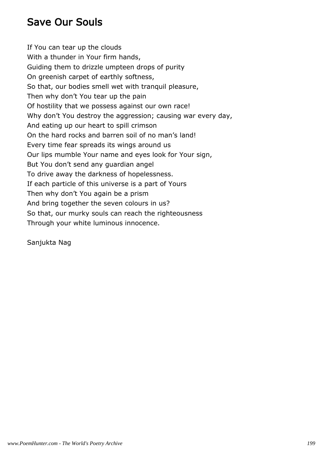### Save Our Souls

If You can tear up the clouds With a thunder in Your firm hands, Guiding them to drizzle umpteen drops of purity On greenish carpet of earthly softness, So that, our bodies smell wet with tranquil pleasure, Then why don't You tear up the pain Of hostility that we possess against our own race! Why don't You destroy the aggression; causing war every day, And eating up our heart to spill crimson On the hard rocks and barren soil of no man's land! Every time fear spreads its wings around us Our lips mumble Your name and eyes look for Your sign, But You don't send any guardian angel To drive away the darkness of hopelessness. If each particle of this universe is a part of Yours Then why don't You again be a prism And bring together the seven colours in us? So that, our murky souls can reach the righteousness Through your white luminous innocence.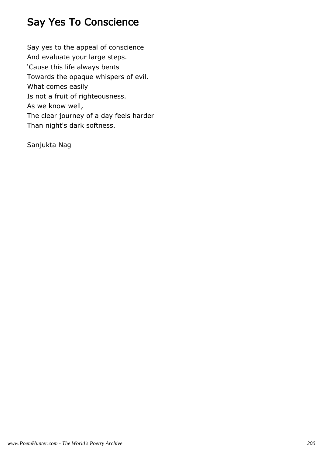## Say Yes To Conscience

Say yes to the appeal of conscience And evaluate your large steps. 'Cause this life always bents Towards the opaque whispers of evil. What comes easily Is not a fruit of righteousness. As we know well, The clear journey of a day feels harder Than night's dark softness.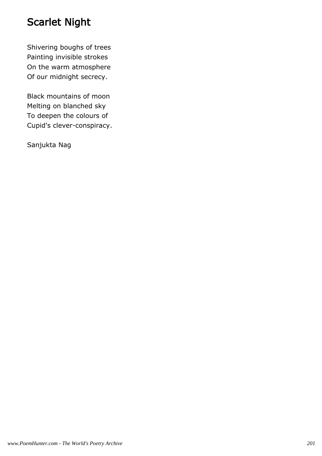## Scarlet Night

Shivering boughs of trees Painting invisible strokes On the warm atmosphere Of our midnight secrecy.

Black mountains of moon Melting on blanched sky To deepen the colours of Cupid's clever-conspiracy.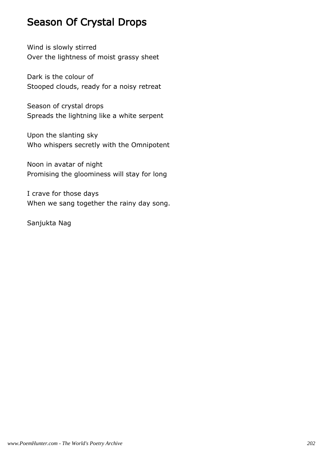### Season Of Crystal Drops

Wind is slowly stirred Over the lightness of moist grassy sheet

Dark is the colour of Stooped clouds, ready for a noisy retreat

Season of crystal drops Spreads the lightning like a white serpent

Upon the slanting sky Who whispers secretly with the Omnipotent

Noon in avatar of night Promising the gloominess will stay for long

I crave for those days When we sang together the rainy day song.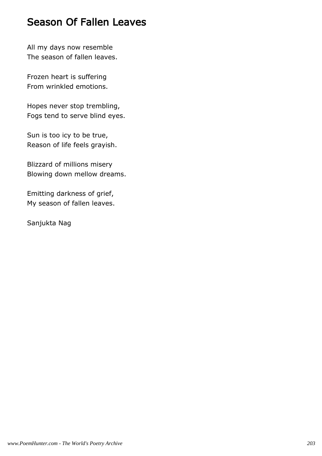#### Season Of Fallen Leaves

All my days now resemble The season of fallen leaves.

Frozen heart is suffering From wrinkled emotions.

Hopes never stop trembling, Fogs tend to serve blind eyes.

Sun is too icy to be true, Reason of life feels grayish.

Blizzard of millions misery Blowing down mellow dreams.

Emitting darkness of grief, My season of fallen leaves.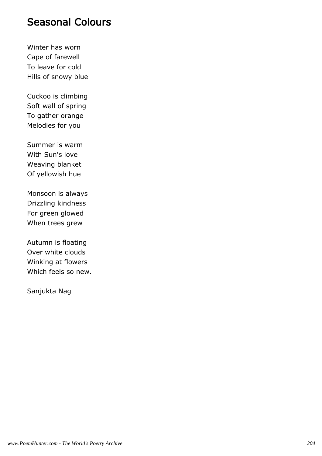#### Seasonal Colours

Winter has worn Cape of farewell To leave for cold Hills of snowy blue

Cuckoo is climbing Soft wall of spring To gather orange Melodies for you

Summer is warm With Sun's love Weaving blanket Of yellowish hue

Monsoon is always Drizzling kindness For green glowed When trees grew

Autumn is floating Over white clouds Winking at flowers Which feels so new.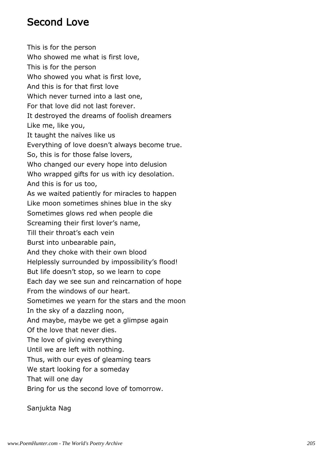### Second Love

This is for the person Who showed me what is first love, This is for the person Who showed you what is first love, And this is for that first love Which never turned into a last one, For that love did not last forever. It destroyed the dreams of foolish dreamers Like me, like you, It taught the naïves like us Everything of love doesn't always become true. So, this is for those false lovers, Who changed our every hope into delusion Who wrapped gifts for us with icy desolation. And this is for us too, As we waited patiently for miracles to happen Like moon sometimes shines blue in the sky Sometimes glows red when people die Screaming their first lover's name, Till their throat's each vein Burst into unbearable pain, And they choke with their own blood Helplessly surrounded by impossibility's flood! But life doesn't stop, so we learn to cope Each day we see sun and reincarnation of hope From the windows of our heart. Sometimes we yearn for the stars and the moon In the sky of a dazzling noon, And maybe, maybe we get a glimpse again Of the love that never dies. The love of giving everything Until we are left with nothing. Thus, with our eyes of gleaming tears We start looking for a someday That will one day Bring for us the second love of tomorrow.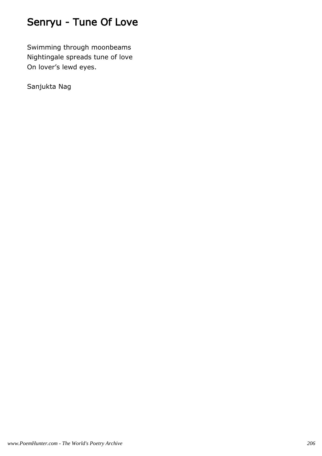# Senryu - Tune Of Love

Swimming through moonbeams Nightingale spreads tune of love On lover's lewd eyes.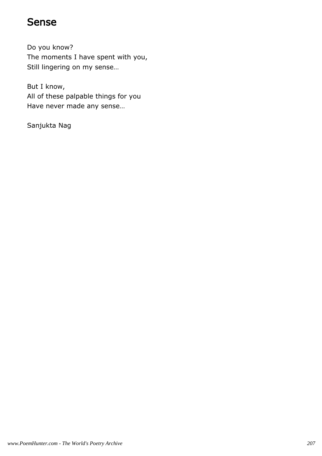#### Sense

Do you know? The moments I have spent with you, Still lingering on my sense…

But I know, All of these palpable things for you Have never made any sense…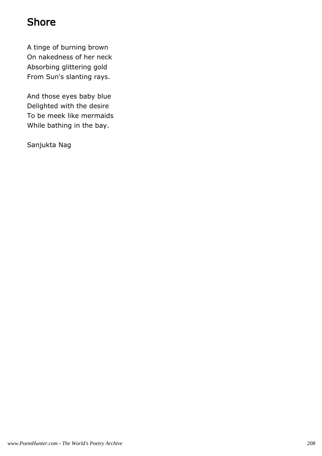## Shore

A tinge of burning brown On nakedness of her neck Absorbing glittering gold From Sun's slanting rays.

And those eyes baby blue Delighted with the desire To be meek like mermaids While bathing in the bay.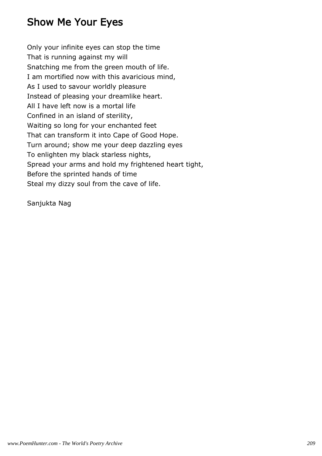## Show Me Your Eyes

Only your infinite eyes can stop the time That is running against my will Snatching me from the green mouth of life. I am mortified now with this avaricious mind, As I used to savour worldly pleasure Instead of pleasing your dreamlike heart. All I have left now is a mortal life Confined in an island of sterility, Waiting so long for your enchanted feet That can transform it into Cape of Good Hope. Turn around; show me your deep dazzling eyes To enlighten my black starless nights, Spread your arms and hold my frightened heart tight, Before the sprinted hands of time Steal my dizzy soul from the cave of life.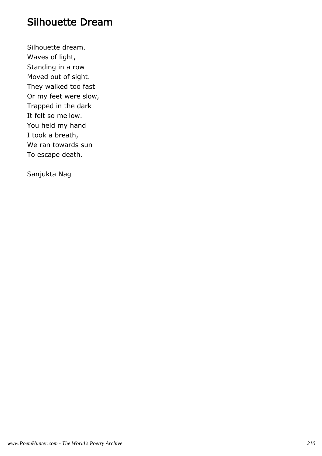#### Silhouette Dream

Silhouette dream. Waves of light, Standing in a row Moved out of sight. They walked too fast Or my feet were slow, Trapped in the dark It felt so mellow. You held my hand I took a breath, We ran towards sun To escape death.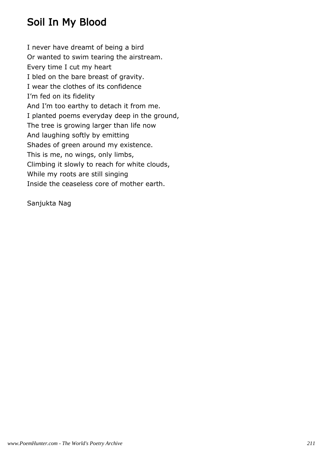## Soil In My Blood

I never have dreamt of being a bird Or wanted to swim tearing the airstream. Every time I cut my heart I bled on the bare breast of gravity. I wear the clothes of its confidence I'm fed on its fidelity And I'm too earthy to detach it from me. I planted poems everyday deep in the ground, The tree is growing larger than life now And laughing softly by emitting Shades of green around my existence. This is me, no wings, only limbs, Climbing it slowly to reach for white clouds, While my roots are still singing Inside the ceaseless core of mother earth.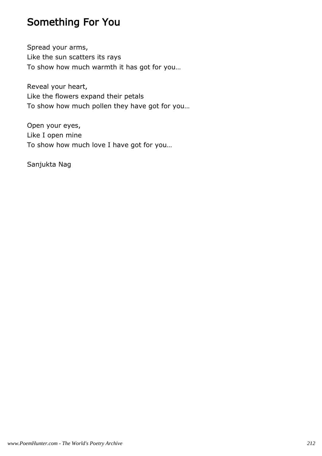## Something For You

Spread your arms, Like the sun scatters its rays To show how much warmth it has got for you…

Reveal your heart, Like the flowers expand their petals To show how much pollen they have got for you…

Open your eyes, Like I open mine To show how much love I have got for you…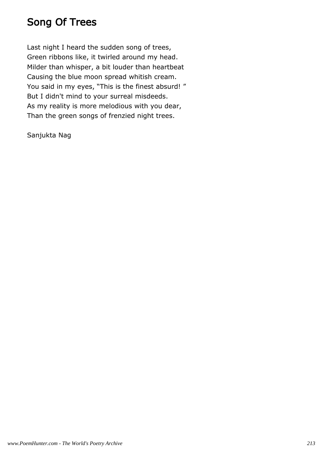## Song Of Trees

Last night I heard the sudden song of trees, Green ribbons like, it twirled around my head. Milder than whisper, a bit louder than heartbeat Causing the blue moon spread whitish cream. You said in my eyes, "This is the finest absurd!" But I didn't mind to your surreal misdeeds. As my reality is more melodious with you dear, Than the green songs of frenzied night trees.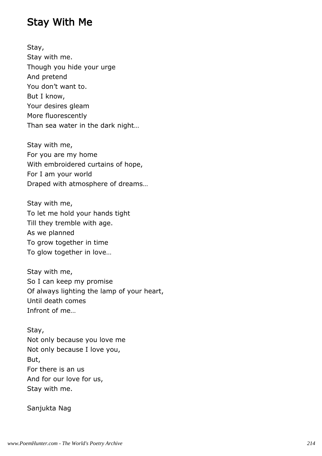#### Stay With Me

Stay, Stay with me. Though you hide your urge And pretend You don't want to. But I know, Your desires gleam More fluorescently Than sea water in the dark night…

Stay with me, For you are my home With embroidered curtains of hope, For I am your world Draped with atmosphere of dreams…

Stay with me, To let me hold your hands tight Till they tremble with age. As we planned To grow together in time To glow together in love…

Stay with me, So I can keep my promise Of always lighting the lamp of your heart, Until death comes Infront of me…

Stay, Not only because you love me Not only because I love you, But, For there is an us And for our love for us, Stay with me.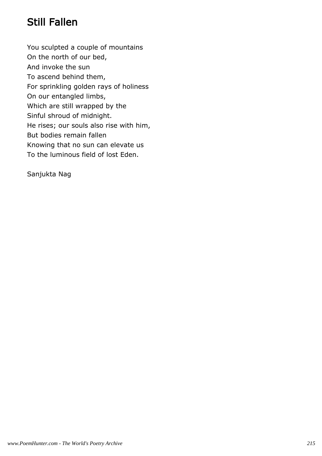# Still Fallen

You sculpted a couple of mountains On the north of our bed, And invoke the sun To ascend behind them, For sprinkling golden rays of holiness On our entangled limbs, Which are still wrapped by the Sinful shroud of midnight. He rises; our souls also rise with him, But bodies remain fallen Knowing that no sun can elevate us To the luminous field of lost Eden.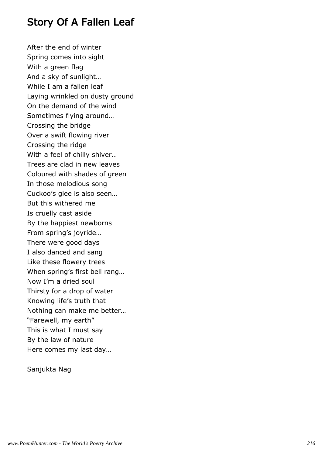### Story Of A Fallen Leaf

After the end of winter Spring comes into sight With a green flag And a sky of sunlight… While I am a fallen leaf Laying wrinkled on dusty ground On the demand of the wind Sometimes flying around… Crossing the bridge Over a swift flowing river Crossing the ridge With a feel of chilly shiver… Trees are clad in new leaves Coloured with shades of green In those melodious song Cuckoo's glee is also seen… But this withered me Is cruelly cast aside By the happiest newborns From spring's joyride… There were good days I also danced and sang Like these flowery trees When spring's first bell rang… Now I'm a dried soul Thirsty for a drop of water Knowing life's truth that Nothing can make me better… "Farewell, my earth" This is what I must say By the law of nature Here comes my last day…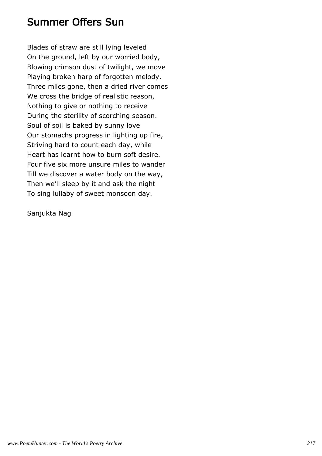### Summer Offers Sun

Blades of straw are still lying leveled On the ground, left by our worried body, Blowing crimson dust of twilight, we move Playing broken harp of forgotten melody. Three miles gone, then a dried river comes We cross the bridge of realistic reason, Nothing to give or nothing to receive During the sterility of scorching season. Soul of soil is baked by sunny love Our stomachs progress in lighting up fire, Striving hard to count each day, while Heart has learnt how to burn soft desire. Four five six more unsure miles to wander Till we discover a water body on the way, Then we'll sleep by it and ask the night To sing lullaby of sweet monsoon day.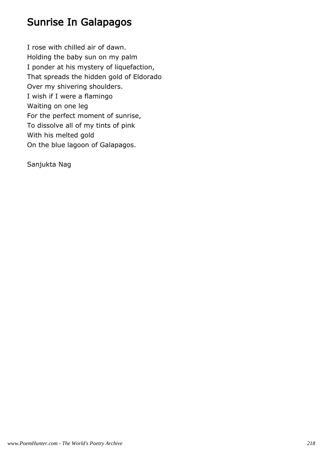# Sunrise In Galapagos

I rose with chilled air of dawn. Holding the baby sun on my palm I ponder at his mystery of liquefaction, That spreads the hidden gold of Eldorado Over my shivering shoulders. I wish if I were a flamingo Waiting on one leg For the perfect moment of sunrise, To dissolve all of my tints of pink With his melted gold On the blue lagoon of Galapagos.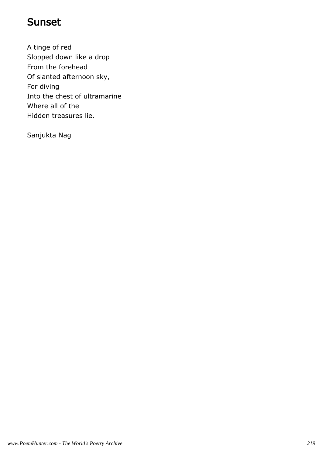### Sunset

A tinge of red Slopped down like a drop From the forehead Of slanted afternoon sky, For diving Into the chest of ultramarine Where all of the Hidden treasures lie.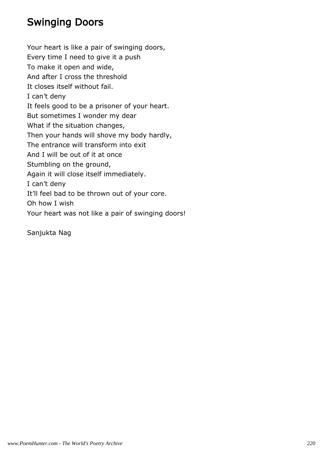# Swinging Doors

Your heart is like a pair of swinging doors, Every time I need to give it a push To make it open and wide, And after I cross the threshold It closes itself without fail. I can't deny It feels good to be a prisoner of your heart. But sometimes I wonder my dear What if the situation changes, Then your hands will shove my body hardly, The entrance will transform into exit And I will be out of it at once Stumbling on the ground, Again it will close itself immediately. I can't deny It'll feel bad to be thrown out of your core. Oh how I wish Your heart was not like a pair of swinging doors!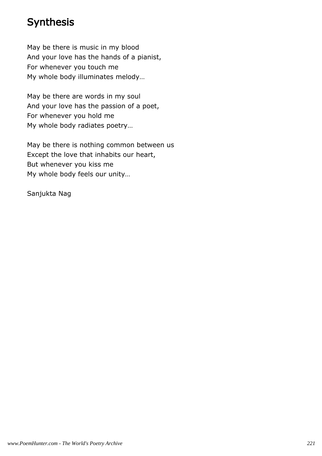## Synthesis

May be there is music in my blood And your love has the hands of a pianist, For whenever you touch me My whole body illuminates melody…

May be there are words in my soul And your love has the passion of a poet, For whenever you hold me My whole body radiates poetry…

May be there is nothing common between us Except the love that inhabits our heart, But whenever you kiss me My whole body feels our unity…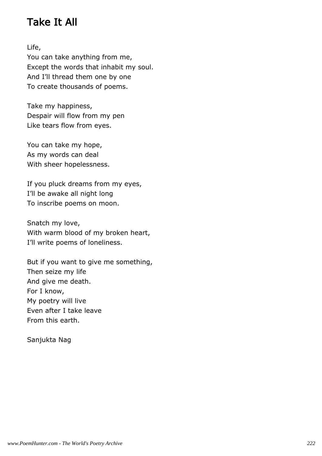# Take It All

Life,

You can take anything from me, Except the words that inhabit my soul. And I'll thread them one by one To create thousands of poems.

Take my happiness, Despair will flow from my pen Like tears flow from eyes.

You can take my hope, As my words can deal With sheer hopelessness.

If you pluck dreams from my eyes, I'll be awake all night long To inscribe poems on moon.

Snatch my love, With warm blood of my broken heart, I'll write poems of loneliness.

But if you want to give me something, Then seize my life And give me death. For I know, My poetry will live Even after I take leave From this earth.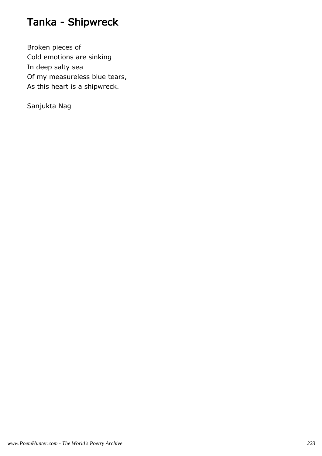# Tanka - Shipwreck

Broken pieces of Cold emotions are sinking In deep salty sea Of my measureless blue tears, As this heart is a shipwreck.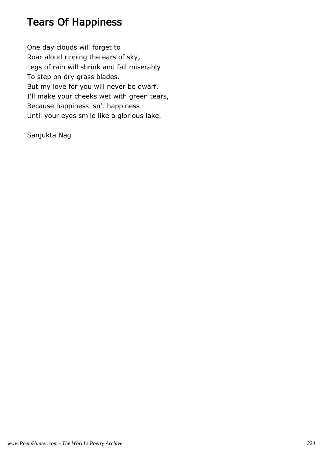# Tears Of Happiness

One day clouds will forget to Roar aloud ripping the ears of sky, Legs of rain will shrink and fail miserably To step on dry grass blades. But my love for you will never be dwarf. I'll make your cheeks wet with green tears, Because happiness isn't happiness Until your eyes smile like a glorious lake.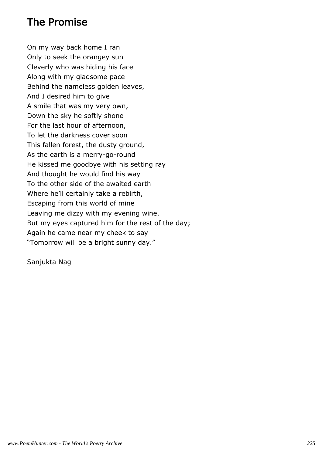## The Promise

On my way back home I ran Only to seek the orangey sun Cleverly who was hiding his face Along with my gladsome pace Behind the nameless golden leaves, And I desired him to give A smile that was my very own, Down the sky he softly shone For the last hour of afternoon, To let the darkness cover soon This fallen forest, the dusty ground, As the earth is a merry-go-round He kissed me goodbye with his setting ray And thought he would find his way To the other side of the awaited earth Where he'll certainly take a rebirth, Escaping from this world of mine Leaving me dizzy with my evening wine. But my eyes captured him for the rest of the day; Again he came near my cheek to say "Tomorrow will be a bright sunny day."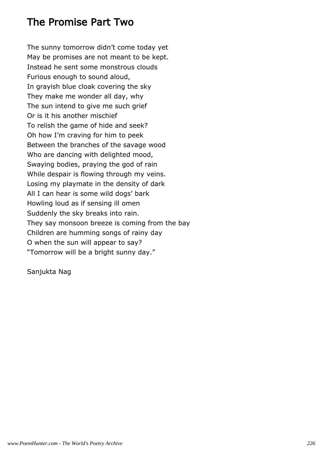### The Promise Part Two

The sunny tomorrow didn't come today yet May be promises are not meant to be kept. Instead he sent some monstrous clouds Furious enough to sound aloud, In grayish blue cloak covering the sky They make me wonder all day, why The sun intend to give me such grief Or is it his another mischief To relish the game of hide and seek? Oh how I'm craving for him to peek Between the branches of the savage wood Who are dancing with delighted mood, Swaying bodies, praying the god of rain While despair is flowing through my veins. Losing my playmate in the density of dark All I can hear is some wild dogs' bark Howling loud as if sensing ill omen Suddenly the sky breaks into rain. They say monsoon breeze is coming from the bay Children are humming songs of rainy day O when the sun will appear to say? "Tomorrow will be a bright sunny day."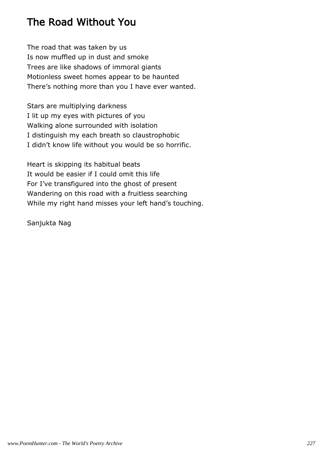# The Road Without You

The road that was taken by us Is now muffled up in dust and smoke Trees are like shadows of immoral giants Motionless sweet homes appear to be haunted There's nothing more than you I have ever wanted.

Stars are multiplying darkness I lit up my eyes with pictures of you Walking alone surrounded with isolation I distinguish my each breath so claustrophobic I didn't know life without you would be so horrific.

Heart is skipping its habitual beats It would be easier if I could omit this life For I've transfigured into the ghost of present Wandering on this road with a fruitless searching While my right hand misses your left hand's touching.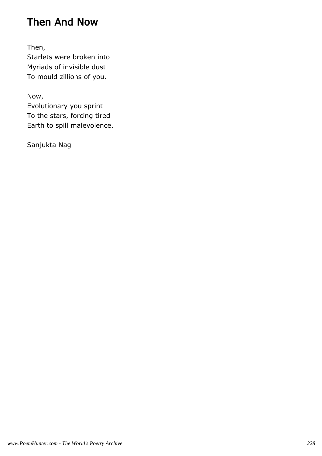## Then And Now

Then,

Starlets were broken into Myriads of invisible dust To mould zillions of you.

Now,

Evolutionary you sprint To the stars, forcing tired Earth to spill malevolence.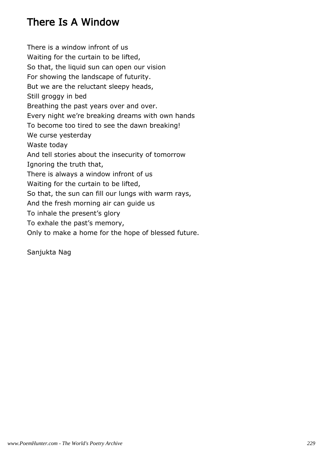# There Is A Window

There is a window infront of us Waiting for the curtain to be lifted, So that, the liquid sun can open our vision For showing the landscape of futurity. But we are the reluctant sleepy heads, Still groggy in bed Breathing the past years over and over. Every night we're breaking dreams with own hands To become too tired to see the dawn breaking! We curse yesterday Waste today And tell stories about the insecurity of tomorrow Ignoring the truth that, There is always a window infront of us Waiting for the curtain to be lifted, So that, the sun can fill our lungs with warm rays, And the fresh morning air can guide us To inhale the present's glory To exhale the past's memory, Only to make a home for the hope of blessed future.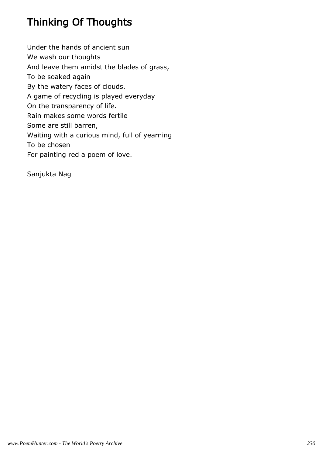# Thinking Of Thoughts

Under the hands of ancient sun We wash our thoughts And leave them amidst the blades of grass, To be soaked again By the watery faces of clouds. A game of recycling is played everyday On the transparency of life. Rain makes some words fertile Some are still barren, Waiting with a curious mind, full of yearning To be chosen For painting red a poem of love.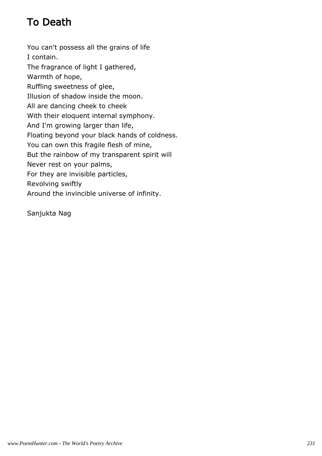# To Death

You can't possess all the grains of life I contain. The fragrance of light I gathered, Warmth of hope, Ruffling sweetness of glee, Illusion of shadow inside the moon. All are dancing cheek to cheek With their eloquent internal symphony. And I'm growing larger than life, Floating beyond your black hands of coldness. You can own this fragile flesh of mine, But the rainbow of my transparent spirit will Never rest on your palms, For they are invisible particles, Revolving swiftly Around the invincible universe of infinity.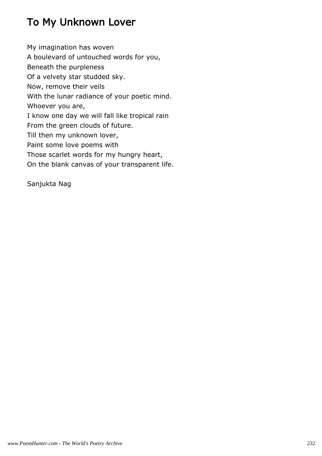# To My Unknown Lover

My imagination has woven A boulevard of untouched words for you, Beneath the purpleness Of a velvety star studded sky. Now, remove their veils With the lunar radiance of your poetic mind. Whoever you are, I know one day we will fall like tropical rain From the green clouds of future. Till then my unknown lover, Paint some love poems with Those scarlet words for my hungry heart, On the blank canvas of your transparent life.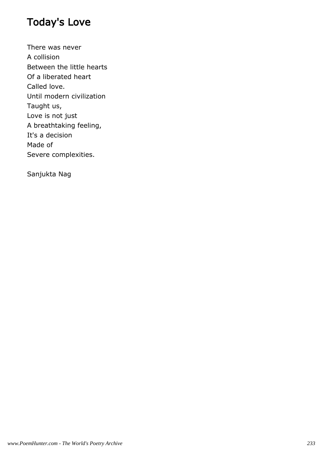# Today's Love

There was never A collision Between the little hearts Of a liberated heart Called love. Until modern civilization Taught us, Love is not just A breathtaking feeling, It's a decision Made of Severe complexities.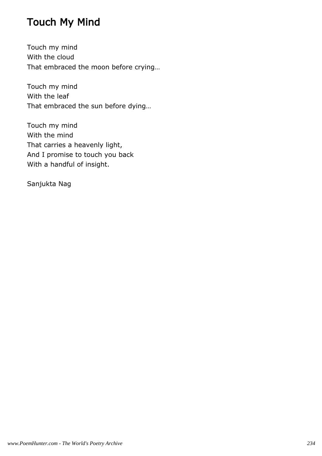# Touch My Mind

Touch my mind With the cloud That embraced the moon before crying…

Touch my mind With the leaf That embraced the sun before dying…

Touch my mind With the mind That carries a heavenly light, And I promise to touch you back With a handful of insight.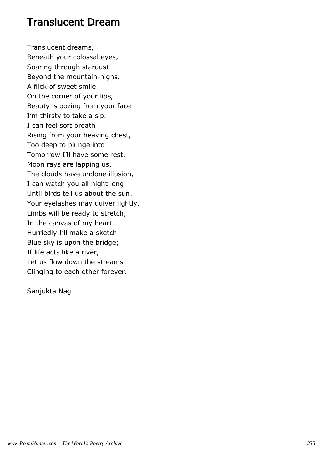#### Translucent Dream

Translucent dreams, Beneath your colossal eyes, Soaring through stardust Beyond the mountain-highs. A flick of sweet smile On the corner of your lips, Beauty is oozing from your face I'm thirsty to take a sip. I can feel soft breath Rising from your heaving chest, Too deep to plunge into Tomorrow I'll have some rest. Moon rays are lapping us, The clouds have undone illusion, I can watch you all night long Until birds tell us about the sun. Your eyelashes may quiver lightly, Limbs will be ready to stretch, In the canvas of my heart Hurriedly I'll make a sketch. Blue sky is upon the bridge; If life acts like a river, Let us flow down the streams Clinging to each other forever.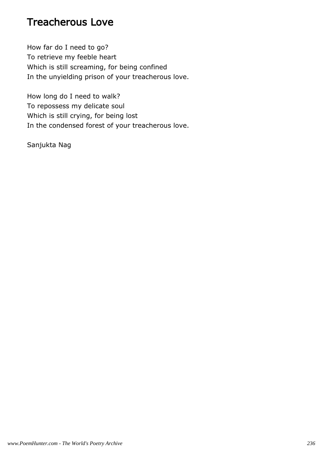### Treacherous Love

How far do I need to go? To retrieve my feeble heart Which is still screaming, for being confined In the unyielding prison of your treacherous love.

How long do I need to walk? To repossess my delicate soul Which is still crying, for being lost In the condensed forest of your treacherous love.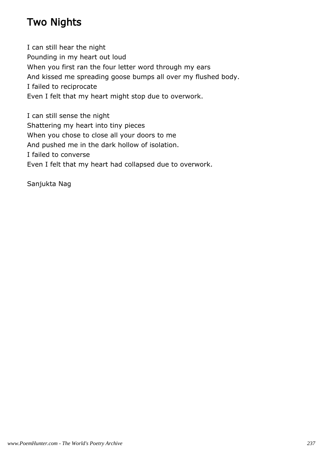# Two Nights

I can still hear the night Pounding in my heart out loud When you first ran the four letter word through my ears And kissed me spreading goose bumps all over my flushed body. I failed to reciprocate Even I felt that my heart might stop due to overwork.

I can still sense the night Shattering my heart into tiny pieces When you chose to close all your doors to me And pushed me in the dark hollow of isolation. I failed to converse Even I felt that my heart had collapsed due to overwork.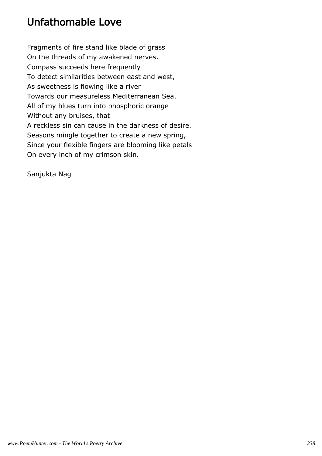# Unfathomable Love

Fragments of fire stand like blade of grass On the threads of my awakened nerves. Compass succeeds here frequently To detect similarities between east and west, As sweetness is flowing like a river Towards our measureless Mediterranean Sea. All of my blues turn into phosphoric orange Without any bruises, that A reckless sin can cause in the darkness of desire. Seasons mingle together to create a new spring, Since your flexible fingers are blooming like petals On every inch of my crimson skin.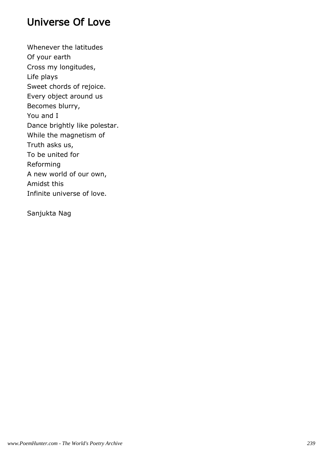## Universe Of Love

Whenever the latitudes Of your earth Cross my longitudes, Life plays Sweet chords of rejoice. Every object around us Becomes blurry, You and I Dance brightly like polestar. While the magnetism of Truth asks us, To be united for Reforming A new world of our own, Amidst this Infinite universe of love.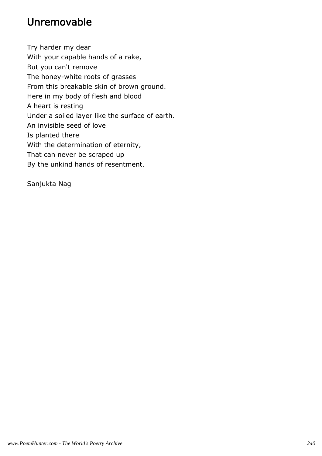# Unremovable

Try harder my dear With your capable hands of a rake, But you can't remove The honey-white roots of grasses From this breakable skin of brown ground. Here in my body of flesh and blood A heart is resting Under a soiled layer like the surface of earth. An invisible seed of love Is planted there With the determination of eternity, That can never be scraped up By the unkind hands of resentment.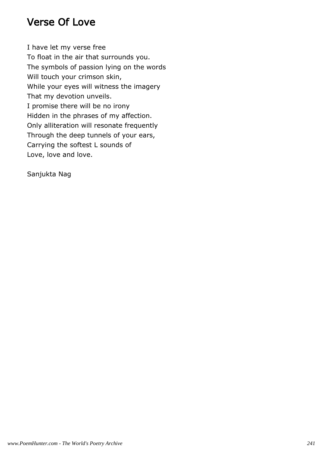## Verse Of Love

I have let my verse free To float in the air that surrounds you. The symbols of passion lying on the words Will touch your crimson skin, While your eyes will witness the imagery That my devotion unveils. I promise there will be no irony Hidden in the phrases of my affection. Only alliteration will resonate frequently Through the deep tunnels of your ears, Carrying the softest L sounds of Love, love and love.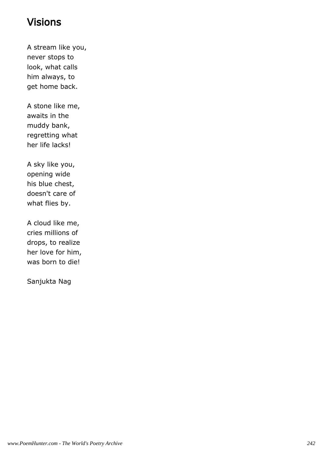## Visions

A stream like you, never stops to look, what calls him always, to get home back.

A stone like me, awaits in the muddy bank, regretting what her life lacks!

A sky like you, opening wide his blue chest, doesn't care of what flies by.

A cloud like me, cries millions of drops, to realize her love for him, was born to die!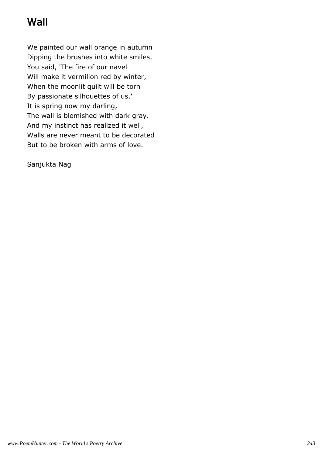# Wall

We painted our wall orange in autumn Dipping the brushes into white smiles. You said, 'The fire of our navel Will make it vermilion red by winter, When the moonlit quilt will be torn By passionate silhouettes of us.' It is spring now my darling, The wall is blemished with dark gray. And my instinct has realized it well, Walls are never meant to be decorated But to be broken with arms of love.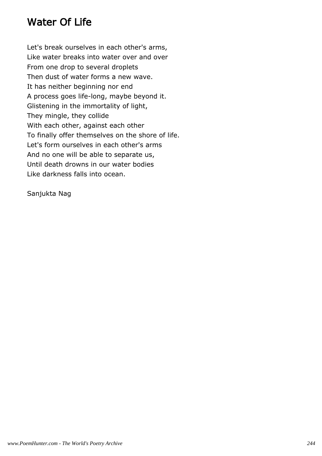## Water Of Life

Let's break ourselves in each other's arms, Like water breaks into water over and over From one drop to several droplets Then dust of water forms a new wave. It has neither beginning nor end A process goes life-long, maybe beyond it. Glistening in the immortality of light, They mingle, they collide With each other, against each other To finally offer themselves on the shore of life. Let's form ourselves in each other's arms And no one will be able to separate us, Until death drowns in our water bodies Like darkness falls into ocean.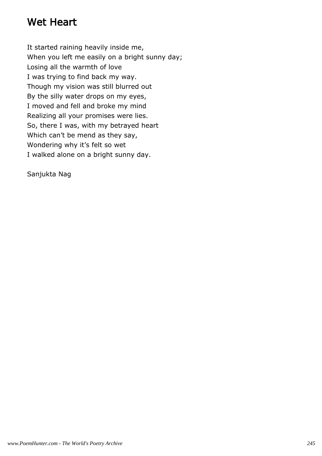## Wet Heart

It started raining heavily inside me, When you left me easily on a bright sunny day; Losing all the warmth of love I was trying to find back my way. Though my vision was still blurred out By the silly water drops on my eyes, I moved and fell and broke my mind Realizing all your promises were lies. So, there I was, with my betrayed heart Which can't be mend as they say, Wondering why it's felt so wet I walked alone on a bright sunny day.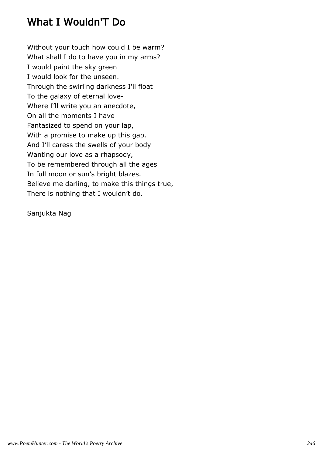# What I Wouldn'T Do

Without your touch how could I be warm? What shall I do to have you in my arms? I would paint the sky green I would look for the unseen. Through the swirling darkness I'll float To the galaxy of eternal love-Where I'll write you an anecdote, On all the moments I have Fantasized to spend on your lap, With a promise to make up this gap. And I'll caress the swells of your body Wanting our love as a rhapsody, To be remembered through all the ages In full moon or sun's bright blazes. Believe me darling, to make this things true, There is nothing that I wouldn't do.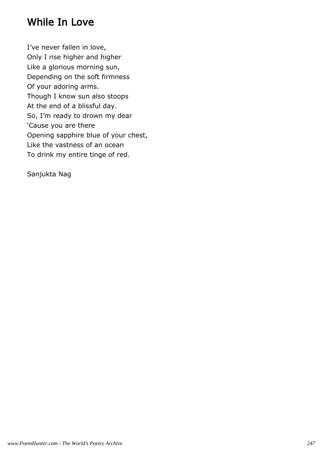## While In Love

I've never fallen in love, Only I rise higher and higher Like a glorious morning sun, Depending on the soft firmness Of your adoring arms. Though I know sun also stoops At the end of a blissful day. So, I'm ready to drown my dear 'Cause you are there Opening sapphire blue of your chest, Like the vastness of an ocean To drink my entire tinge of red.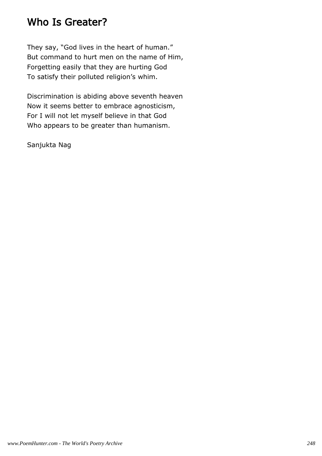### Who Is Greater?

They say, "God lives in the heart of human." But command to hurt men on the name of Him, Forgetting easily that they are hurting God To satisfy their polluted religion's whim.

Discrimination is abiding above seventh heaven Now it seems better to embrace agnosticism, For I will not let myself believe in that God Who appears to be greater than humanism.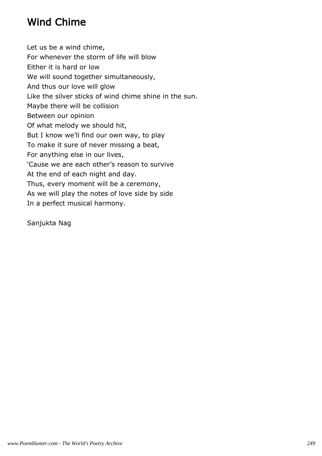# Wind Chime

Let us be a wind chime, For whenever the storm of life will blow Either it is hard or low We will sound together simultaneously, And thus our love will glow Like the silver sticks of wind chime shine in the sun. Maybe there will be collision Between our opinion Of what melody we should hit, But I know we'll find our own way, to play To make it sure of never missing a beat, For anything else in our lives, 'Cause we are each other's reason to survive At the end of each night and day. Thus, every moment will be a ceremony, As we will play the notes of love side by side In a perfect musical harmony.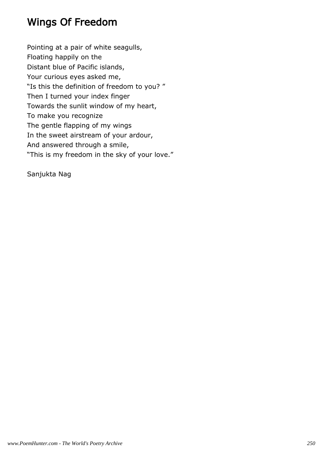## Wings Of Freedom

Pointing at a pair of white seagulls, Floating happily on the Distant blue of Pacific islands, Your curious eyes asked me, "Is this the definition of freedom to you? " Then I turned your index finger Towards the sunlit window of my heart, To make you recognize The gentle flapping of my wings In the sweet airstream of your ardour, And answered through a smile, "This is my freedom in the sky of your love."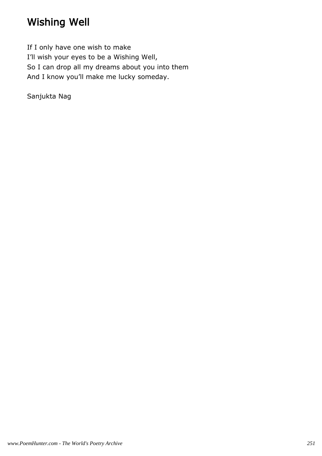# Wishing Well

If I only have one wish to make I'll wish your eyes to be a Wishing Well, So I can drop all my dreams about you into them And I know you'll make me lucky someday.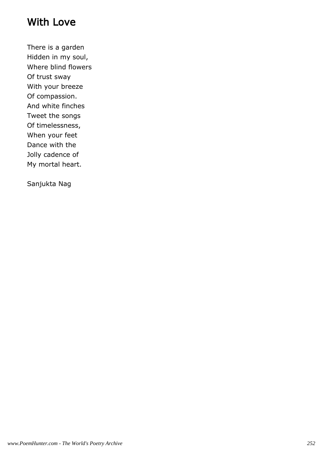### With Love

There is a garden Hidden in my soul, Where blind flowers Of trust sway With your breeze Of compassion. And white finches Tweet the songs Of timelessness, When your feet Dance with the Jolly cadence of My mortal heart.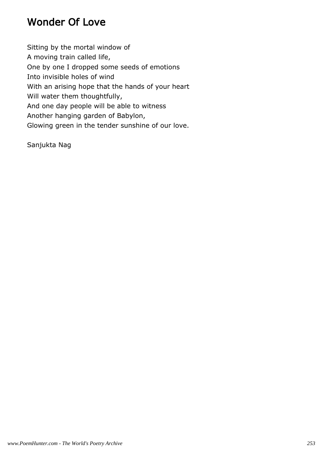### Wonder Of Love

Sitting by the mortal window of A moving train called life, One by one I dropped some seeds of emotions Into invisible holes of wind With an arising hope that the hands of your heart Will water them thoughtfully, And one day people will be able to witness Another hanging garden of Babylon, Glowing green in the tender sunshine of our love.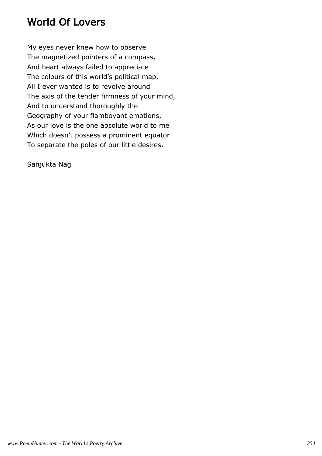# World Of Lovers

My eyes never knew how to observe The magnetized pointers of a compass, And heart always failed to appreciate The colours of this world's political map. All I ever wanted is to revolve around The axis of the tender firmness of your mind, And to understand thoroughly the Geography of your flamboyant emotions, As our love is the one absolute world to me Which doesn't possess a prominent equator To separate the poles of our little desires.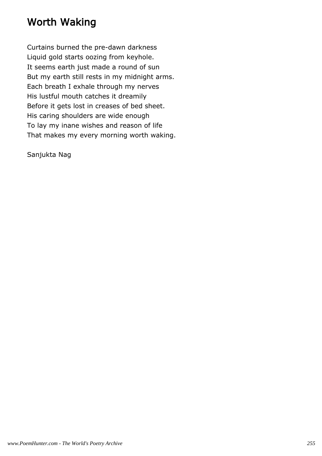### Worth Waking

Curtains burned the pre-dawn darkness Liquid gold starts oozing from keyhole. It seems earth just made a round of sun But my earth still rests in my midnight arms. Each breath I exhale through my nerves His lustful mouth catches it dreamily Before it gets lost in creases of bed sheet. His caring shoulders are wide enough To lay my inane wishes and reason of life That makes my every morning worth waking.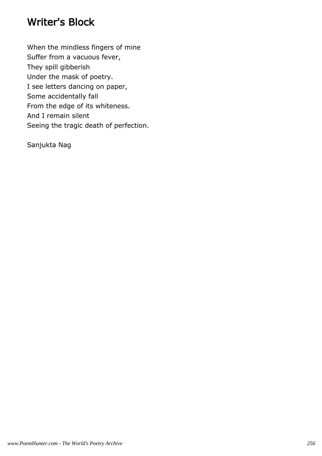#### Writer's Block

When the mindless fingers of mine Suffer from a vacuous fever, They spill gibberish Under the mask of poetry. I see letters dancing on paper, Some accidentally fall From the edge of its whiteness. And I remain silent Seeing the tragic death of perfection.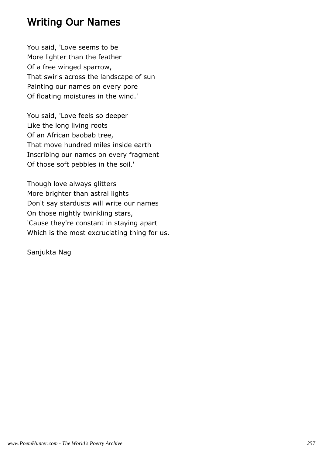### Writing Our Names

You said, 'Love seems to be More lighter than the feather Of a free winged sparrow, That swirls across the landscape of sun Painting our names on every pore Of floating moistures in the wind.'

You said, 'Love feels so deeper Like the long living roots Of an African baobab tree, That move hundred miles inside earth Inscribing our names on every fragment Of those soft pebbles in the soil.'

Though love always glitters More brighter than astral lights Don't say stardusts will write our names On those nightly twinkling stars, 'Cause they're constant in staying apart Which is the most excruciating thing for us.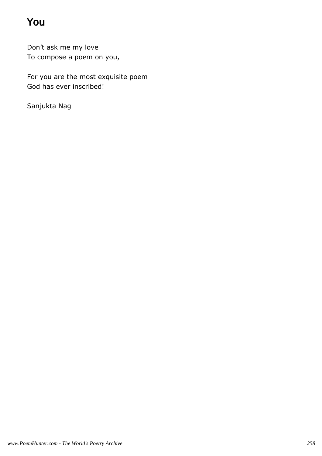# You

Don't ask me my love To compose a poem on you,

For you are the most exquisite poem God has ever inscribed!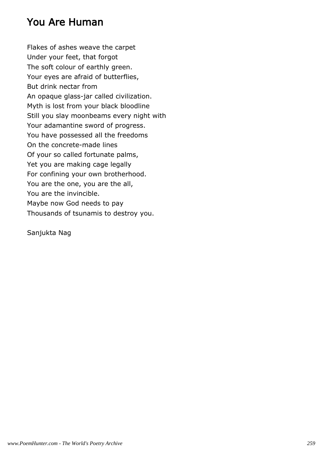### You Are Human

Flakes of ashes weave the carpet Under your feet, that forgot The soft colour of earthly green. Your eyes are afraid of butterflies, But drink nectar from An opaque glass-jar called civilization. Myth is lost from your black bloodline Still you slay moonbeams every night with Your adamantine sword of progress. You have possessed all the freedoms On the concrete-made lines Of your so called fortunate palms, Yet you are making cage legally For confining your own brotherhood. You are the one, you are the all, You are the invincible. Maybe now God needs to pay Thousands of tsunamis to destroy you.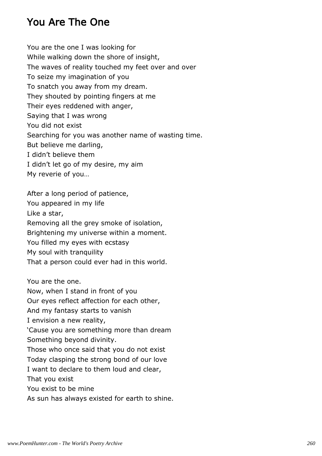### You Are The One

You are the one I was looking for While walking down the shore of insight, The waves of reality touched my feet over and over To seize my imagination of you To snatch you away from my dream. They shouted by pointing fingers at me Their eyes reddened with anger, Saying that I was wrong You did not exist Searching for you was another name of wasting time. But believe me darling, I didn't believe them I didn't let go of my desire, my aim My reverie of you…

After a long period of patience, You appeared in my life Like a star, Removing all the grey smoke of isolation, Brightening my universe within a moment. You filled my eyes with ecstasy My soul with tranquility That a person could ever had in this world.

You are the one. Now, when I stand in front of you

Our eyes reflect affection for each other,

And my fantasy starts to vanish

I envision a new reality,

'Cause you are something more than dream Something beyond divinity.

Those who once said that you do not exist

Today clasping the strong bond of our love

I want to declare to them loud and clear,

That you exist

You exist to be mine

As sun has always existed for earth to shine.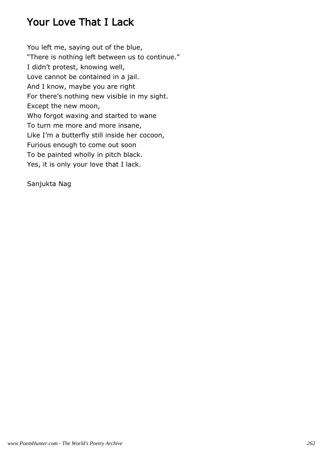# Your Love That I Lack

You left me, saying out of the blue, "There is nothing left between us to continue." I didn't protest, knowing well, Love cannot be contained in a jail. And I know, maybe you are right For there's nothing new visible in my sight. Except the new moon, Who forgot waxing and started to wane To turn me more and more insane, Like I'm a butterfly still inside her cocoon, Furious enough to come out soon To be painted wholly in pitch black. Yes, it is only your love that I lack.